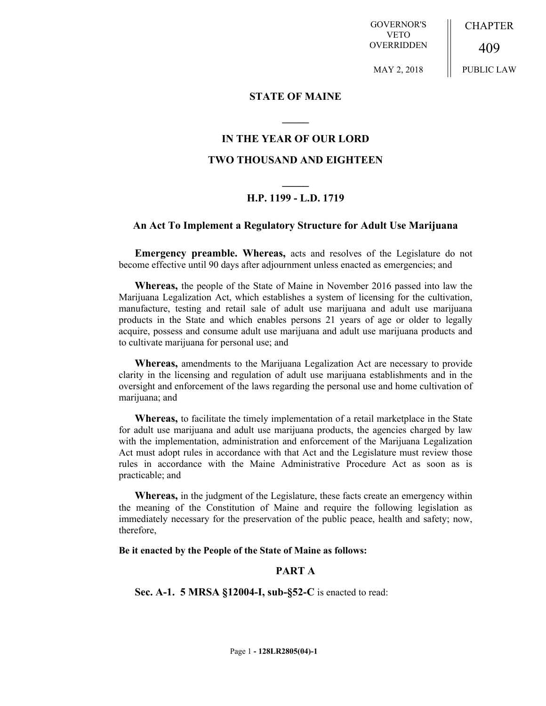GOVERNOR'S VETO OVERRIDDEN

CHAPTER 409

MAY 2, 2018

PUBLIC LAW

## **STATE OF MAINE**

# **IN THE YEAR OF OUR LORD**

**\_\_\_\_\_**

## **TWO THOUSAND AND EIGHTEEN**

# **\_\_\_\_\_ H.P. 1199 - L.D. 1719**

### **An Act To Implement a Regulatory Structure for Adult Use Marijuana**

**Emergency preamble. Whereas,** acts and resolves of the Legislature do not become effective until 90 days after adjournment unless enacted as emergencies; and

**Whereas,** the people of the State of Maine in November 2016 passed into law the Marijuana Legalization Act, which establishes a system of licensing for the cultivation, manufacture, testing and retail sale of adult use marijuana and adult use marijuana products in the State and which enables persons 21 years of age or older to legally acquire, possess and consume adult use marijuana and adult use marijuana products and to cultivate marijuana for personal use; and

**Whereas,** amendments to the Marijuana Legalization Act are necessary to provide clarity in the licensing and regulation of adult use marijuana establishments and in the oversight and enforcement of the laws regarding the personal use and home cultivation of marijuana; and

**Whereas,** to facilitate the timely implementation of a retail marketplace in the State for adult use marijuana and adult use marijuana products, the agencies charged by law with the implementation, administration and enforcement of the Marijuana Legalization Act must adopt rules in accordance with that Act and the Legislature must review those rules in accordance with the Maine Administrative Procedure Act as soon as is practicable; and

**Whereas,** in the judgment of the Legislature, these facts create an emergency within the meaning of the Constitution of Maine and require the following legislation as immediately necessary for the preservation of the public peace, health and safety; now, therefore,

#### **Be it enacted by the People of the State of Maine as follows:**

# **PART A**

**Sec. A-1. 5 MRSA §12004-I, sub-§52-C** is enacted to read: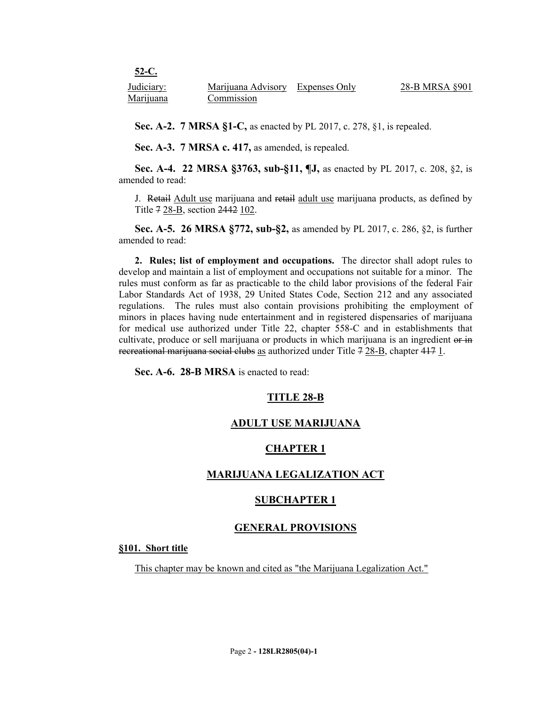| 52-C.      |                                  |                |
|------------|----------------------------------|----------------|
| Judiciary: | Marijuana Advisory Expenses Only | 28-B MRSA §901 |
| Marijuana  | Commission                       |                |

**Sec. A-2. 7 MRSA §1-C,** as enacted by PL 2017, c. 278, §1, is repealed.

**Sec. A-3. 7 MRSA c. 417,** as amended, is repealed.

**Sec. A-4. 22 MRSA §3763, sub-§11, ¶J,** as enacted by PL 2017, c. 208, §2, is amended to read:

J. Retail Adult use marijuana and retail adult use marijuana products, as defined by Title 7 28-B, section 2442 102.

**Sec. A-5. 26 MRSA §772, sub-§2,** as amended by PL 2017, c. 286, §2, is further amended to read:

**2. Rules; list of employment and occupations.** The director shall adopt rules to develop and maintain a list of employment and occupations not suitable for a minor. The rules must conform as far as practicable to the child labor provisions of the federal Fair Labor Standards Act of 1938, 29 United States Code, Section 212 and any associated regulations. The rules must also contain provisions prohibiting the employment of minors in places having nude entertainment and in registered dispensaries of marijuana for medical use authorized under Title 22, chapter 558-C and in establishments that cultivate, produce or sell marijuana or products in which marijuana is an ingredient or in recreational marijuana social clubs as authorized under Title 7 28-B, chapter 417 1.

**Sec. A-6. 28-B MRSA** is enacted to read:

# **TITLE 28-B**

# **ADULT USE MARIJUANA**

# **CHAPTER 1**

# **MARIJUANA LEGALIZATION ACT**

### **SUBCHAPTER 1**

### **GENERAL PROVISIONS**

#### **§101. Short title**

This chapter may be known and cited as "the Marijuana Legalization Act."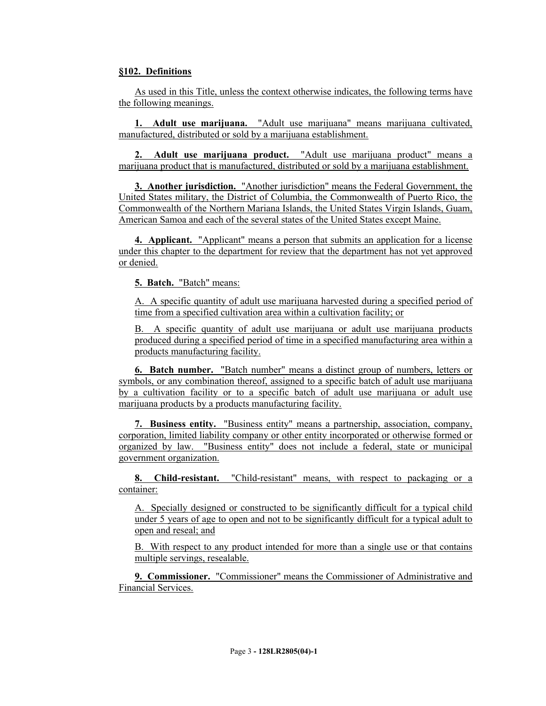# **§102. Definitions**

As used in this Title, unless the context otherwise indicates, the following terms have the following meanings.

**1. Adult use marijuana.** "Adult use marijuana" means marijuana cultivated, manufactured, distributed or sold by a marijuana establishment.

**2. Adult use marijuana product.** "Adult use marijuana product" means a marijuana product that is manufactured, distributed or sold by a marijuana establishment.

**3. Another jurisdiction.** "Another jurisdiction" means the Federal Government, the United States military, the District of Columbia, the Commonwealth of Puerto Rico, the Commonwealth of the Northern Mariana Islands, the United States Virgin Islands, Guam, American Samoa and each of the several states of the United States except Maine.

**4. Applicant.** "Applicant" means a person that submits an application for a license under this chapter to the department for review that the department has not yet approved or denied.

**5. Batch.** "Batch" means:

A. A specific quantity of adult use marijuana harvested during a specified period of time from a specified cultivation area within a cultivation facility; or

B. A specific quantity of adult use marijuana or adult use marijuana products produced during a specified period of time in a specified manufacturing area within a products manufacturing facility.

**6. Batch number.** "Batch number" means a distinct group of numbers, letters or symbols, or any combination thereof, assigned to a specific batch of adult use marijuana by a cultivation facility or to a specific batch of adult use marijuana or adult use marijuana products by a products manufacturing facility.

**7. Business entity.** "Business entity" means a partnership, association, company, corporation, limited liability company or other entity incorporated or otherwise formed or organized by law. "Business entity" does not include a federal, state or municipal government organization.

**8. Child-resistant.** "Child-resistant" means, with respect to packaging or a container:

A. Specially designed or constructed to be significantly difficult for a typical child under 5 years of age to open and not to be significantly difficult for a typical adult to open and reseal; and

B. With respect to any product intended for more than a single use or that contains multiple servings, resealable.

**9. Commissioner.** "Commissioner" means the Commissioner of Administrative and Financial Services.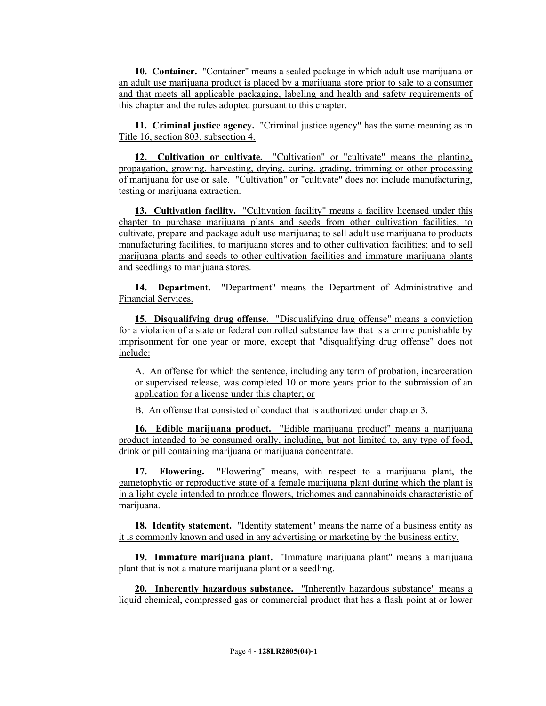**10. Container.** "Container" means a sealed package in which adult use marijuana or an adult use marijuana product is placed by a marijuana store prior to sale to a consumer and that meets all applicable packaging, labeling and health and safety requirements of this chapter and the rules adopted pursuant to this chapter.

**11. Criminal justice agency.** "Criminal justice agency" has the same meaning as in Title 16, section 803, subsection 4.

**12. Cultivation or cultivate.** "Cultivation" or "cultivate" means the planting, propagation, growing, harvesting, drying, curing, grading, trimming or other processing of marijuana for use or sale. "Cultivation" or "cultivate" does not include manufacturing, testing or marijuana extraction.

**13. Cultivation facility.** "Cultivation facility" means a facility licensed under this chapter to purchase marijuana plants and seeds from other cultivation facilities; to cultivate, prepare and package adult use marijuana; to sell adult use marijuana to products manufacturing facilities, to marijuana stores and to other cultivation facilities; and to sell marijuana plants and seeds to other cultivation facilities and immature marijuana plants and seedlings to marijuana stores.

**14. Department.** "Department" means the Department of Administrative and Financial Services.

**15. Disqualifying drug offense.** "Disqualifying drug offense" means a conviction for a violation of a state or federal controlled substance law that is a crime punishable by imprisonment for one year or more, except that "disqualifying drug offense" does not include:

A. An offense for which the sentence, including any term of probation, incarceration or supervised release, was completed 10 or more years prior to the submission of an application for a license under this chapter; or

B. An offense that consisted of conduct that is authorized under chapter 3.

**16. Edible marijuana product.** "Edible marijuana product" means a marijuana product intended to be consumed orally, including, but not limited to, any type of food, drink or pill containing marijuana or marijuana concentrate.

**17. Flowering.** "Flowering" means, with respect to a marijuana plant, the gametophytic or reproductive state of a female marijuana plant during which the plant is in a light cycle intended to produce flowers, trichomes and cannabinoids characteristic of marijuana.

**18. Identity statement.** "Identity statement" means the name of a business entity as it is commonly known and used in any advertising or marketing by the business entity.

**19. Immature marijuana plant.** "Immature marijuana plant" means a marijuana plant that is not a mature marijuana plant or a seedling.

**20. Inherently hazardous substance.** "Inherently hazardous substance" means a liquid chemical, compressed gas or commercial product that has a flash point at or lower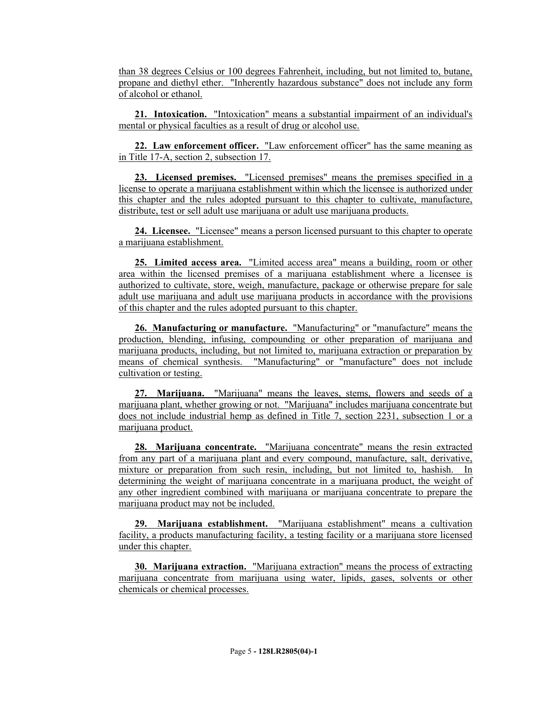than 38 degrees Celsius or 100 degrees Fahrenheit, including, but not limited to, butane, propane and diethyl ether. "Inherently hazardous substance" does not include any form of alcohol or ethanol.

**21. Intoxication.** "Intoxication" means a substantial impairment of an individual's mental or physical faculties as a result of drug or alcohol use.

**22. Law enforcement officer.** "Law enforcement officer" has the same meaning as in Title 17-A, section 2, subsection 17.

**23. Licensed premises.** "Licensed premises" means the premises specified in a license to operate a marijuana establishment within which the licensee is authorized under this chapter and the rules adopted pursuant to this chapter to cultivate, manufacture, distribute, test or sell adult use marijuana or adult use marijuana products.

**24. Licensee.** "Licensee" means a person licensed pursuant to this chapter to operate a marijuana establishment.

**25. Limited access area.** "Limited access area" means a building, room or other area within the licensed premises of a marijuana establishment where a licensee is authorized to cultivate, store, weigh, manufacture, package or otherwise prepare for sale adult use marijuana and adult use marijuana products in accordance with the provisions of this chapter and the rules adopted pursuant to this chapter.

**26. Manufacturing or manufacture.** "Manufacturing" or "manufacture" means the production, blending, infusing, compounding or other preparation of marijuana and marijuana products, including, but not limited to, marijuana extraction or preparation by means of chemical synthesis. "Manufacturing" or "manufacture" does not include cultivation or testing.

**27. Marijuana.** "Marijuana" means the leaves, stems, flowers and seeds of a marijuana plant, whether growing or not. "Marijuana" includes marijuana concentrate but does not include industrial hemp as defined in Title 7, section 2231, subsection 1 or a marijuana product.

**28. Marijuana concentrate.** "Marijuana concentrate" means the resin extracted from any part of a marijuana plant and every compound, manufacture, salt, derivative, mixture or preparation from such resin, including, but not limited to, hashish. In determining the weight of marijuana concentrate in a marijuana product, the weight of any other ingredient combined with marijuana or marijuana concentrate to prepare the marijuana product may not be included.

**29. Marijuana establishment.** "Marijuana establishment" means a cultivation facility, a products manufacturing facility, a testing facility or a marijuana store licensed under this chapter.

**30. Marijuana extraction.** "Marijuana extraction" means the process of extracting marijuana concentrate from marijuana using water, lipids, gases, solvents or other chemicals or chemical processes.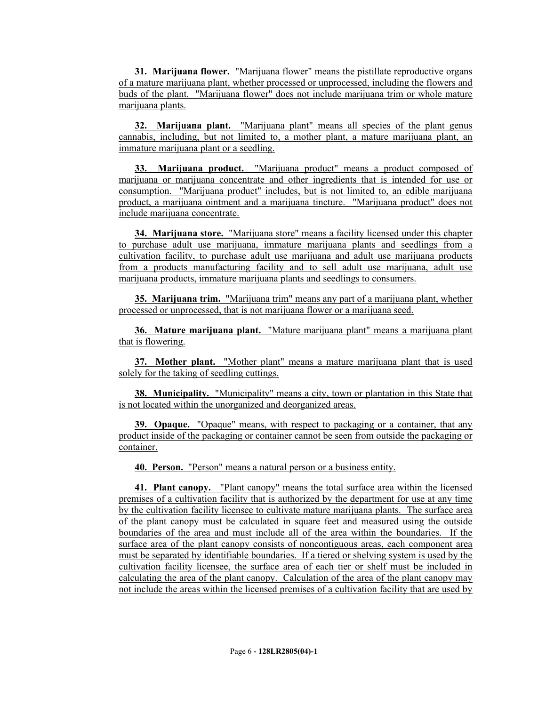**31. Marijuana flower.** "Marijuana flower" means the pistillate reproductive organs of a mature marijuana plant, whether processed or unprocessed, including the flowers and buds of the plant. "Marijuana flower" does not include marijuana trim or whole mature marijuana plants.

**32. Marijuana plant.** "Marijuana plant" means all species of the plant genus cannabis, including, but not limited to, a mother plant, a mature marijuana plant, an immature marijuana plant or a seedling.

**33. Marijuana product.** "Marijuana product" means a product composed of marijuana or marijuana concentrate and other ingredients that is intended for use or consumption. "Marijuana product" includes, but is not limited to, an edible marijuana product, a marijuana ointment and a marijuana tincture. "Marijuana product" does not include marijuana concentrate.

**34. Marijuana store.** "Marijuana store" means a facility licensed under this chapter to purchase adult use marijuana, immature marijuana plants and seedlings from a cultivation facility, to purchase adult use marijuana and adult use marijuana products from a products manufacturing facility and to sell adult use marijuana, adult use marijuana products, immature marijuana plants and seedlings to consumers.

**35. Marijuana trim.** "Marijuana trim" means any part of a marijuana plant, whether processed or unprocessed, that is not marijuana flower or a marijuana seed.

**36. Mature marijuana plant.** "Mature marijuana plant" means a marijuana plant that is flowering.

**37. Mother plant.** "Mother plant" means a mature marijuana plant that is used solely for the taking of seedling cuttings.

**38. Municipality.** "Municipality" means a city, town or plantation in this State that is not located within the unorganized and deorganized areas.

**39. Opaque.** "Opaque" means, with respect to packaging or a container, that any product inside of the packaging or container cannot be seen from outside the packaging or container.

**40. Person.** "Person" means a natural person or a business entity.

**41. Plant canopy.** "Plant canopy" means the total surface area within the licensed premises of a cultivation facility that is authorized by the department for use at any time by the cultivation facility licensee to cultivate mature marijuana plants. The surface area of the plant canopy must be calculated in square feet and measured using the outside boundaries of the area and must include all of the area within the boundaries. If the surface area of the plant canopy consists of noncontiguous areas, each component area must be separated by identifiable boundaries. If a tiered or shelving system is used by the cultivation facility licensee, the surface area of each tier or shelf must be included in calculating the area of the plant canopy. Calculation of the area of the plant canopy may not include the areas within the licensed premises of a cultivation facility that are used by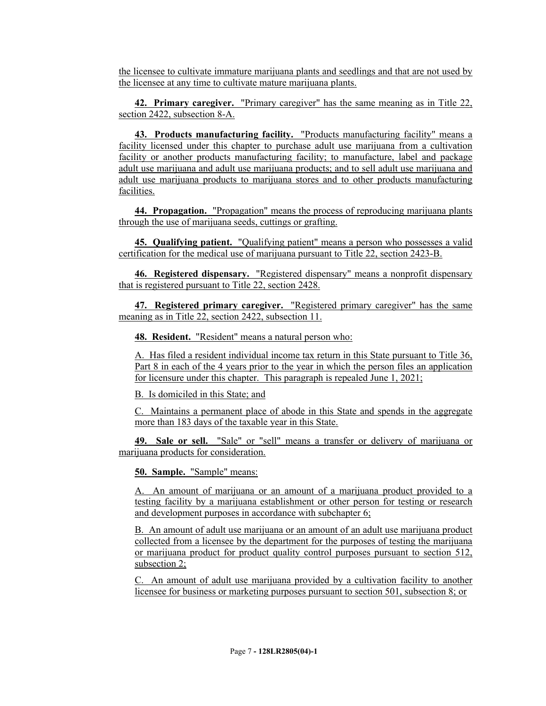the licensee to cultivate immature marijuana plants and seedlings and that are not used by the licensee at any time to cultivate mature marijuana plants.

**42. Primary caregiver.** "Primary caregiver" has the same meaning as in Title 22, section 2422, subsection 8-A.

**43. Products manufacturing facility.** "Products manufacturing facility" means a facility licensed under this chapter to purchase adult use marijuana from a cultivation facility or another products manufacturing facility; to manufacture, label and package adult use marijuana and adult use marijuana products; and to sell adult use marijuana and adult use marijuana products to marijuana stores and to other products manufacturing facilities.

**44. Propagation.** "Propagation" means the process of reproducing marijuana plants through the use of marijuana seeds, cuttings or grafting.

**45. Qualifying patient.** "Qualifying patient" means a person who possesses a valid certification for the medical use of marijuana pursuant to Title 22, section 2423-B.

**46. Registered dispensary.** "Registered dispensary" means a nonprofit dispensary that is registered pursuant to Title 22, section 2428.

**47. Registered primary caregiver.** "Registered primary caregiver" has the same meaning as in Title 22, section 2422, subsection 11.

**48. Resident.** "Resident" means a natural person who:

A. Has filed a resident individual income tax return in this State pursuant to Title 36, Part 8 in each of the 4 years prior to the year in which the person files an application for licensure under this chapter. This paragraph is repealed June 1, 2021;

B. Is domiciled in this State; and

C. Maintains a permanent place of abode in this State and spends in the aggregate more than 183 days of the taxable year in this State.

**49. Sale or sell.** "Sale" or "sell" means a transfer or delivery of marijuana or marijuana products for consideration.

**50. Sample.** "Sample" means:

A. An amount of marijuana or an amount of a marijuana product provided to a testing facility by a marijuana establishment or other person for testing or research and development purposes in accordance with subchapter 6;

B. An amount of adult use marijuana or an amount of an adult use marijuana product collected from a licensee by the department for the purposes of testing the marijuana or marijuana product for product quality control purposes pursuant to section 512, subsection 2;

C. An amount of adult use marijuana provided by a cultivation facility to another licensee for business or marketing purposes pursuant to section 501, subsection 8; or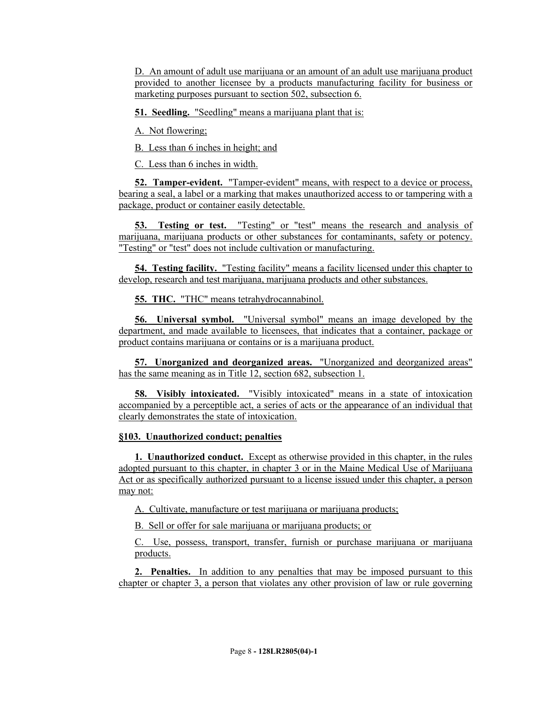D. An amount of adult use marijuana or an amount of an adult use marijuana product provided to another licensee by a products manufacturing facility for business or marketing purposes pursuant to section 502, subsection 6.

**51. Seedling.** "Seedling" means a marijuana plant that is:

A. Not flowering;

B. Less than 6 inches in height; and

C. Less than 6 inches in width.

**52. Tamper-evident.** "Tamper-evident" means, with respect to a device or process, bearing a seal, a label or a marking that makes unauthorized access to or tampering with a package, product or container easily detectable.

**53. Testing or test.** "Testing" or "test" means the research and analysis of marijuana, marijuana products or other substances for contaminants, safety or potency. "Testing" or "test" does not include cultivation or manufacturing.

**54. Testing facility.** "Testing facility" means a facility licensed under this chapter to develop, research and test marijuana, marijuana products and other substances.

**55. THC.** "THC" means tetrahydrocannabinol.

**56. Universal symbol.** "Universal symbol" means an image developed by the department, and made available to licensees, that indicates that a container, package or product contains marijuana or contains or is a marijuana product.

**57. Unorganized and deorganized areas.** "Unorganized and deorganized areas" has the same meaning as in Title 12, section 682, subsection 1.

**58. Visibly intoxicated.** "Visibly intoxicated" means in a state of intoxication accompanied by a perceptible act, a series of acts or the appearance of an individual that clearly demonstrates the state of intoxication.

### **§103. Unauthorized conduct; penalties**

**1. Unauthorized conduct.** Except as otherwise provided in this chapter, in the rules adopted pursuant to this chapter, in chapter 3 or in the Maine Medical Use of Marijuana Act or as specifically authorized pursuant to a license issued under this chapter, a person may not:

A. Cultivate, manufacture or test marijuana or marijuana products;

B. Sell or offer for sale marijuana or marijuana products; or

C. Use, possess, transport, transfer, furnish or purchase marijuana or marijuana products.

**2. Penalties.** In addition to any penalties that may be imposed pursuant to this chapter or chapter 3, a person that violates any other provision of law or rule governing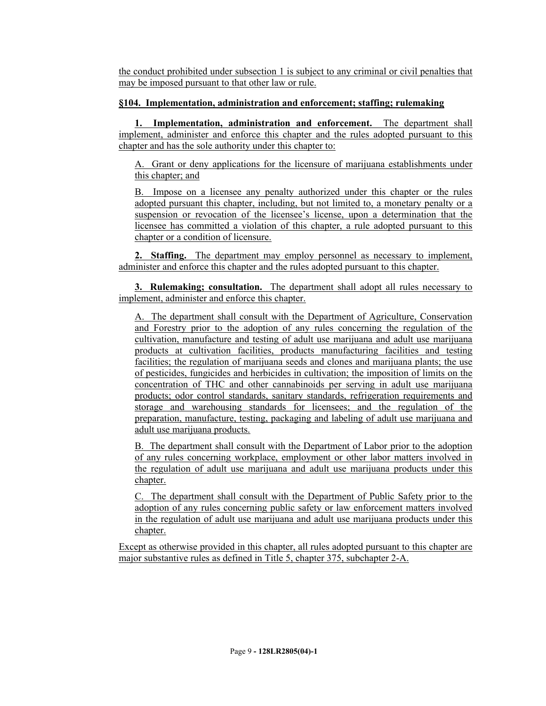the conduct prohibited under subsection 1 is subject to any criminal or civil penalties that may be imposed pursuant to that other law or rule.

# **§104. Implementation, administration and enforcement; staffing; rulemaking**

**1. Implementation, administration and enforcement.** The department shall implement, administer and enforce this chapter and the rules adopted pursuant to this chapter and has the sole authority under this chapter to:

A. Grant or deny applications for the licensure of marijuana establishments under this chapter; and

B. Impose on a licensee any penalty authorized under this chapter or the rules adopted pursuant this chapter, including, but not limited to, a monetary penalty or a suspension or revocation of the licensee's license, upon a determination that the licensee has committed a violation of this chapter, a rule adopted pursuant to this chapter or a condition of licensure.

**2. Staffing.** The department may employ personnel as necessary to implement, administer and enforce this chapter and the rules adopted pursuant to this chapter.

**3. Rulemaking; consultation.** The department shall adopt all rules necessary to implement, administer and enforce this chapter.

A. The department shall consult with the Department of Agriculture, Conservation and Forestry prior to the adoption of any rules concerning the regulation of the cultivation, manufacture and testing of adult use marijuana and adult use marijuana products at cultivation facilities, products manufacturing facilities and testing facilities; the regulation of marijuana seeds and clones and marijuana plants; the use of pesticides, fungicides and herbicides in cultivation; the imposition of limits on the concentration of THC and other cannabinoids per serving in adult use marijuana products; odor control standards, sanitary standards, refrigeration requirements and storage and warehousing standards for licensees; and the regulation of the preparation, manufacture, testing, packaging and labeling of adult use marijuana and adult use marijuana products.

B. The department shall consult with the Department of Labor prior to the adoption of any rules concerning workplace, employment or other labor matters involved in the regulation of adult use marijuana and adult use marijuana products under this chapter.

C. The department shall consult with the Department of Public Safety prior to the adoption of any rules concerning public safety or law enforcement matters involved in the regulation of adult use marijuana and adult use marijuana products under this chapter.

Except as otherwise provided in this chapter, all rules adopted pursuant to this chapter are major substantive rules as defined in Title 5, chapter 375, subchapter 2-A.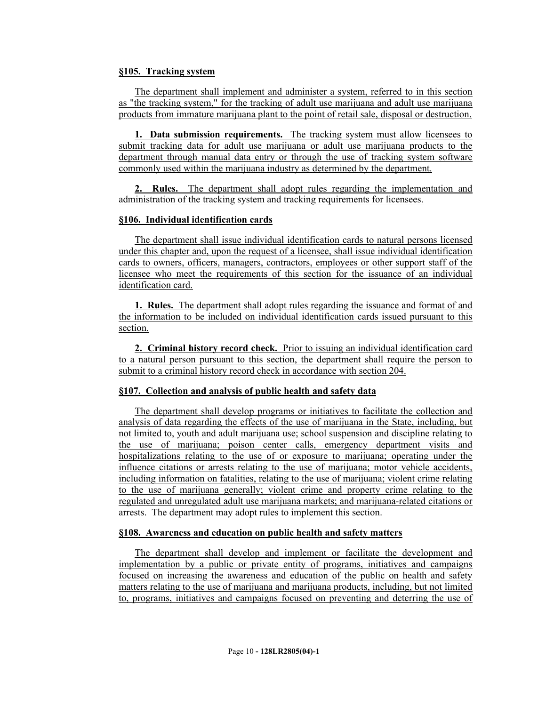### **§105. Tracking system**

The department shall implement and administer a system, referred to in this section as "the tracking system," for the tracking of adult use marijuana and adult use marijuana products from immature marijuana plant to the point of retail sale, disposal or destruction.

**1. Data submission requirements.** The tracking system must allow licensees to submit tracking data for adult use marijuana or adult use marijuana products to the department through manual data entry or through the use of tracking system software commonly used within the marijuana industry as determined by the department.

**2. Rules.** The department shall adopt rules regarding the implementation and administration of the tracking system and tracking requirements for licensees.

## **§106. Individual identification cards**

The department shall issue individual identification cards to natural persons licensed under this chapter and, upon the request of a licensee, shall issue individual identification cards to owners, officers, managers, contractors, employees or other support staff of the licensee who meet the requirements of this section for the issuance of an individual identification card.

**1. Rules.** The department shall adopt rules regarding the issuance and format of and the information to be included on individual identification cards issued pursuant to this section.

**2. Criminal history record check.** Prior to issuing an individual identification card to a natural person pursuant to this section, the department shall require the person to submit to a criminal history record check in accordance with section 204.

### **§107. Collection and analysis of public health and safety data**

The department shall develop programs or initiatives to facilitate the collection and analysis of data regarding the effects of the use of marijuana in the State, including, but not limited to, youth and adult marijuana use; school suspension and discipline relating to the use of marijuana; poison center calls, emergency department visits and hospitalizations relating to the use of or exposure to marijuana; operating under the influence citations or arrests relating to the use of marijuana; motor vehicle accidents, including information on fatalities, relating to the use of marijuana; violent crime relating to the use of marijuana generally; violent crime and property crime relating to the regulated and unregulated adult use marijuana markets; and marijuana-related citations or arrests. The department may adopt rules to implement this section.

#### **§108. Awareness and education on public health and safety matters**

The department shall develop and implement or facilitate the development and implementation by a public or private entity of programs, initiatives and campaigns focused on increasing the awareness and education of the public on health and safety matters relating to the use of marijuana and marijuana products, including, but not limited to, programs, initiatives and campaigns focused on preventing and deterring the use of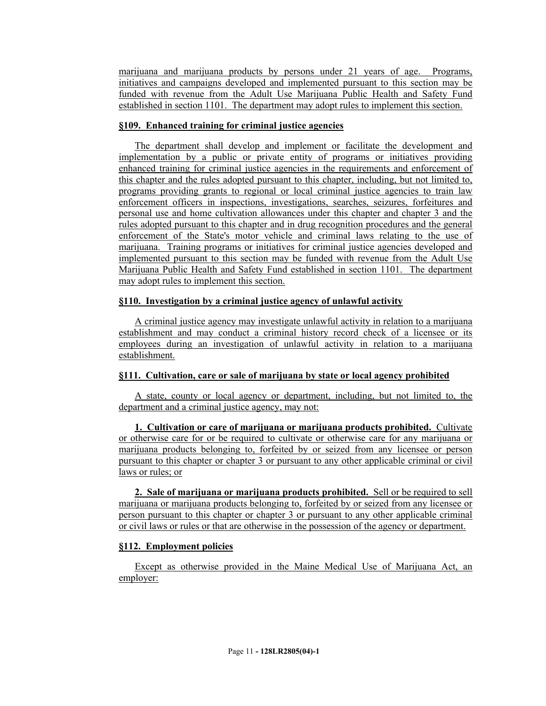marijuana and marijuana products by persons under 21 years of age. Programs, initiatives and campaigns developed and implemented pursuant to this section may be funded with revenue from the Adult Use Marijuana Public Health and Safety Fund established in section 1101. The department may adopt rules to implement this section.

# **§109. Enhanced training for criminal justice agencies**

The department shall develop and implement or facilitate the development and implementation by a public or private entity of programs or initiatives providing enhanced training for criminal justice agencies in the requirements and enforcement of this chapter and the rules adopted pursuant to this chapter, including, but not limited to, programs providing grants to regional or local criminal justice agencies to train law enforcement officers in inspections, investigations, searches, seizures, forfeitures and personal use and home cultivation allowances under this chapter and chapter 3 and the rules adopted pursuant to this chapter and in drug recognition procedures and the general enforcement of the State's motor vehicle and criminal laws relating to the use of marijuana. Training programs or initiatives for criminal justice agencies developed and implemented pursuant to this section may be funded with revenue from the Adult Use Marijuana Public Health and Safety Fund established in section 1101. The department may adopt rules to implement this section.

# **§110. Investigation by a criminal justice agency of unlawful activity**

A criminal justice agency may investigate unlawful activity in relation to a marijuana establishment and may conduct a criminal history record check of a licensee or its employees during an investigation of unlawful activity in relation to a marijuana establishment.

### **§111. Cultivation, care or sale of marijuana by state or local agency prohibited**

A state, county or local agency or department, including, but not limited to, the department and a criminal justice agency, may not:

**1. Cultivation or care of marijuana or marijuana products prohibited.** Cultivate or otherwise care for or be required to cultivate or otherwise care for any marijuana or marijuana products belonging to, forfeited by or seized from any licensee or person pursuant to this chapter or chapter 3 or pursuant to any other applicable criminal or civil laws or rules; or

**2. Sale of marijuana or marijuana products prohibited.** Sell or be required to sell marijuana or marijuana products belonging to, forfeited by or seized from any licensee or person pursuant to this chapter or chapter 3 or pursuant to any other applicable criminal or civil laws or rules or that are otherwise in the possession of the agency or department.

# **§112. Employment policies**

Except as otherwise provided in the Maine Medical Use of Marijuana Act, an employer: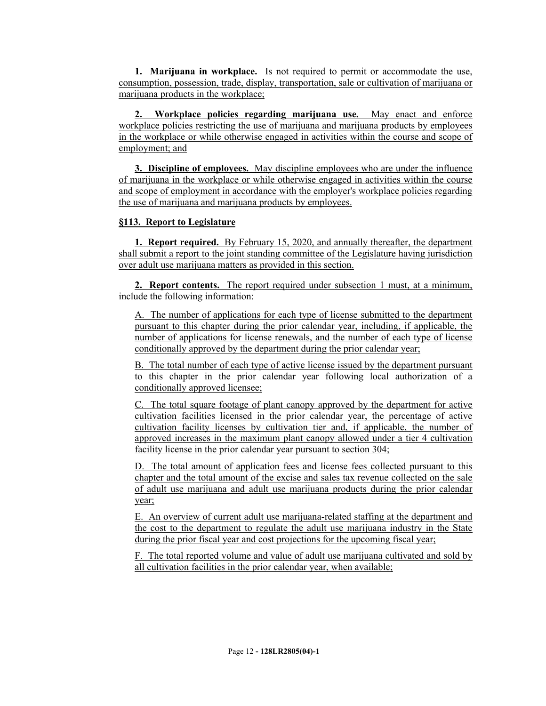**1. Marijuana in workplace.** Is not required to permit or accommodate the use, consumption, possession, trade, display, transportation, sale or cultivation of marijuana or marijuana products in the workplace;

**2. Workplace policies regarding marijuana use.** May enact and enforce workplace policies restricting the use of marijuana and marijuana products by employees in the workplace or while otherwise engaged in activities within the course and scope of employment; and

**3. Discipline of employees.** May discipline employees who are under the influence of marijuana in the workplace or while otherwise engaged in activities within the course and scope of employment in accordance with the employer's workplace policies regarding the use of marijuana and marijuana products by employees.

#### **§113. Report to Legislature**

**1. Report required.** By February 15, 2020, and annually thereafter, the department shall submit a report to the joint standing committee of the Legislature having jurisdiction over adult use marijuana matters as provided in this section.

**2. Report contents.** The report required under subsection 1 must, at a minimum, include the following information:

A. The number of applications for each type of license submitted to the department pursuant to this chapter during the prior calendar year, including, if applicable, the number of applications for license renewals, and the number of each type of license conditionally approved by the department during the prior calendar year;

B. The total number of each type of active license issued by the department pursuant to this chapter in the prior calendar year following local authorization of a conditionally approved licensee;

C. The total square footage of plant canopy approved by the department for active cultivation facilities licensed in the prior calendar year, the percentage of active cultivation facility licenses by cultivation tier and, if applicable, the number of approved increases in the maximum plant canopy allowed under a tier 4 cultivation facility license in the prior calendar year pursuant to section 304;

D. The total amount of application fees and license fees collected pursuant to this chapter and the total amount of the excise and sales tax revenue collected on the sale of adult use marijuana and adult use marijuana products during the prior calendar year;

E. An overview of current adult use marijuana-related staffing at the department and the cost to the department to regulate the adult use marijuana industry in the State during the prior fiscal year and cost projections for the upcoming fiscal year;

F. The total reported volume and value of adult use marijuana cultivated and sold by all cultivation facilities in the prior calendar year, when available;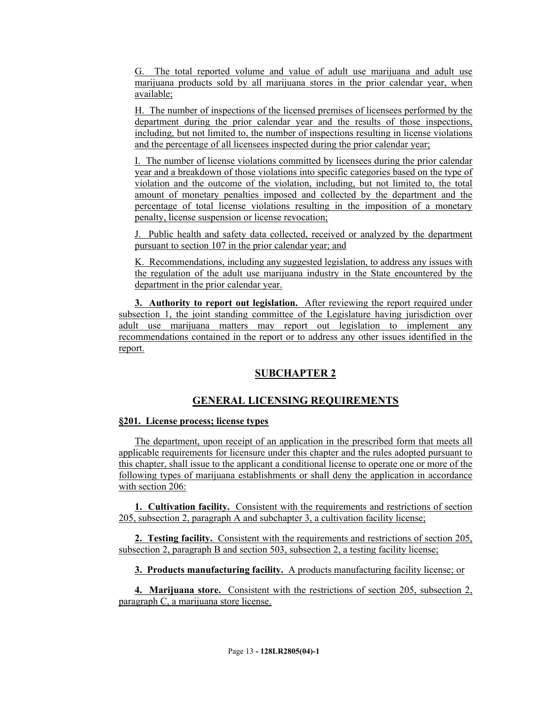G. The total reported volume and value of adult use marijuana and adult use marijuana products sold by all marijuana stores in the prior calendar year, when available;

H. The number of inspections of the licensed premises of licensees performed by the department during the prior calendar year and the results of those inspections, including, but not limited to, the number of inspections resulting in license violations and the percentage of all licensees inspected during the prior calendar year;

I. The number of license violations committed by licensees during the prior calendar year and a breakdown of those violations into specific categories based on the type of violation and the outcome of the violation, including, but not limited to, the total amount of monetary penalties imposed and collected by the department and the percentage of total license violations resulting in the imposition of a monetary penalty, license suspension or license revocation;

J. Public health and safety data collected, received or analyzed by the department pursuant to section 107 in the prior calendar year; and

K. Recommendations, including any suggested legislation, to address any issues with the regulation of the adult use marijuana industry in the State encountered by the department in the prior calendar year.

**3. Authority to report out legislation.** After reviewing the report required under subsection 1, the joint standing committee of the Legislature having jurisdiction over adult use marijuana matters may report out legislation to implement any recommendations contained in the report or to address any other issues identified in the report.

# **SUBCHAPTER 2**

# **GENERAL LICENSING REQUIREMENTS**

### **§201. License process; license types**

The department, upon receipt of an application in the prescribed form that meets all applicable requirements for licensure under this chapter and the rules adopted pursuant to this chapter, shall issue to the applicant a conditional license to operate one or more of the following types of marijuana establishments or shall deny the application in accordance with section 206:

**1. Cultivation facility.** Consistent with the requirements and restrictions of section 205, subsection 2, paragraph A and subchapter 3, a cultivation facility license;

**2. Testing facility.** Consistent with the requirements and restrictions of section 205, subsection 2, paragraph B and section 503, subsection 2, a testing facility license;

**3. Products manufacturing facility.** A products manufacturing facility license; or

**4. Marijuana store.** Consistent with the restrictions of section 205, subsection 2, paragraph C, a marijuana store license.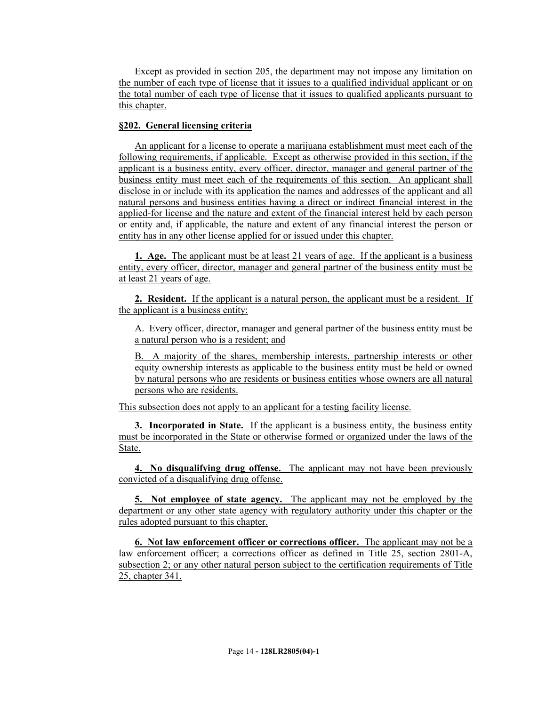Except as provided in section 205, the department may not impose any limitation on the number of each type of license that it issues to a qualified individual applicant or on the total number of each type of license that it issues to qualified applicants pursuant to this chapter.

# **§202. General licensing criteria**

An applicant for a license to operate a marijuana establishment must meet each of the following requirements, if applicable. Except as otherwise provided in this section, if the applicant is a business entity, every officer, director, manager and general partner of the business entity must meet each of the requirements of this section. An applicant shall disclose in or include with its application the names and addresses of the applicant and all natural persons and business entities having a direct or indirect financial interest in the applied-for license and the nature and extent of the financial interest held by each person or entity and, if applicable, the nature and extent of any financial interest the person or entity has in any other license applied for or issued under this chapter.

**1. Age.** The applicant must be at least 21 years of age. If the applicant is a business entity, every officer, director, manager and general partner of the business entity must be at least 21 years of age.

**2. Resident.** If the applicant is a natural person, the applicant must be a resident. If the applicant is a business entity:

A. Every officer, director, manager and general partner of the business entity must be a natural person who is a resident; and

B. A majority of the shares, membership interests, partnership interests or other equity ownership interests as applicable to the business entity must be held or owned by natural persons who are residents or business entities whose owners are all natural persons who are residents.

This subsection does not apply to an applicant for a testing facility license.

**3. Incorporated in State.** If the applicant is a business entity, the business entity must be incorporated in the State or otherwise formed or organized under the laws of the State.

**4. No disqualifying drug offense.** The applicant may not have been previously convicted of a disqualifying drug offense.

**5. Not employee of state agency.** The applicant may not be employed by the department or any other state agency with regulatory authority under this chapter or the rules adopted pursuant to this chapter.

**6. Not law enforcement officer or corrections officer.** The applicant may not be a law enforcement officer; a corrections officer as defined in Title 25, section 2801-A, subsection 2; or any other natural person subject to the certification requirements of Title 25, chapter 341.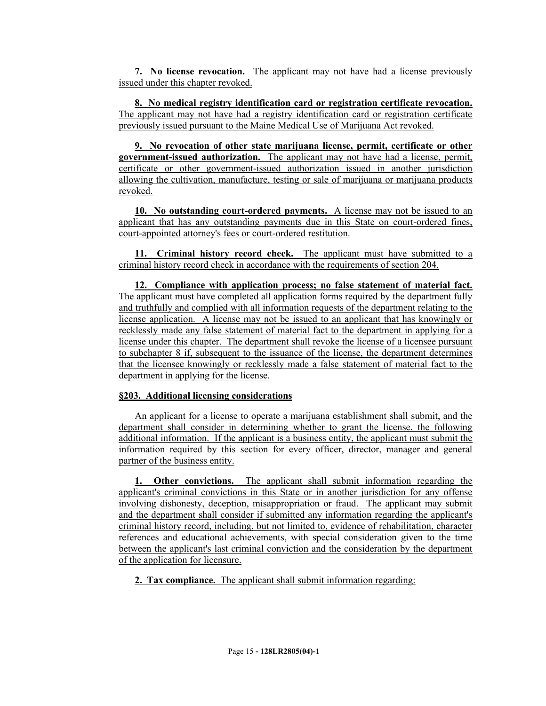**7. No license revocation.** The applicant may not have had a license previously issued under this chapter revoked.

**8. No medical registry identification card or registration certificate revocation.**  The applicant may not have had a registry identification card or registration certificate previously issued pursuant to the Maine Medical Use of Marijuana Act revoked.

**9. No revocation of other state marijuana license, permit, certificate or other government-issued authorization.** The applicant may not have had a license, permit, certificate or other government-issued authorization issued in another jurisdiction allowing the cultivation, manufacture, testing or sale of marijuana or marijuana products revoked.

**10. No outstanding court-ordered payments.** A license may not be issued to an applicant that has any outstanding payments due in this State on court-ordered fines, court-appointed attorney's fees or court-ordered restitution.

**11. Criminal history record check.** The applicant must have submitted to a criminal history record check in accordance with the requirements of section 204.

**12. Compliance with application process; no false statement of material fact.**  The applicant must have completed all application forms required by the department fully and truthfully and complied with all information requests of the department relating to the license application. A license may not be issued to an applicant that has knowingly or recklessly made any false statement of material fact to the department in applying for a license under this chapter. The department shall revoke the license of a licensee pursuant to subchapter 8 if, subsequent to the issuance of the license, the department determines that the licensee knowingly or recklessly made a false statement of material fact to the department in applying for the license.

### **§203. Additional licensing considerations**

An applicant for a license to operate a marijuana establishment shall submit, and the department shall consider in determining whether to grant the license, the following additional information. If the applicant is a business entity, the applicant must submit the information required by this section for every officer, director, manager and general partner of the business entity.

**1. Other convictions.** The applicant shall submit information regarding the applicant's criminal convictions in this State or in another jurisdiction for any offense involving dishonesty, deception, misappropriation or fraud. The applicant may submit and the department shall consider if submitted any information regarding the applicant's criminal history record, including, but not limited to, evidence of rehabilitation, character references and educational achievements, with special consideration given to the time between the applicant's last criminal conviction and the consideration by the department of the application for licensure.

**2. Tax compliance.** The applicant shall submit information regarding: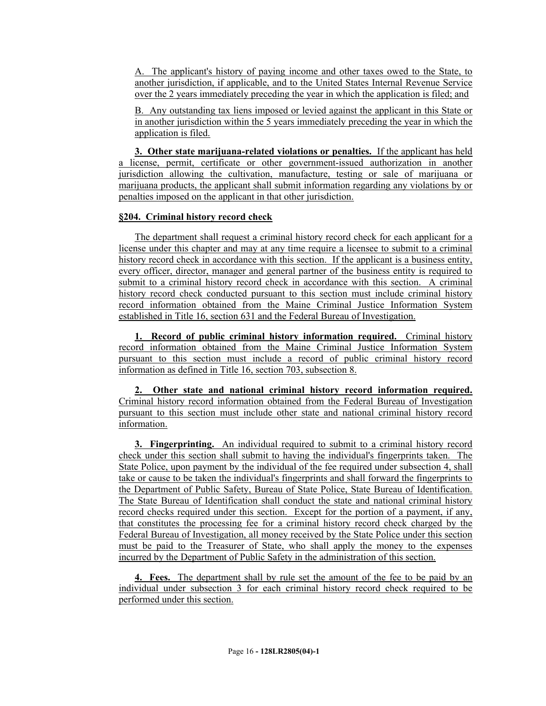A. The applicant's history of paying income and other taxes owed to the State, to another jurisdiction, if applicable, and to the United States Internal Revenue Service over the 2 years immediately preceding the year in which the application is filed; and

B. Any outstanding tax liens imposed or levied against the applicant in this State or in another jurisdiction within the 5 years immediately preceding the year in which the application is filed.

**3. Other state marijuana-related violations or penalties.** If the applicant has held a license, permit, certificate or other government-issued authorization in another jurisdiction allowing the cultivation, manufacture, testing or sale of marijuana or marijuana products, the applicant shall submit information regarding any violations by or penalties imposed on the applicant in that other jurisdiction.

### **§204. Criminal history record check**

The department shall request a criminal history record check for each applicant for a license under this chapter and may at any time require a licensee to submit to a criminal history record check in accordance with this section. If the applicant is a business entity, every officer, director, manager and general partner of the business entity is required to submit to a criminal history record check in accordance with this section. A criminal history record check conducted pursuant to this section must include criminal history record information obtained from the Maine Criminal Justice Information System established in Title 16, section 631 and the Federal Bureau of Investigation.

**1. Record of public criminal history information required.** Criminal history record information obtained from the Maine Criminal Justice Information System pursuant to this section must include a record of public criminal history record information as defined in Title 16, section 703, subsection 8.

**2. Other state and national criminal history record information required.**  Criminal history record information obtained from the Federal Bureau of Investigation pursuant to this section must include other state and national criminal history record information.

**3. Fingerprinting.** An individual required to submit to a criminal history record check under this section shall submit to having the individual's fingerprints taken. The State Police, upon payment by the individual of the fee required under subsection 4, shall take or cause to be taken the individual's fingerprints and shall forward the fingerprints to the Department of Public Safety, Bureau of State Police, State Bureau of Identification. The State Bureau of Identification shall conduct the state and national criminal history record checks required under this section. Except for the portion of a payment, if any, that constitutes the processing fee for a criminal history record check charged by the Federal Bureau of Investigation, all money received by the State Police under this section must be paid to the Treasurer of State, who shall apply the money to the expenses incurred by the Department of Public Safety in the administration of this section.

**4. Fees.** The department shall by rule set the amount of the fee to be paid by an individual under subsection 3 for each criminal history record check required to be performed under this section.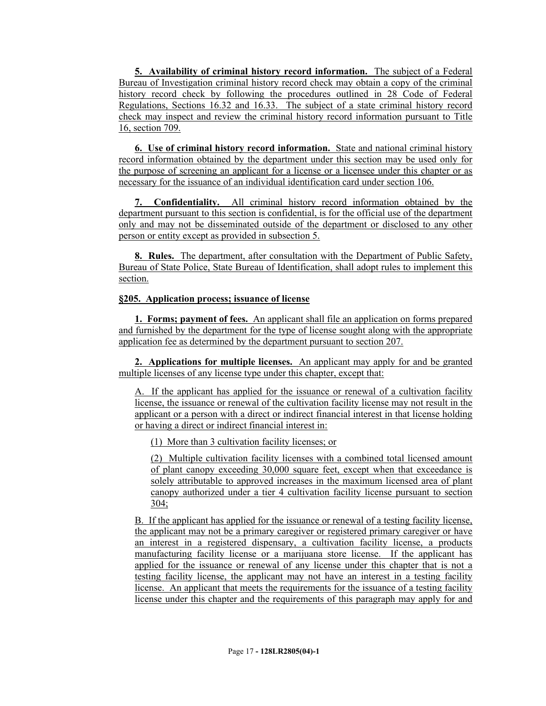**5. Availability of criminal history record information.** The subject of a Federal Bureau of Investigation criminal history record check may obtain a copy of the criminal history record check by following the procedures outlined in 28 Code of Federal Regulations, Sections 16.32 and 16.33. The subject of a state criminal history record check may inspect and review the criminal history record information pursuant to Title 16, section 709.

**6. Use of criminal history record information.** State and national criminal history record information obtained by the department under this section may be used only for the purpose of screening an applicant for a license or a licensee under this chapter or as necessary for the issuance of an individual identification card under section 106.

**7. Confidentiality.** All criminal history record information obtained by the department pursuant to this section is confidential, is for the official use of the department only and may not be disseminated outside of the department or disclosed to any other person or entity except as provided in subsection 5.

**8. Rules.** The department, after consultation with the Department of Public Safety, Bureau of State Police, State Bureau of Identification, shall adopt rules to implement this section.

# **§205. Application process; issuance of license**

**1. Forms; payment of fees.** An applicant shall file an application on forms prepared and furnished by the department for the type of license sought along with the appropriate application fee as determined by the department pursuant to section 207.

**2. Applications for multiple licenses.** An applicant may apply for and be granted multiple licenses of any license type under this chapter, except that:

A. If the applicant has applied for the issuance or renewal of a cultivation facility license, the issuance or renewal of the cultivation facility license may not result in the applicant or a person with a direct or indirect financial interest in that license holding or having a direct or indirect financial interest in:

(1) More than 3 cultivation facility licenses; or

(2) Multiple cultivation facility licenses with a combined total licensed amount of plant canopy exceeding 30,000 square feet, except when that exceedance is solely attributable to approved increases in the maximum licensed area of plant canopy authorized under a tier 4 cultivation facility license pursuant to section 304;

B. If the applicant has applied for the issuance or renewal of a testing facility license, the applicant may not be a primary caregiver or registered primary caregiver or have an interest in a registered dispensary, a cultivation facility license, a products manufacturing facility license or a marijuana store license. If the applicant has applied for the issuance or renewal of any license under this chapter that is not a testing facility license, the applicant may not have an interest in a testing facility license. An applicant that meets the requirements for the issuance of a testing facility license under this chapter and the requirements of this paragraph may apply for and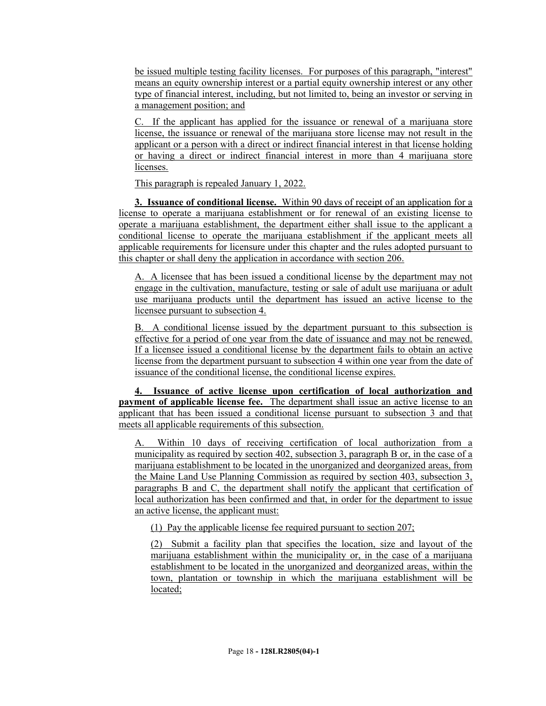be issued multiple testing facility licenses. For purposes of this paragraph, "interest" means an equity ownership interest or a partial equity ownership interest or any other type of financial interest, including, but not limited to, being an investor or serving in a management position; and

C. If the applicant has applied for the issuance or renewal of a marijuana store license, the issuance or renewal of the marijuana store license may not result in the applicant or a person with a direct or indirect financial interest in that license holding or having a direct or indirect financial interest in more than 4 marijuana store licenses.

This paragraph is repealed January 1, 2022.

**3. Issuance of conditional license.** Within 90 days of receipt of an application for a license to operate a marijuana establishment or for renewal of an existing license to operate a marijuana establishment, the department either shall issue to the applicant a conditional license to operate the marijuana establishment if the applicant meets all applicable requirements for licensure under this chapter and the rules adopted pursuant to this chapter or shall deny the application in accordance with section 206.

A. A licensee that has been issued a conditional license by the department may not engage in the cultivation, manufacture, testing or sale of adult use marijuana or adult use marijuana products until the department has issued an active license to the licensee pursuant to subsection 4.

B. A conditional license issued by the department pursuant to this subsection is effective for a period of one year from the date of issuance and may not be renewed. If a licensee issued a conditional license by the department fails to obtain an active license from the department pursuant to subsection 4 within one year from the date of issuance of the conditional license, the conditional license expires.

**4. Issuance of active license upon certification of local authorization and payment of applicable license fee.** The department shall issue an active license to an applicant that has been issued a conditional license pursuant to subsection 3 and that meets all applicable requirements of this subsection.

A. Within 10 days of receiving certification of local authorization from a municipality as required by section 402, subsection 3, paragraph B or, in the case of a marijuana establishment to be located in the unorganized and deorganized areas, from the Maine Land Use Planning Commission as required by section 403, subsection 3, paragraphs B and C, the department shall notify the applicant that certification of local authorization has been confirmed and that, in order for the department to issue an active license, the applicant must:

(1) Pay the applicable license fee required pursuant to section 207;

(2) Submit a facility plan that specifies the location, size and layout of the marijuana establishment within the municipality or, in the case of a marijuana establishment to be located in the unorganized and deorganized areas, within the town, plantation or township in which the marijuana establishment will be located;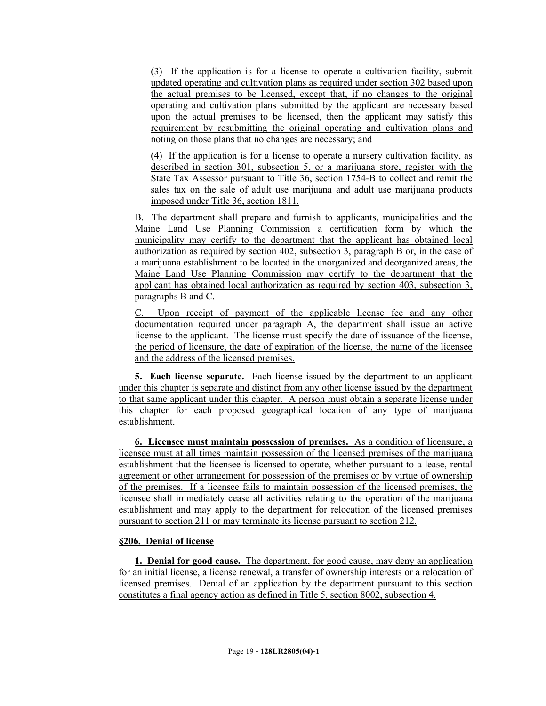(3) If the application is for a license to operate a cultivation facility, submit updated operating and cultivation plans as required under section 302 based upon the actual premises to be licensed, except that, if no changes to the original operating and cultivation plans submitted by the applicant are necessary based upon the actual premises to be licensed, then the applicant may satisfy this requirement by resubmitting the original operating and cultivation plans and noting on those plans that no changes are necessary; and

(4) If the application is for a license to operate a nursery cultivation facility, as described in section 301, subsection 5, or a marijuana store, register with the State Tax Assessor pursuant to Title 36, section 1754-B to collect and remit the sales tax on the sale of adult use marijuana and adult use marijuana products imposed under Title 36, section 1811.

B. The department shall prepare and furnish to applicants, municipalities and the Maine Land Use Planning Commission a certification form by which the municipality may certify to the department that the applicant has obtained local authorization as required by section 402, subsection 3, paragraph B or, in the case of a marijuana establishment to be located in the unorganized and deorganized areas, the Maine Land Use Planning Commission may certify to the department that the applicant has obtained local authorization as required by section 403, subsection 3, paragraphs B and C.

Upon receipt of payment of the applicable license fee and any other documentation required under paragraph A, the department shall issue an active license to the applicant. The license must specify the date of issuance of the license, the period of licensure, the date of expiration of the license, the name of the licensee and the address of the licensed premises.

**5. Each license separate.** Each license issued by the department to an applicant under this chapter is separate and distinct from any other license issued by the department to that same applicant under this chapter. A person must obtain a separate license under this chapter for each proposed geographical location of any type of marijuana establishment.

**6. Licensee must maintain possession of premises.** As a condition of licensure, a licensee must at all times maintain possession of the licensed premises of the marijuana establishment that the licensee is licensed to operate, whether pursuant to a lease, rental agreement or other arrangement for possession of the premises or by virtue of ownership of the premises. If a licensee fails to maintain possession of the licensed premises, the licensee shall immediately cease all activities relating to the operation of the marijuana establishment and may apply to the department for relocation of the licensed premises pursuant to section 211 or may terminate its license pursuant to section 212.

### **§206. Denial of license**

**1. Denial for good cause.** The department, for good cause, may deny an application for an initial license, a license renewal, a transfer of ownership interests or a relocation of licensed premises. Denial of an application by the department pursuant to this section constitutes a final agency action as defined in Title 5, section 8002, subsection 4.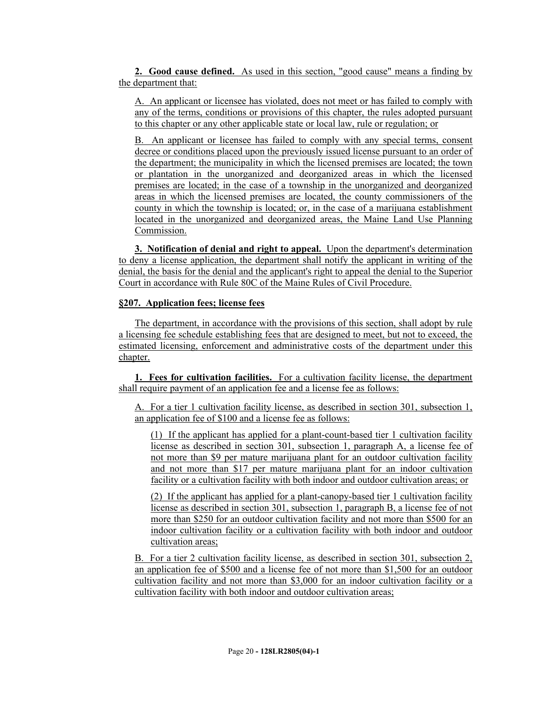**2. Good cause defined.** As used in this section, "good cause" means a finding by the department that:

A. An applicant or licensee has violated, does not meet or has failed to comply with any of the terms, conditions or provisions of this chapter, the rules adopted pursuant to this chapter or any other applicable state or local law, rule or regulation; or

B. An applicant or licensee has failed to comply with any special terms, consent decree or conditions placed upon the previously issued license pursuant to an order of the department; the municipality in which the licensed premises are located; the town or plantation in the unorganized and deorganized areas in which the licensed premises are located; in the case of a township in the unorganized and deorganized areas in which the licensed premises are located, the county commissioners of the county in which the township is located; or, in the case of a marijuana establishment located in the unorganized and deorganized areas, the Maine Land Use Planning Commission.

**3. Notification of denial and right to appeal.** Upon the department's determination to deny a license application, the department shall notify the applicant in writing of the denial, the basis for the denial and the applicant's right to appeal the denial to the Superior Court in accordance with Rule 80C of the Maine Rules of Civil Procedure.

#### **§207. Application fees; license fees**

The department, in accordance with the provisions of this section, shall adopt by rule a licensing fee schedule establishing fees that are designed to meet, but not to exceed, the estimated licensing, enforcement and administrative costs of the department under this chapter.

**1. Fees for cultivation facilities.** For a cultivation facility license, the department shall require payment of an application fee and a license fee as follows:

A. For a tier 1 cultivation facility license, as described in section 301, subsection 1, an application fee of \$100 and a license fee as follows:

(1) If the applicant has applied for a plant-count-based tier 1 cultivation facility license as described in section 301, subsection 1, paragraph A, a license fee of not more than \$9 per mature marijuana plant for an outdoor cultivation facility and not more than \$17 per mature marijuana plant for an indoor cultivation facility or a cultivation facility with both indoor and outdoor cultivation areas; or

(2) If the applicant has applied for a plant-canopy-based tier 1 cultivation facility license as described in section 301, subsection 1, paragraph B, a license fee of not more than \$250 for an outdoor cultivation facility and not more than \$500 for an indoor cultivation facility or a cultivation facility with both indoor and outdoor cultivation areas;

B. For a tier 2 cultivation facility license, as described in section 301, subsection 2, an application fee of \$500 and a license fee of not more than \$1,500 for an outdoor cultivation facility and not more than \$3,000 for an indoor cultivation facility or a cultivation facility with both indoor and outdoor cultivation areas;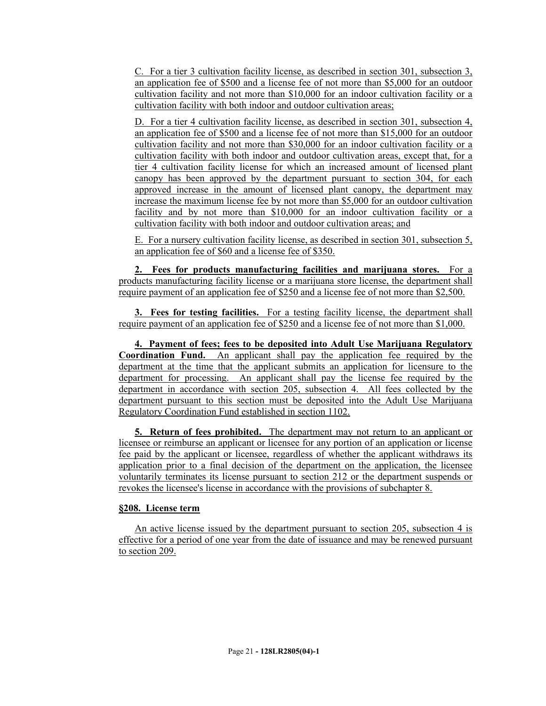C. For a tier 3 cultivation facility license, as described in section 301, subsection 3, an application fee of \$500 and a license fee of not more than \$5,000 for an outdoor cultivation facility and not more than \$10,000 for an indoor cultivation facility or a cultivation facility with both indoor and outdoor cultivation areas;

D. For a tier 4 cultivation facility license, as described in section 301, subsection 4, an application fee of \$500 and a license fee of not more than \$15,000 for an outdoor cultivation facility and not more than \$30,000 for an indoor cultivation facility or a cultivation facility with both indoor and outdoor cultivation areas, except that, for a tier 4 cultivation facility license for which an increased amount of licensed plant canopy has been approved by the department pursuant to section 304, for each approved increase in the amount of licensed plant canopy, the department may increase the maximum license fee by not more than \$5,000 for an outdoor cultivation facility and by not more than \$10,000 for an indoor cultivation facility or a cultivation facility with both indoor and outdoor cultivation areas; and

E. For a nursery cultivation facility license, as described in section 301, subsection 5, an application fee of \$60 and a license fee of \$350.

**2. Fees for products manufacturing facilities and marijuana stores.** For a products manufacturing facility license or a marijuana store license, the department shall require payment of an application fee of \$250 and a license fee of not more than \$2,500.

**3. Fees for testing facilities.** For a testing facility license, the department shall require payment of an application fee of \$250 and a license fee of not more than \$1,000.

**4. Payment of fees; fees to be deposited into Adult Use Marijuana Regulatory Coordination Fund.** An applicant shall pay the application fee required by the department at the time that the applicant submits an application for licensure to the department for processing. An applicant shall pay the license fee required by the department in accordance with section 205, subsection 4. All fees collected by the department pursuant to this section must be deposited into the Adult Use Marijuana Regulatory Coordination Fund established in section 1102.

**5. Return of fees prohibited.** The department may not return to an applicant or licensee or reimburse an applicant or licensee for any portion of an application or license fee paid by the applicant or licensee, regardless of whether the applicant withdraws its application prior to a final decision of the department on the application, the licensee voluntarily terminates its license pursuant to section 212 or the department suspends or revokes the licensee's license in accordance with the provisions of subchapter 8.

### **§208. License term**

An active license issued by the department pursuant to section 205, subsection 4 is effective for a period of one year from the date of issuance and may be renewed pursuant to section 209.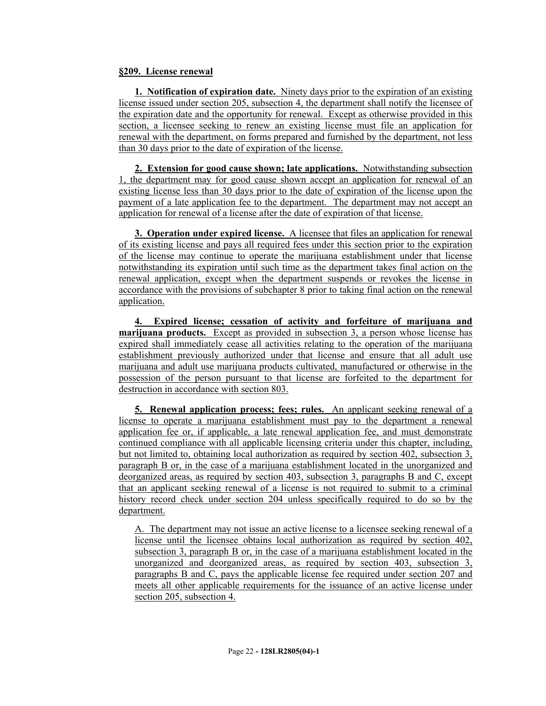### **§209. License renewal**

**1. Notification of expiration date.** Ninety days prior to the expiration of an existing license issued under section 205, subsection 4, the department shall notify the licensee of the expiration date and the opportunity for renewal. Except as otherwise provided in this section, a licensee seeking to renew an existing license must file an application for renewal with the department, on forms prepared and furnished by the department, not less than 30 days prior to the date of expiration of the license.

**2. Extension for good cause shown; late applications.** Notwithstanding subsection 1, the department may for good cause shown accept an application for renewal of an existing license less than 30 days prior to the date of expiration of the license upon the payment of a late application fee to the department. The department may not accept an application for renewal of a license after the date of expiration of that license.

**3. Operation under expired license.** A licensee that files an application for renewal of its existing license and pays all required fees under this section prior to the expiration of the license may continue to operate the marijuana establishment under that license notwithstanding its expiration until such time as the department takes final action on the renewal application, except when the department suspends or revokes the license in accordance with the provisions of subchapter 8 prior to taking final action on the renewal application.

**4. Expired license; cessation of activity and forfeiture of marijuana and marijuana products.** Except as provided in subsection 3, a person whose license has expired shall immediately cease all activities relating to the operation of the marijuana establishment previously authorized under that license and ensure that all adult use marijuana and adult use marijuana products cultivated, manufactured or otherwise in the possession of the person pursuant to that license are forfeited to the department for destruction in accordance with section 803.

**5. Renewal application process; fees; rules.** An applicant seeking renewal of a license to operate a marijuana establishment must pay to the department a renewal application fee or, if applicable, a late renewal application fee, and must demonstrate continued compliance with all applicable licensing criteria under this chapter, including, but not limited to, obtaining local authorization as required by section 402, subsection 3, paragraph B or, in the case of a marijuana establishment located in the unorganized and deorganized areas, as required by section 403, subsection 3, paragraphs B and C, except that an applicant seeking renewal of a license is not required to submit to a criminal history record check under section 204 unless specifically required to do so by the department.

A. The department may not issue an active license to a licensee seeking renewal of a license until the licensee obtains local authorization as required by section 402, subsection 3, paragraph B or, in the case of a marijuana establishment located in the unorganized and deorganized areas, as required by section 403, subsection 3, paragraphs B and C, pays the applicable license fee required under section 207 and meets all other applicable requirements for the issuance of an active license under section 205, subsection 4.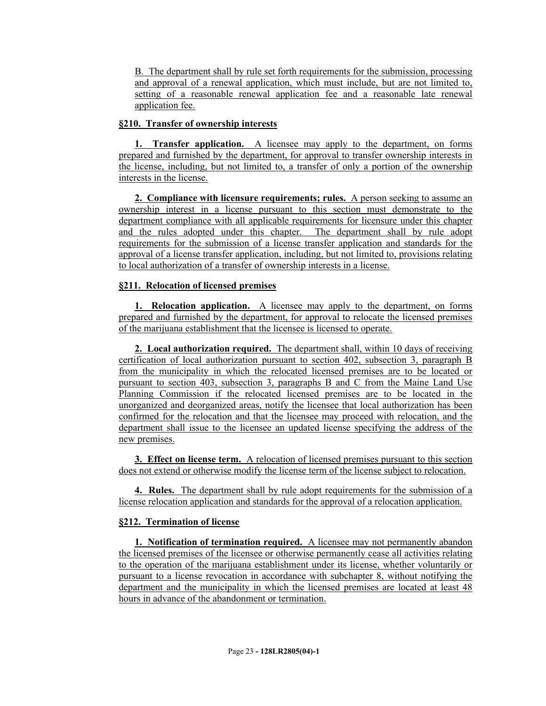B. The department shall by rule set forth requirements for the submission, processing and approval of a renewal application, which must include, but are not limited to, setting of a reasonable renewal application fee and a reasonable late renewal application fee.

# **§210. Transfer of ownership interests**

**1. Transfer application.** A licensee may apply to the department, on forms prepared and furnished by the department, for approval to transfer ownership interests in the license, including, but not limited to, a transfer of only a portion of the ownership interests in the license.

**2. Compliance with licensure requirements; rules.** A person seeking to assume an ownership interest in a license pursuant to this section must demonstrate to the department compliance with all applicable requirements for licensure under this chapter and the rules adopted under this chapter. The department shall by rule adopt requirements for the submission of a license transfer application and standards for the approval of a license transfer application, including, but not limited to, provisions relating to local authorization of a transfer of ownership interests in a license.

# **§211. Relocation of licensed premises**

**1. Relocation application.** A licensee may apply to the department, on forms prepared and furnished by the department, for approval to relocate the licensed premises of the marijuana establishment that the licensee is licensed to operate.

**2. Local authorization required.** The department shall, within 10 days of receiving certification of local authorization pursuant to section 402, subsection 3, paragraph B from the municipality in which the relocated licensed premises are to be located or pursuant to section 403, subsection 3, paragraphs B and C from the Maine Land Use Planning Commission if the relocated licensed premises are to be located in the unorganized and deorganized areas, notify the licensee that local authorization has been confirmed for the relocation and that the licensee may proceed with relocation, and the department shall issue to the licensee an updated license specifying the address of the new premises.

**3. Effect on license term.** A relocation of licensed premises pursuant to this section does not extend or otherwise modify the license term of the license subject to relocation.

**4. Rules.** The department shall by rule adopt requirements for the submission of a license relocation application and standards for the approval of a relocation application.

# **§212. Termination of license**

**1. Notification of termination required.** A licensee may not permanently abandon the licensed premises of the licensee or otherwise permanently cease all activities relating to the operation of the marijuana establishment under its license, whether voluntarily or pursuant to a license revocation in accordance with subchapter 8, without notifying the department and the municipality in which the licensed premises are located at least 48 hours in advance of the abandonment or termination.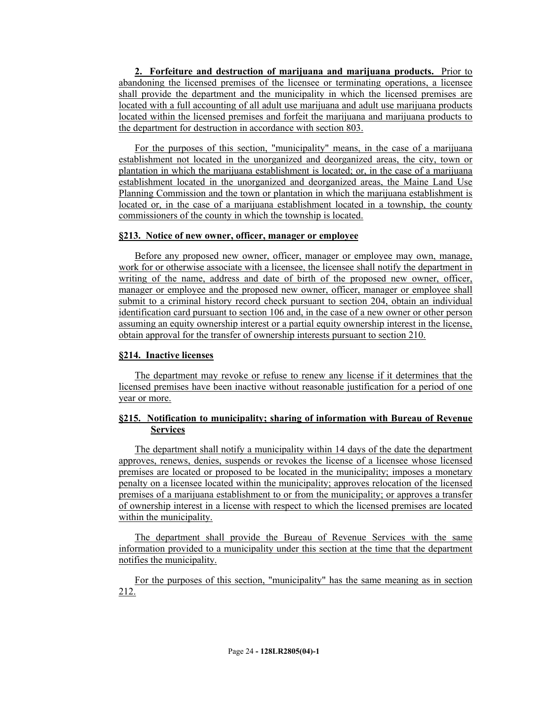**2. Forfeiture and destruction of marijuana and marijuana products.** Prior to abandoning the licensed premises of the licensee or terminating operations, a licensee shall provide the department and the municipality in which the licensed premises are located with a full accounting of all adult use marijuana and adult use marijuana products located within the licensed premises and forfeit the marijuana and marijuana products to the department for destruction in accordance with section 803.

For the purposes of this section, "municipality" means, in the case of a marijuana establishment not located in the unorganized and deorganized areas, the city, town or plantation in which the marijuana establishment is located; or, in the case of a marijuana establishment located in the unorganized and deorganized areas, the Maine Land Use Planning Commission and the town or plantation in which the marijuana establishment is located or, in the case of a marijuana establishment located in a township, the county commissioners of the county in which the township is located.

#### **§213. Notice of new owner, officer, manager or employee**

Before any proposed new owner, officer, manager or employee may own, manage, work for or otherwise associate with a licensee, the licensee shall notify the department in writing of the name, address and date of birth of the proposed new owner, officer, manager or employee and the proposed new owner, officer, manager or employee shall submit to a criminal history record check pursuant to section 204, obtain an individual identification card pursuant to section 106 and, in the case of a new owner or other person assuming an equity ownership interest or a partial equity ownership interest in the license, obtain approval for the transfer of ownership interests pursuant to section 210.

#### **§214. Inactive licenses**

The department may revoke or refuse to renew any license if it determines that the licensed premises have been inactive without reasonable justification for a period of one year or more.

# **§215. Notification to municipality; sharing of information with Bureau of Revenue Services**

The department shall notify a municipality within 14 days of the date the department approves, renews, denies, suspends or revokes the license of a licensee whose licensed premises are located or proposed to be located in the municipality; imposes a monetary penalty on a licensee located within the municipality; approves relocation of the licensed premises of a marijuana establishment to or from the municipality; or approves a transfer of ownership interest in a license with respect to which the licensed premises are located within the municipality.

The department shall provide the Bureau of Revenue Services with the same information provided to a municipality under this section at the time that the department notifies the municipality.

For the purposes of this section, "municipality" has the same meaning as in section 212.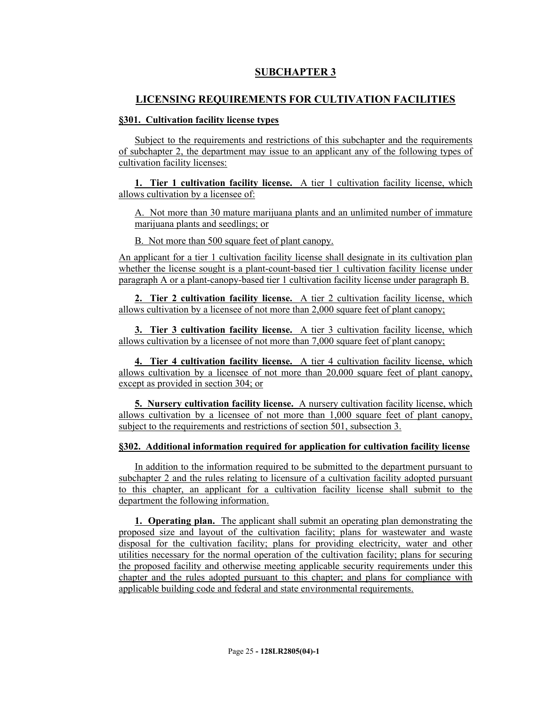# **SUBCHAPTER 3**

# **LICENSING REQUIREMENTS FOR CULTIVATION FACILITIES**

### **§301. Cultivation facility license types**

Subject to the requirements and restrictions of this subchapter and the requirements of subchapter 2, the department may issue to an applicant any of the following types of cultivation facility licenses:

**1. Tier 1 cultivation facility license.** A tier 1 cultivation facility license, which allows cultivation by a licensee of:

A. Not more than 30 mature marijuana plants and an unlimited number of immature marijuana plants and seedlings; or

B. Not more than 500 square feet of plant canopy.

An applicant for a tier 1 cultivation facility license shall designate in its cultivation plan whether the license sought is a plant-count-based tier 1 cultivation facility license under paragraph A or a plant-canopy-based tier 1 cultivation facility license under paragraph B.

**2. Tier 2 cultivation facility license.** A tier 2 cultivation facility license, which allows cultivation by a licensee of not more than 2,000 square feet of plant canopy;

**3. Tier 3 cultivation facility license.** A tier 3 cultivation facility license, which allows cultivation by a licensee of not more than 7,000 square feet of plant canopy;

**4. Tier 4 cultivation facility license.** A tier 4 cultivation facility license, which allows cultivation by a licensee of not more than 20,000 square feet of plant canopy, except as provided in section 304; or

**5. Nursery cultivation facility license.** A nursery cultivation facility license, which allows cultivation by a licensee of not more than 1,000 square feet of plant canopy, subject to the requirements and restrictions of section 501, subsection 3.

### **§302. Additional information required for application for cultivation facility license**

In addition to the information required to be submitted to the department pursuant to subchapter 2 and the rules relating to licensure of a cultivation facility adopted pursuant to this chapter, an applicant for a cultivation facility license shall submit to the department the following information.

**1. Operating plan.** The applicant shall submit an operating plan demonstrating the proposed size and layout of the cultivation facility; plans for wastewater and waste disposal for the cultivation facility; plans for providing electricity, water and other utilities necessary for the normal operation of the cultivation facility; plans for securing the proposed facility and otherwise meeting applicable security requirements under this chapter and the rules adopted pursuant to this chapter; and plans for compliance with applicable building code and federal and state environmental requirements.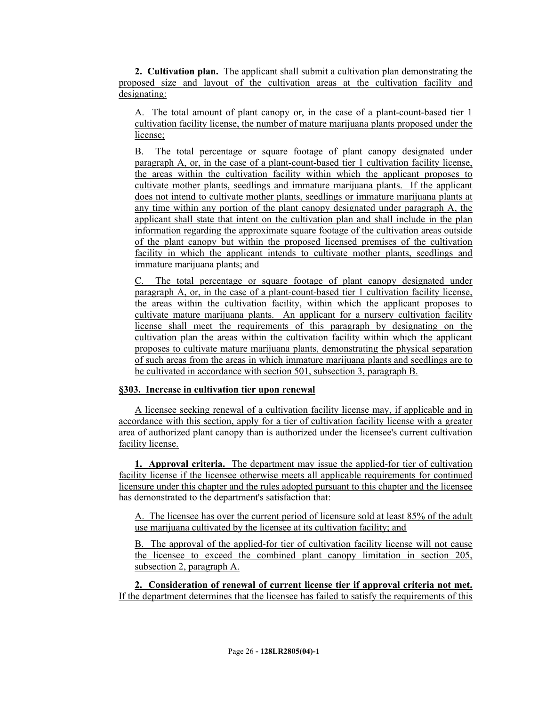**2. Cultivation plan.** The applicant shall submit a cultivation plan demonstrating the proposed size and layout of the cultivation areas at the cultivation facility and designating:

A. The total amount of plant canopy or, in the case of a plant-count-based tier 1 cultivation facility license, the number of mature marijuana plants proposed under the license;

B. The total percentage or square footage of plant canopy designated under paragraph A, or, in the case of a plant-count-based tier 1 cultivation facility license, the areas within the cultivation facility within which the applicant proposes to cultivate mother plants, seedlings and immature marijuana plants. If the applicant does not intend to cultivate mother plants, seedlings or immature marijuana plants at any time within any portion of the plant canopy designated under paragraph A, the applicant shall state that intent on the cultivation plan and shall include in the plan information regarding the approximate square footage of the cultivation areas outside of the plant canopy but within the proposed licensed premises of the cultivation facility in which the applicant intends to cultivate mother plants, seedlings and immature marijuana plants; and

C. The total percentage or square footage of plant canopy designated under paragraph A, or, in the case of a plant-count-based tier 1 cultivation facility license, the areas within the cultivation facility, within which the applicant proposes to cultivate mature marijuana plants. An applicant for a nursery cultivation facility license shall meet the requirements of this paragraph by designating on the cultivation plan the areas within the cultivation facility within which the applicant proposes to cultivate mature marijuana plants, demonstrating the physical separation of such areas from the areas in which immature marijuana plants and seedlings are to be cultivated in accordance with section 501, subsection 3, paragraph B.

### **§303. Increase in cultivation tier upon renewal**

A licensee seeking renewal of a cultivation facility license may, if applicable and in accordance with this section, apply for a tier of cultivation facility license with a greater area of authorized plant canopy than is authorized under the licensee's current cultivation facility license.

**1. Approval criteria.** The department may issue the applied-for tier of cultivation facility license if the licensee otherwise meets all applicable requirements for continued licensure under this chapter and the rules adopted pursuant to this chapter and the licensee has demonstrated to the department's satisfaction that:

A. The licensee has over the current period of licensure sold at least 85% of the adult use marijuana cultivated by the licensee at its cultivation facility; and

B. The approval of the applied-for tier of cultivation facility license will not cause the licensee to exceed the combined plant canopy limitation in section 205, subsection 2, paragraph A.

**2. Consideration of renewal of current license tier if approval criteria not met.**  If the department determines that the licensee has failed to satisfy the requirements of this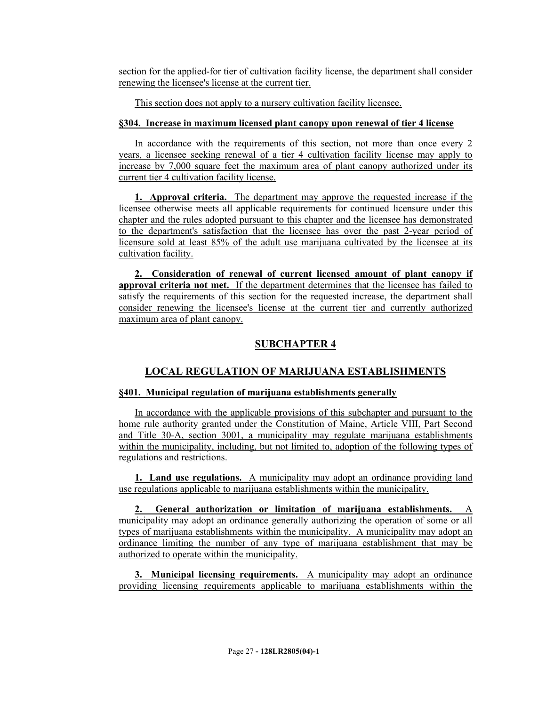section for the applied-for tier of cultivation facility license, the department shall consider renewing the licensee's license at the current tier.

This section does not apply to a nursery cultivation facility licensee.

# **§304. Increase in maximum licensed plant canopy upon renewal of tier 4 license**

In accordance with the requirements of this section, not more than once every 2 years, a licensee seeking renewal of a tier 4 cultivation facility license may apply to increase by 7,000 square feet the maximum area of plant canopy authorized under its current tier 4 cultivation facility license.

**1. Approval criteria.** The department may approve the requested increase if the licensee otherwise meets all applicable requirements for continued licensure under this chapter and the rules adopted pursuant to this chapter and the licensee has demonstrated to the department's satisfaction that the licensee has over the past 2-year period of licensure sold at least 85% of the adult use marijuana cultivated by the licensee at its cultivation facility.

**2. Consideration of renewal of current licensed amount of plant canopy if approval criteria not met.** If the department determines that the licensee has failed to satisfy the requirements of this section for the requested increase, the department shall consider renewing the licensee's license at the current tier and currently authorized maximum area of plant canopy.

# **SUBCHAPTER 4**

# **LOCAL REGULATION OF MARIJUANA ESTABLISHMENTS**

# **§401. Municipal regulation of marijuana establishments generally**

In accordance with the applicable provisions of this subchapter and pursuant to the home rule authority granted under the Constitution of Maine, Article VIII, Part Second and Title 30-A, section 3001, a municipality may regulate marijuana establishments within the municipality, including, but not limited to, adoption of the following types of regulations and restrictions.

**1. Land use regulations.** A municipality may adopt an ordinance providing land use regulations applicable to marijuana establishments within the municipality.

**2. General authorization or limitation of marijuana establishments.** A municipality may adopt an ordinance generally authorizing the operation of some or all types of marijuana establishments within the municipality. A municipality may adopt an ordinance limiting the number of any type of marijuana establishment that may be authorized to operate within the municipality.

**3. Municipal licensing requirements.** A municipality may adopt an ordinance providing licensing requirements applicable to marijuana establishments within the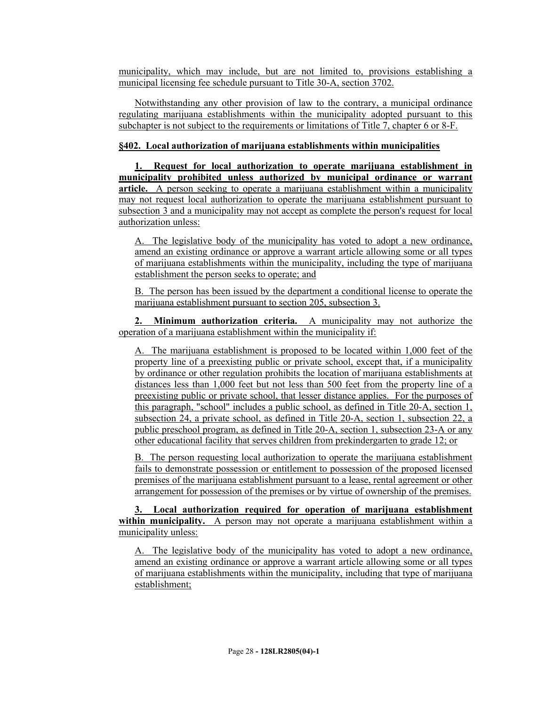municipality, which may include, but are not limited to, provisions establishing a municipal licensing fee schedule pursuant to Title 30-A, section 3702.

Notwithstanding any other provision of law to the contrary, a municipal ordinance regulating marijuana establishments within the municipality adopted pursuant to this subchapter is not subject to the requirements or limitations of Title 7, chapter 6 or 8-F.

#### **§402. Local authorization of marijuana establishments within municipalities**

**1. Request for local authorization to operate marijuana establishment in municipality prohibited unless authorized by municipal ordinance or warrant article.** A person seeking to operate a marijuana establishment within a municipality may not request local authorization to operate the marijuana establishment pursuant to subsection 3 and a municipality may not accept as complete the person's request for local authorization unless:

A. The legislative body of the municipality has voted to adopt a new ordinance, amend an existing ordinance or approve a warrant article allowing some or all types of marijuana establishments within the municipality, including the type of marijuana establishment the person seeks to operate; and

B. The person has been issued by the department a conditional license to operate the marijuana establishment pursuant to section 205, subsection 3.

**2. Minimum authorization criteria.** A municipality may not authorize the operation of a marijuana establishment within the municipality if:

A. The marijuana establishment is proposed to be located within 1,000 feet of the property line of a preexisting public or private school, except that, if a municipality by ordinance or other regulation prohibits the location of marijuana establishments at distances less than 1,000 feet but not less than 500 feet from the property line of a preexisting public or private school, that lesser distance applies. For the purposes of this paragraph, "school" includes a public school, as defined in Title 20-A, section 1, subsection 24, a private school, as defined in Title 20-A, section 1, subsection 22, a public preschool program, as defined in Title 20-A, section 1, subsection 23-A or any other educational facility that serves children from prekindergarten to grade 12; or

B. The person requesting local authorization to operate the marijuana establishment fails to demonstrate possession or entitlement to possession of the proposed licensed premises of the marijuana establishment pursuant to a lease, rental agreement or other arrangement for possession of the premises or by virtue of ownership of the premises.

**3. Local authorization required for operation of marijuana establishment within municipality.** A person may not operate a marijuana establishment within a municipality unless:

A. The legislative body of the municipality has voted to adopt a new ordinance, amend an existing ordinance or approve a warrant article allowing some or all types of marijuana establishments within the municipality, including that type of marijuana establishment;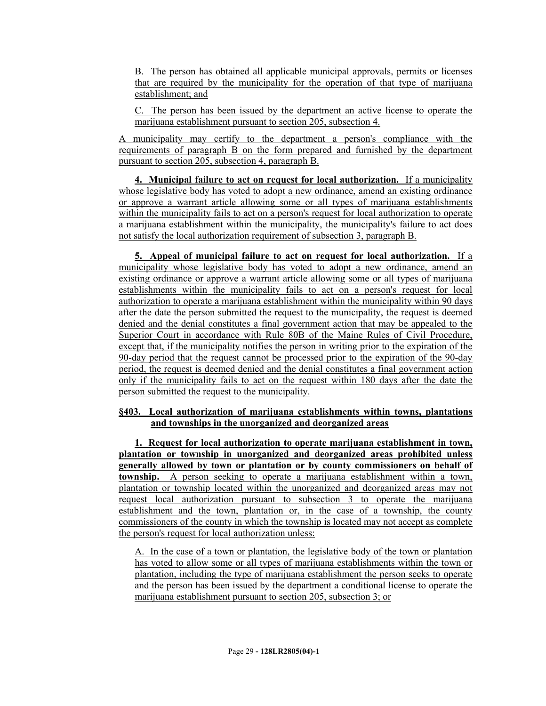B. The person has obtained all applicable municipal approvals, permits or licenses that are required by the municipality for the operation of that type of marijuana establishment; and

C. The person has been issued by the department an active license to operate the marijuana establishment pursuant to section 205, subsection 4.

A municipality may certify to the department a person's compliance with the requirements of paragraph B on the form prepared and furnished by the department pursuant to section 205, subsection 4, paragraph B.

**4. Municipal failure to act on request for local authorization.** If a municipality whose legislative body has voted to adopt a new ordinance, amend an existing ordinance or approve a warrant article allowing some or all types of marijuana establishments within the municipality fails to act on a person's request for local authorization to operate a marijuana establishment within the municipality, the municipality's failure to act does not satisfy the local authorization requirement of subsection 3, paragraph B.

**5. Appeal of municipal failure to act on request for local authorization.** If a municipality whose legislative body has voted to adopt a new ordinance, amend an existing ordinance or approve a warrant article allowing some or all types of marijuana establishments within the municipality fails to act on a person's request for local authorization to operate a marijuana establishment within the municipality within 90 days after the date the person submitted the request to the municipality, the request is deemed denied and the denial constitutes a final government action that may be appealed to the Superior Court in accordance with Rule 80B of the Maine Rules of Civil Procedure, except that, if the municipality notifies the person in writing prior to the expiration of the 90-day period that the request cannot be processed prior to the expiration of the 90-day period, the request is deemed denied and the denial constitutes a final government action only if the municipality fails to act on the request within 180 days after the date the person submitted the request to the municipality.

### **§403. Local authorization of marijuana establishments within towns, plantations and townships in the unorganized and deorganized areas**

**1. Request for local authorization to operate marijuana establishment in town, plantation or township in unorganized and deorganized areas prohibited unless generally allowed by town or plantation or by county commissioners on behalf of township.** A person seeking to operate a marijuana establishment within a town, plantation or township located within the unorganized and deorganized areas may not request local authorization pursuant to subsection 3 to operate the marijuana establishment and the town, plantation or, in the case of a township, the county commissioners of the county in which the township is located may not accept as complete the person's request for local authorization unless:

A. In the case of a town or plantation, the legislative body of the town or plantation has voted to allow some or all types of marijuana establishments within the town or plantation, including the type of marijuana establishment the person seeks to operate and the person has been issued by the department a conditional license to operate the marijuana establishment pursuant to section 205, subsection 3; or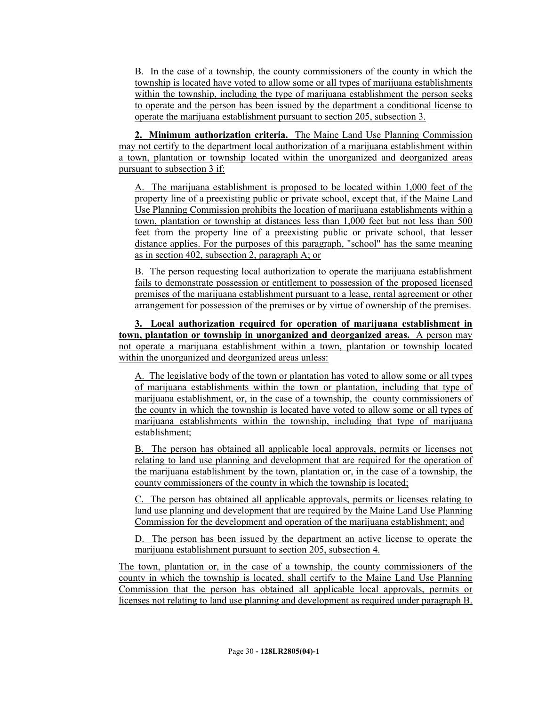B. In the case of a township, the county commissioners of the county in which the township is located have voted to allow some or all types of marijuana establishments within the township, including the type of marijuana establishment the person seeks to operate and the person has been issued by the department a conditional license to operate the marijuana establishment pursuant to section 205, subsection 3.

**2. Minimum authorization criteria.** The Maine Land Use Planning Commission may not certify to the department local authorization of a marijuana establishment within a town, plantation or township located within the unorganized and deorganized areas pursuant to subsection 3 if:

A. The marijuana establishment is proposed to be located within 1,000 feet of the property line of a preexisting public or private school, except that, if the Maine Land Use Planning Commission prohibits the location of marijuana establishments within a town, plantation or township at distances less than 1,000 feet but not less than 500 feet from the property line of a preexisting public or private school, that lesser distance applies. For the purposes of this paragraph, "school" has the same meaning as in section 402, subsection 2, paragraph A; or

B. The person requesting local authorization to operate the marijuana establishment fails to demonstrate possession or entitlement to possession of the proposed licensed premises of the marijuana establishment pursuant to a lease, rental agreement or other arrangement for possession of the premises or by virtue of ownership of the premises.

**3. Local authorization required for operation of marijuana establishment in town, plantation or township in unorganized and deorganized areas.** A person may not operate a marijuana establishment within a town, plantation or township located within the unorganized and deorganized areas unless:

A. The legislative body of the town or plantation has voted to allow some or all types of marijuana establishments within the town or plantation, including that type of marijuana establishment, or, in the case of a township, the county commissioners of the county in which the township is located have voted to allow some or all types of marijuana establishments within the township, including that type of marijuana establishment;

B. The person has obtained all applicable local approvals, permits or licenses not relating to land use planning and development that are required for the operation of the marijuana establishment by the town, plantation or, in the case of a township, the county commissioners of the county in which the township is located;

C. The person has obtained all applicable approvals, permits or licenses relating to land use planning and development that are required by the Maine Land Use Planning Commission for the development and operation of the marijuana establishment; and

D. The person has been issued by the department an active license to operate the marijuana establishment pursuant to section 205, subsection 4.

The town, plantation or, in the case of a township, the county commissioners of the county in which the township is located, shall certify to the Maine Land Use Planning Commission that the person has obtained all applicable local approvals, permits or licenses not relating to land use planning and development as required under paragraph B.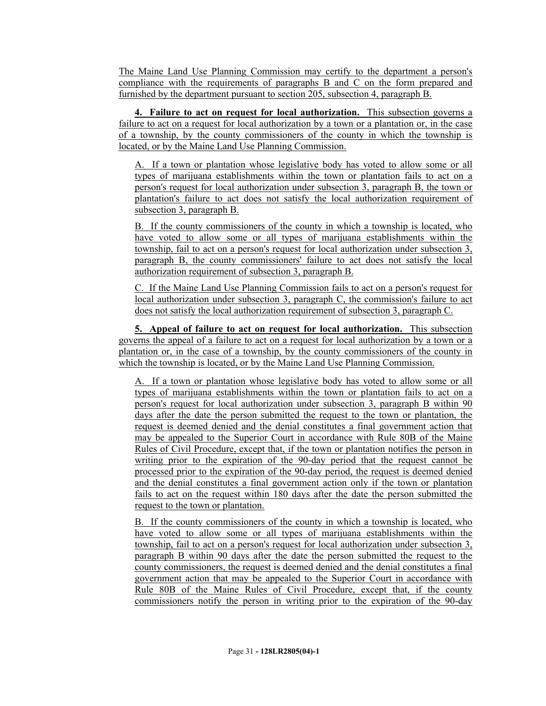The Maine Land Use Planning Commission may certify to the department a person's compliance with the requirements of paragraphs B and C on the form prepared and furnished by the department pursuant to section 205, subsection 4, paragraph B.

**4. Failure to act on request for local authorization.** This subsection governs a failure to act on a request for local authorization by a town or a plantation or, in the case of a township, by the county commissioners of the county in which the township is located, or by the Maine Land Use Planning Commission.

A. If a town or plantation whose legislative body has voted to allow some or all types of marijuana establishments within the town or plantation fails to act on a person's request for local authorization under subsection 3, paragraph B, the town or plantation's failure to act does not satisfy the local authorization requirement of subsection 3, paragraph B.

B. If the county commissioners of the county in which a township is located, who have voted to allow some or all types of marijuana establishments within the township, fail to act on a person's request for local authorization under subsection 3, paragraph B, the county commissioners' failure to act does not satisfy the local authorization requirement of subsection 3, paragraph B.

C. If the Maine Land Use Planning Commission fails to act on a person's request for local authorization under subsection 3, paragraph C, the commission's failure to act does not satisfy the local authorization requirement of subsection 3, paragraph C.

**5. Appeal of failure to act on request for local authorization.** This subsection governs the appeal of a failure to act on a request for local authorization by a town or a plantation or, in the case of a township, by the county commissioners of the county in which the township is located, or by the Maine Land Use Planning Commission.

A. If a town or plantation whose legislative body has voted to allow some or all types of marijuana establishments within the town or plantation fails to act on a person's request for local authorization under subsection 3, paragraph B within 90 days after the date the person submitted the request to the town or plantation, the request is deemed denied and the denial constitutes a final government action that may be appealed to the Superior Court in accordance with Rule 80B of the Maine Rules of Civil Procedure, except that, if the town or plantation notifies the person in writing prior to the expiration of the 90-day period that the request cannot be processed prior to the expiration of the 90-day period, the request is deemed denied and the denial constitutes a final government action only if the town or plantation fails to act on the request within 180 days after the date the person submitted the request to the town or plantation.

B. If the county commissioners of the county in which a township is located, who have voted to allow some or all types of marijuana establishments within the township, fail to act on a person's request for local authorization under subsection 3, paragraph B within 90 days after the date the person submitted the request to the county commissioners, the request is deemed denied and the denial constitutes a final government action that may be appealed to the Superior Court in accordance with Rule 80B of the Maine Rules of Civil Procedure, except that, if the county commissioners notify the person in writing prior to the expiration of the 90-day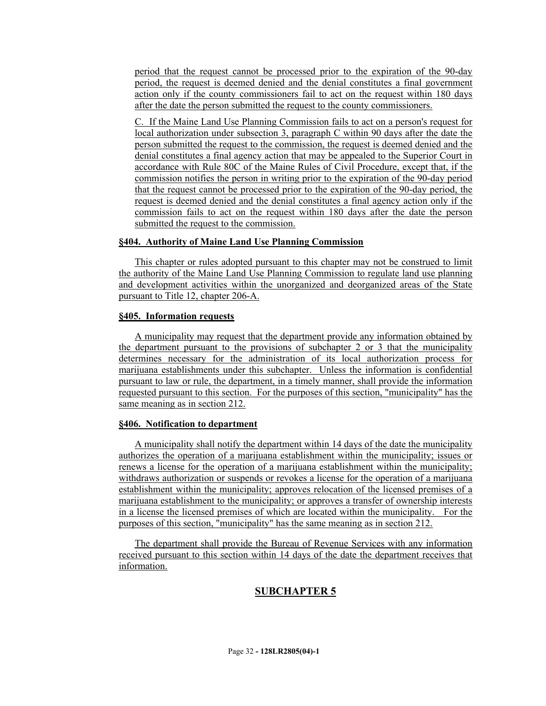period that the request cannot be processed prior to the expiration of the 90-day period, the request is deemed denied and the denial constitutes a final government action only if the county commissioners fail to act on the request within 180 days after the date the person submitted the request to the county commissioners.

C. If the Maine Land Use Planning Commission fails to act on a person's request for local authorization under subsection 3, paragraph C within 90 days after the date the person submitted the request to the commission, the request is deemed denied and the denial constitutes a final agency action that may be appealed to the Superior Court in accordance with Rule 80C of the Maine Rules of Civil Procedure, except that, if the commission notifies the person in writing prior to the expiration of the 90-day period that the request cannot be processed prior to the expiration of the 90-day period, the request is deemed denied and the denial constitutes a final agency action only if the commission fails to act on the request within 180 days after the date the person submitted the request to the commission.

### **§404. Authority of Maine Land Use Planning Commission**

This chapter or rules adopted pursuant to this chapter may not be construed to limit the authority of the Maine Land Use Planning Commission to regulate land use planning and development activities within the unorganized and deorganized areas of the State pursuant to Title 12, chapter 206-A.

#### **§405. Information requests**

A municipality may request that the department provide any information obtained by the department pursuant to the provisions of subchapter 2 or 3 that the municipality determines necessary for the administration of its local authorization process for marijuana establishments under this subchapter. Unless the information is confidential pursuant to law or rule, the department, in a timely manner, shall provide the information requested pursuant to this section. For the purposes of this section, "municipality" has the same meaning as in section 212.

### **§406. Notification to department**

A municipality shall notify the department within 14 days of the date the municipality authorizes the operation of a marijuana establishment within the municipality; issues or renews a license for the operation of a marijuana establishment within the municipality; withdraws authorization or suspends or revokes a license for the operation of a marijuana establishment within the municipality; approves relocation of the licensed premises of a marijuana establishment to the municipality; or approves a transfer of ownership interests in a license the licensed premises of which are located within the municipality. For the purposes of this section, "municipality" has the same meaning as in section 212.

The department shall provide the Bureau of Revenue Services with any information received pursuant to this section within 14 days of the date the department receives that information.

# **SUBCHAPTER 5**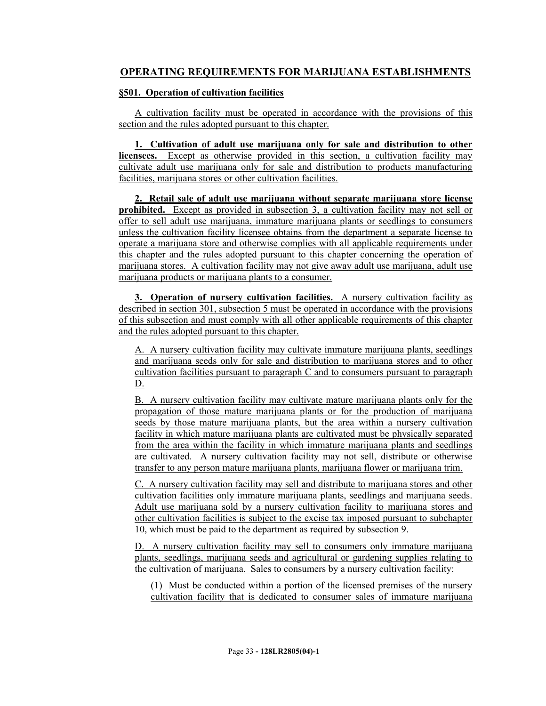# **OPERATING REQUIREMENTS FOR MARIJUANA ESTABLISHMENTS**

## **§501. Operation of cultivation facilities**

A cultivation facility must be operated in accordance with the provisions of this section and the rules adopted pursuant to this chapter.

**1. Cultivation of adult use marijuana only for sale and distribution to other licensees.** Except as otherwise provided in this section, a cultivation facility may cultivate adult use marijuana only for sale and distribution to products manufacturing facilities, marijuana stores or other cultivation facilities.

**2. Retail sale of adult use marijuana without separate marijuana store license prohibited.** Except as provided in subsection 3, a cultivation facility may not sell or offer to sell adult use marijuana, immature marijuana plants or seedlings to consumers unless the cultivation facility licensee obtains from the department a separate license to operate a marijuana store and otherwise complies with all applicable requirements under this chapter and the rules adopted pursuant to this chapter concerning the operation of marijuana stores. A cultivation facility may not give away adult use marijuana, adult use marijuana products or marijuana plants to a consumer.

**3. Operation of nursery cultivation facilities.** A nursery cultivation facility as described in section 301, subsection 5 must be operated in accordance with the provisions of this subsection and must comply with all other applicable requirements of this chapter and the rules adopted pursuant to this chapter.

A. A nursery cultivation facility may cultivate immature marijuana plants, seedlings and marijuana seeds only for sale and distribution to marijuana stores and to other cultivation facilities pursuant to paragraph C and to consumers pursuant to paragraph D.

B. A nursery cultivation facility may cultivate mature marijuana plants only for the propagation of those mature marijuana plants or for the production of marijuana seeds by those mature marijuana plants, but the area within a nursery cultivation facility in which mature marijuana plants are cultivated must be physically separated from the area within the facility in which immature marijuana plants and seedlings are cultivated. A nursery cultivation facility may not sell, distribute or otherwise transfer to any person mature marijuana plants, marijuana flower or marijuana trim.

C. A nursery cultivation facility may sell and distribute to marijuana stores and other cultivation facilities only immature marijuana plants, seedlings and marijuana seeds. Adult use marijuana sold by a nursery cultivation facility to marijuana stores and other cultivation facilities is subject to the excise tax imposed pursuant to subchapter 10, which must be paid to the department as required by subsection 9.

D. A nursery cultivation facility may sell to consumers only immature marijuana plants, seedlings, marijuana seeds and agricultural or gardening supplies relating to the cultivation of marijuana. Sales to consumers by a nursery cultivation facility:

(1) Must be conducted within a portion of the licensed premises of the nursery cultivation facility that is dedicated to consumer sales of immature marijuana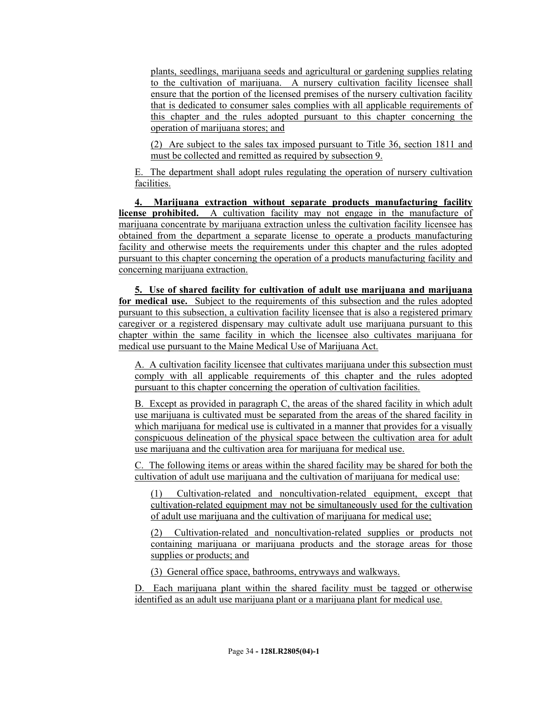plants, seedlings, marijuana seeds and agricultural or gardening supplies relating to the cultivation of marijuana. A nursery cultivation facility licensee shall ensure that the portion of the licensed premises of the nursery cultivation facility that is dedicated to consumer sales complies with all applicable requirements of this chapter and the rules adopted pursuant to this chapter concerning the operation of marijuana stores; and

(2) Are subject to the sales tax imposed pursuant to Title 36, section 1811 and must be collected and remitted as required by subsection 9.

E. The department shall adopt rules regulating the operation of nursery cultivation facilities.

**4. Marijuana extraction without separate products manufacturing facility license prohibited.** A cultivation facility may not engage in the manufacture of marijuana concentrate by marijuana extraction unless the cultivation facility licensee has obtained from the department a separate license to operate a products manufacturing facility and otherwise meets the requirements under this chapter and the rules adopted pursuant to this chapter concerning the operation of a products manufacturing facility and concerning marijuana extraction.

**5. Use of shared facility for cultivation of adult use marijuana and marijuana for medical use.** Subject to the requirements of this subsection and the rules adopted pursuant to this subsection, a cultivation facility licensee that is also a registered primary caregiver or a registered dispensary may cultivate adult use marijuana pursuant to this chapter within the same facility in which the licensee also cultivates marijuana for medical use pursuant to the Maine Medical Use of Marijuana Act.

A. A cultivation facility licensee that cultivates marijuana under this subsection must comply with all applicable requirements of this chapter and the rules adopted pursuant to this chapter concerning the operation of cultivation facilities.

B. Except as provided in paragraph C, the areas of the shared facility in which adult use marijuana is cultivated must be separated from the areas of the shared facility in which marijuana for medical use is cultivated in a manner that provides for a visually conspicuous delineation of the physical space between the cultivation area for adult use marijuana and the cultivation area for marijuana for medical use.

C. The following items or areas within the shared facility may be shared for both the cultivation of adult use marijuana and the cultivation of marijuana for medical use:

(1) Cultivation-related and noncultivation-related equipment, except that cultivation-related equipment may not be simultaneously used for the cultivation of adult use marijuana and the cultivation of marijuana for medical use;

(2) Cultivation-related and noncultivation-related supplies or products not containing marijuana or marijuana products and the storage areas for those supplies or products; and

(3) General office space, bathrooms, entryways and walkways.

D. Each marijuana plant within the shared facility must be tagged or otherwise identified as an adult use marijuana plant or a marijuana plant for medical use.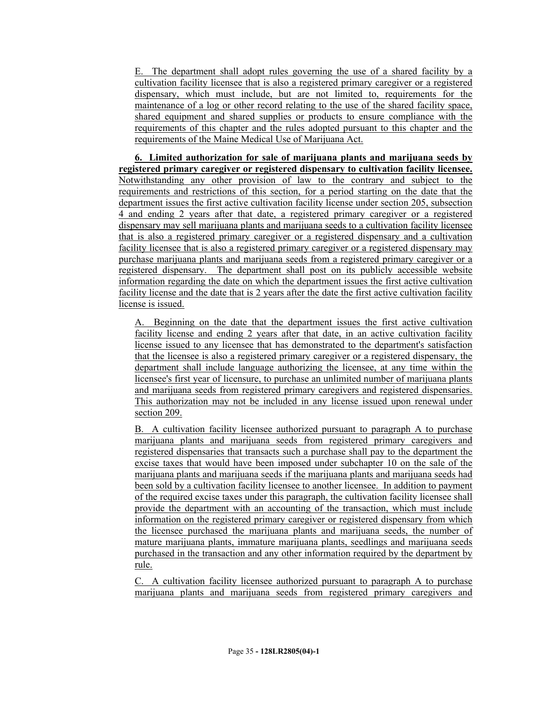E. The department shall adopt rules governing the use of a shared facility by a cultivation facility licensee that is also a registered primary caregiver or a registered dispensary, which must include, but are not limited to, requirements for the maintenance of a log or other record relating to the use of the shared facility space, shared equipment and shared supplies or products to ensure compliance with the requirements of this chapter and the rules adopted pursuant to this chapter and the requirements of the Maine Medical Use of Marijuana Act.

**6. Limited authorization for sale of marijuana plants and marijuana seeds by registered primary caregiver or registered dispensary to cultivation facility licensee.**  Notwithstanding any other provision of law to the contrary and subject to the requirements and restrictions of this section, for a period starting on the date that the department issues the first active cultivation facility license under section 205, subsection 4 and ending 2 years after that date, a registered primary caregiver or a registered dispensary may sell marijuana plants and marijuana seeds to a cultivation facility licensee that is also a registered primary caregiver or a registered dispensary and a cultivation facility licensee that is also a registered primary caregiver or a registered dispensary may purchase marijuana plants and marijuana seeds from a registered primary caregiver or a registered dispensary. The department shall post on its publicly accessible website information regarding the date on which the department issues the first active cultivation facility license and the date that is 2 years after the date the first active cultivation facility license is issued.

A. Beginning on the date that the department issues the first active cultivation facility license and ending 2 years after that date, in an active cultivation facility license issued to any licensee that has demonstrated to the department's satisfaction that the licensee is also a registered primary caregiver or a registered dispensary, the department shall include language authorizing the licensee, at any time within the licensee's first year of licensure, to purchase an unlimited number of marijuana plants and marijuana seeds from registered primary caregivers and registered dispensaries. This authorization may not be included in any license issued upon renewal under section 209.

B. A cultivation facility licensee authorized pursuant to paragraph A to purchase marijuana plants and marijuana seeds from registered primary caregivers and registered dispensaries that transacts such a purchase shall pay to the department the excise taxes that would have been imposed under subchapter 10 on the sale of the marijuana plants and marijuana seeds if the marijuana plants and marijuana seeds had been sold by a cultivation facility licensee to another licensee. In addition to payment of the required excise taxes under this paragraph, the cultivation facility licensee shall provide the department with an accounting of the transaction, which must include information on the registered primary caregiver or registered dispensary from which the licensee purchased the marijuana plants and marijuana seeds, the number of mature marijuana plants, immature marijuana plants, seedlings and marijuana seeds purchased in the transaction and any other information required by the department by rule.

C. A cultivation facility licensee authorized pursuant to paragraph A to purchase marijuana plants and marijuana seeds from registered primary caregivers and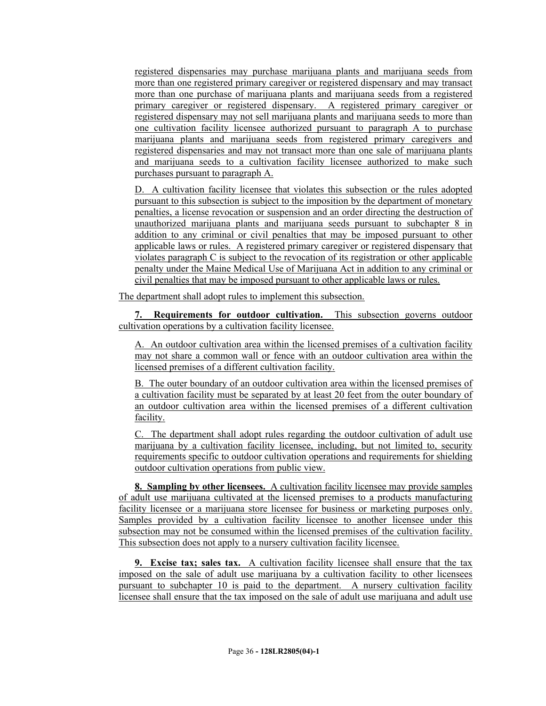registered dispensaries may purchase marijuana plants and marijuana seeds from more than one registered primary caregiver or registered dispensary and may transact more than one purchase of marijuana plants and marijuana seeds from a registered primary caregiver or registered dispensary. A registered primary caregiver or registered dispensary may not sell marijuana plants and marijuana seeds to more than one cultivation facility licensee authorized pursuant to paragraph A to purchase marijuana plants and marijuana seeds from registered primary caregivers and registered dispensaries and may not transact more than one sale of marijuana plants and marijuana seeds to a cultivation facility licensee authorized to make such purchases pursuant to paragraph A.

D. A cultivation facility licensee that violates this subsection or the rules adopted pursuant to this subsection is subject to the imposition by the department of monetary penalties, a license revocation or suspension and an order directing the destruction of unauthorized marijuana plants and marijuana seeds pursuant to subchapter 8 in addition to any criminal or civil penalties that may be imposed pursuant to other applicable laws or rules. A registered primary caregiver or registered dispensary that violates paragraph C is subject to the revocation of its registration or other applicable penalty under the Maine Medical Use of Marijuana Act in addition to any criminal or civil penalties that may be imposed pursuant to other applicable laws or rules.

The department shall adopt rules to implement this subsection.

**7. Requirements for outdoor cultivation.** This subsection governs outdoor cultivation operations by a cultivation facility licensee.

A. An outdoor cultivation area within the licensed premises of a cultivation facility may not share a common wall or fence with an outdoor cultivation area within the licensed premises of a different cultivation facility.

B. The outer boundary of an outdoor cultivation area within the licensed premises of a cultivation facility must be separated by at least 20 feet from the outer boundary of an outdoor cultivation area within the licensed premises of a different cultivation facility.

C. The department shall adopt rules regarding the outdoor cultivation of adult use marijuana by a cultivation facility licensee, including, but not limited to, security requirements specific to outdoor cultivation operations and requirements for shielding outdoor cultivation operations from public view.

**8. Sampling by other licensees.** A cultivation facility licensee may provide samples of adult use marijuana cultivated at the licensed premises to a products manufacturing facility licensee or a marijuana store licensee for business or marketing purposes only. Samples provided by a cultivation facility licensee to another licensee under this subsection may not be consumed within the licensed premises of the cultivation facility. This subsection does not apply to a nursery cultivation facility licensee.

**9. Excise tax; sales tax.** A cultivation facility licensee shall ensure that the tax imposed on the sale of adult use marijuana by a cultivation facility to other licensees pursuant to subchapter 10 is paid to the department. A nursery cultivation facility licensee shall ensure that the tax imposed on the sale of adult use marijuana and adult use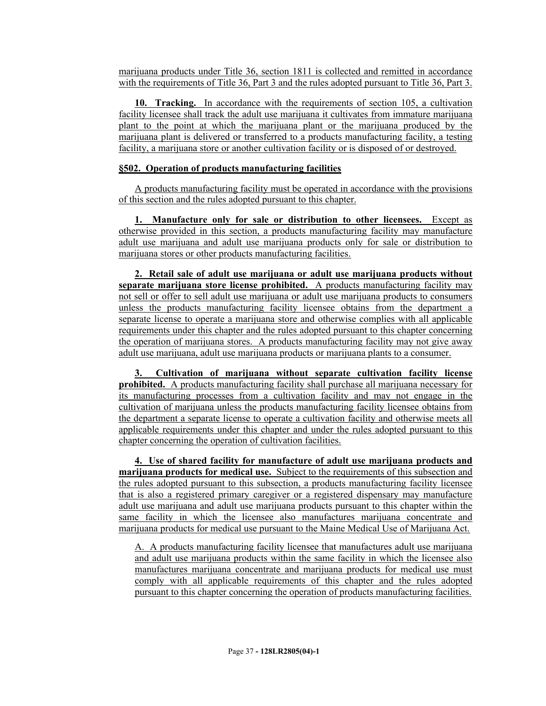marijuana products under Title 36, section 1811 is collected and remitted in accordance with the requirements of Title 36, Part 3 and the rules adopted pursuant to Title 36, Part 3.

**10. Tracking.** In accordance with the requirements of section 105, a cultivation facility licensee shall track the adult use marijuana it cultivates from immature marijuana plant to the point at which the marijuana plant or the marijuana produced by the marijuana plant is delivered or transferred to a products manufacturing facility, a testing facility, a marijuana store or another cultivation facility or is disposed of or destroyed.

#### **§502. Operation of products manufacturing facilities**

A products manufacturing facility must be operated in accordance with the provisions of this section and the rules adopted pursuant to this chapter.

**1. Manufacture only for sale or distribution to other licensees.** Except as otherwise provided in this section, a products manufacturing facility may manufacture adult use marijuana and adult use marijuana products only for sale or distribution to marijuana stores or other products manufacturing facilities.

**2. Retail sale of adult use marijuana or adult use marijuana products without separate marijuana store license prohibited.** A products manufacturing facility may not sell or offer to sell adult use marijuana or adult use marijuana products to consumers unless the products manufacturing facility licensee obtains from the department a separate license to operate a marijuana store and otherwise complies with all applicable requirements under this chapter and the rules adopted pursuant to this chapter concerning the operation of marijuana stores. A products manufacturing facility may not give away adult use marijuana, adult use marijuana products or marijuana plants to a consumer.

**3. Cultivation of marijuana without separate cultivation facility license prohibited.** A products manufacturing facility shall purchase all marijuana necessary for its manufacturing processes from a cultivation facility and may not engage in the cultivation of marijuana unless the products manufacturing facility licensee obtains from the department a separate license to operate a cultivation facility and otherwise meets all applicable requirements under this chapter and under the rules adopted pursuant to this chapter concerning the operation of cultivation facilities.

**4. Use of shared facility for manufacture of adult use marijuana products and marijuana products for medical use.** Subject to the requirements of this subsection and the rules adopted pursuant to this subsection, a products manufacturing facility licensee that is also a registered primary caregiver or a registered dispensary may manufacture adult use marijuana and adult use marijuana products pursuant to this chapter within the same facility in which the licensee also manufactures marijuana concentrate and marijuana products for medical use pursuant to the Maine Medical Use of Marijuana Act.

A. A products manufacturing facility licensee that manufactures adult use marijuana and adult use marijuana products within the same facility in which the licensee also manufactures marijuana concentrate and marijuana products for medical use must comply with all applicable requirements of this chapter and the rules adopted pursuant to this chapter concerning the operation of products manufacturing facilities.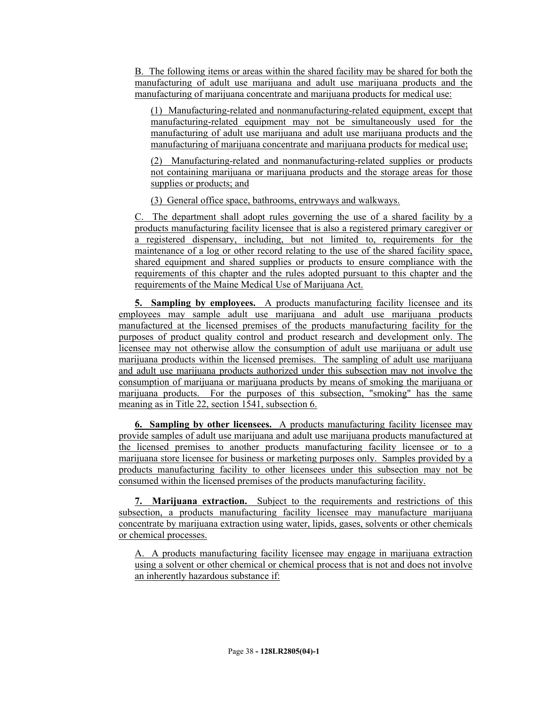B. The following items or areas within the shared facility may be shared for both the manufacturing of adult use marijuana and adult use marijuana products and the manufacturing of marijuana concentrate and marijuana products for medical use:

(1) Manufacturing-related and nonmanufacturing-related equipment, except that manufacturing-related equipment may not be simultaneously used for the manufacturing of adult use marijuana and adult use marijuana products and the manufacturing of marijuana concentrate and marijuana products for medical use;

(2) Manufacturing-related and nonmanufacturing-related supplies or products not containing marijuana or marijuana products and the storage areas for those supplies or products; and

(3) General office space, bathrooms, entryways and walkways.

C. The department shall adopt rules governing the use of a shared facility by a products manufacturing facility licensee that is also a registered primary caregiver or a registered dispensary, including, but not limited to, requirements for the maintenance of a log or other record relating to the use of the shared facility space, shared equipment and shared supplies or products to ensure compliance with the requirements of this chapter and the rules adopted pursuant to this chapter and the requirements of the Maine Medical Use of Marijuana Act.

**5. Sampling by employees.** A products manufacturing facility licensee and its employees may sample adult use marijuana and adult use marijuana products manufactured at the licensed premises of the products manufacturing facility for the purposes of product quality control and product research and development only. The licensee may not otherwise allow the consumption of adult use marijuana or adult use marijuana products within the licensed premises. The sampling of adult use marijuana and adult use marijuana products authorized under this subsection may not involve the consumption of marijuana or marijuana products by means of smoking the marijuana or marijuana products. For the purposes of this subsection, "smoking" has the same meaning as in Title 22, section 1541, subsection 6.

**6. Sampling by other licensees.** A products manufacturing facility licensee may provide samples of adult use marijuana and adult use marijuana products manufactured at the licensed premises to another products manufacturing facility licensee or to a marijuana store licensee for business or marketing purposes only. Samples provided by a products manufacturing facility to other licensees under this subsection may not be consumed within the licensed premises of the products manufacturing facility.

**7. Marijuana extraction.** Subject to the requirements and restrictions of this subsection, a products manufacturing facility licensee may manufacture marijuana concentrate by marijuana extraction using water, lipids, gases, solvents or other chemicals or chemical processes.

A. A products manufacturing facility licensee may engage in marijuana extraction using a solvent or other chemical or chemical process that is not and does not involve an inherently hazardous substance if: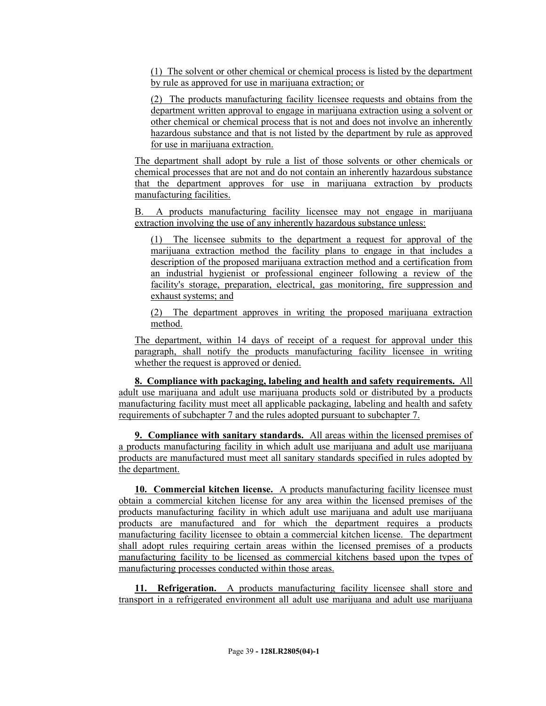(1) The solvent or other chemical or chemical process is listed by the department by rule as approved for use in marijuana extraction; or

(2) The products manufacturing facility licensee requests and obtains from the department written approval to engage in marijuana extraction using a solvent or other chemical or chemical process that is not and does not involve an inherently hazardous substance and that is not listed by the department by rule as approved for use in marijuana extraction.

The department shall adopt by rule a list of those solvents or other chemicals or chemical processes that are not and do not contain an inherently hazardous substance that the department approves for use in marijuana extraction by products manufacturing facilities.

B. A products manufacturing facility licensee may not engage in marijuana extraction involving the use of any inherently hazardous substance unless:

(1) The licensee submits to the department a request for approval of the marijuana extraction method the facility plans to engage in that includes a description of the proposed marijuana extraction method and a certification from an industrial hygienist or professional engineer following a review of the facility's storage, preparation, electrical, gas monitoring, fire suppression and exhaust systems; and

(2) The department approves in writing the proposed marijuana extraction method.

The department, within 14 days of receipt of a request for approval under this paragraph, shall notify the products manufacturing facility licensee in writing whether the request is approved or denied.

**8. Compliance with packaging, labeling and health and safety requirements.** All adult use marijuana and adult use marijuana products sold or distributed by a products manufacturing facility must meet all applicable packaging, labeling and health and safety requirements of subchapter 7 and the rules adopted pursuant to subchapter 7.

**9. Compliance with sanitary standards.** All areas within the licensed premises of a products manufacturing facility in which adult use marijuana and adult use marijuana products are manufactured must meet all sanitary standards specified in rules adopted by the department.

**10. Commercial kitchen license.** A products manufacturing facility licensee must obtain a commercial kitchen license for any area within the licensed premises of the products manufacturing facility in which adult use marijuana and adult use marijuana products are manufactured and for which the department requires a products manufacturing facility licensee to obtain a commercial kitchen license. The department shall adopt rules requiring certain areas within the licensed premises of a products manufacturing facility to be licensed as commercial kitchens based upon the types of manufacturing processes conducted within those areas.

**11. Refrigeration.** A products manufacturing facility licensee shall store and transport in a refrigerated environment all adult use marijuana and adult use marijuana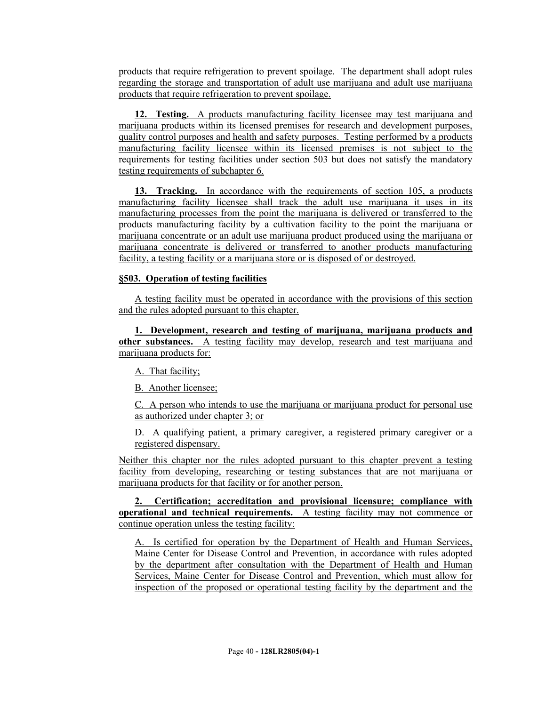products that require refrigeration to prevent spoilage. The department shall adopt rules regarding the storage and transportation of adult use marijuana and adult use marijuana products that require refrigeration to prevent spoilage.

**12. Testing.** A products manufacturing facility licensee may test marijuana and marijuana products within its licensed premises for research and development purposes, quality control purposes and health and safety purposes. Testing performed by a products manufacturing facility licensee within its licensed premises is not subject to the requirements for testing facilities under section 503 but does not satisfy the mandatory testing requirements of subchapter 6.

**13. Tracking.** In accordance with the requirements of section 105, a products manufacturing facility licensee shall track the adult use marijuana it uses in its manufacturing processes from the point the marijuana is delivered or transferred to the products manufacturing facility by a cultivation facility to the point the marijuana or marijuana concentrate or an adult use marijuana product produced using the marijuana or marijuana concentrate is delivered or transferred to another products manufacturing facility, a testing facility or a marijuana store or is disposed of or destroyed.

## **§503. Operation of testing facilities**

A testing facility must be operated in accordance with the provisions of this section and the rules adopted pursuant to this chapter.

**1. Development, research and testing of marijuana, marijuana products and other substances.** A testing facility may develop, research and test marijuana and marijuana products for:

A. That facility;

B. Another licensee;

C. A person who intends to use the marijuana or marijuana product for personal use as authorized under chapter 3; or

D. A qualifying patient, a primary caregiver, a registered primary caregiver or a registered dispensary.

Neither this chapter nor the rules adopted pursuant to this chapter prevent a testing facility from developing, researching or testing substances that are not marijuana or marijuana products for that facility or for another person.

**2. Certification; accreditation and provisional licensure; compliance with operational and technical requirements.** A testing facility may not commence or continue operation unless the testing facility:

A. Is certified for operation by the Department of Health and Human Services, Maine Center for Disease Control and Prevention, in accordance with rules adopted by the department after consultation with the Department of Health and Human Services, Maine Center for Disease Control and Prevention, which must allow for inspection of the proposed or operational testing facility by the department and the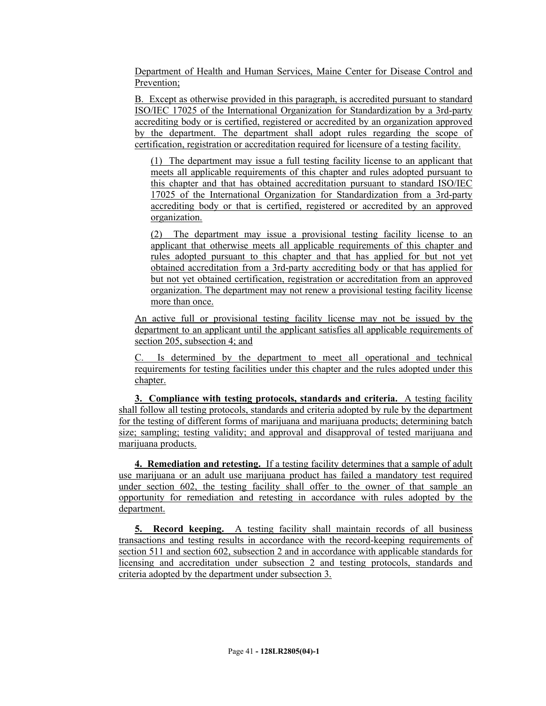Department of Health and Human Services, Maine Center for Disease Control and Prevention;

B. Except as otherwise provided in this paragraph, is accredited pursuant to standard ISO/IEC 17025 of the International Organization for Standardization by a 3rd-party accrediting body or is certified, registered or accredited by an organization approved by the department. The department shall adopt rules regarding the scope of certification, registration or accreditation required for licensure of a testing facility.

(1) The department may issue a full testing facility license to an applicant that meets all applicable requirements of this chapter and rules adopted pursuant to this chapter and that has obtained accreditation pursuant to standard ISO/IEC 17025 of the International Organization for Standardization from a 3rd-party accrediting body or that is certified, registered or accredited by an approved organization.

(2) The department may issue a provisional testing facility license to an applicant that otherwise meets all applicable requirements of this chapter and rules adopted pursuant to this chapter and that has applied for but not yet obtained accreditation from a 3rd-party accrediting body or that has applied for but not yet obtained certification, registration or accreditation from an approved organization. The department may not renew a provisional testing facility license more than once.

An active full or provisional testing facility license may not be issued by the department to an applicant until the applicant satisfies all applicable requirements of section 205, subsection 4; and

C. Is determined by the department to meet all operational and technical requirements for testing facilities under this chapter and the rules adopted under this chapter.

**3. Compliance with testing protocols, standards and criteria.** A testing facility shall follow all testing protocols, standards and criteria adopted by rule by the department for the testing of different forms of marijuana and marijuana products; determining batch size; sampling; testing validity; and approval and disapproval of tested marijuana and marijuana products.

**4. Remediation and retesting.** If a testing facility determines that a sample of adult use marijuana or an adult use marijuana product has failed a mandatory test required under section 602, the testing facility shall offer to the owner of that sample an opportunity for remediation and retesting in accordance with rules adopted by the department.

**5. Record keeping.** A testing facility shall maintain records of all business transactions and testing results in accordance with the record-keeping requirements of section 511 and section 602, subsection 2 and in accordance with applicable standards for licensing and accreditation under subsection 2 and testing protocols, standards and criteria adopted by the department under subsection 3.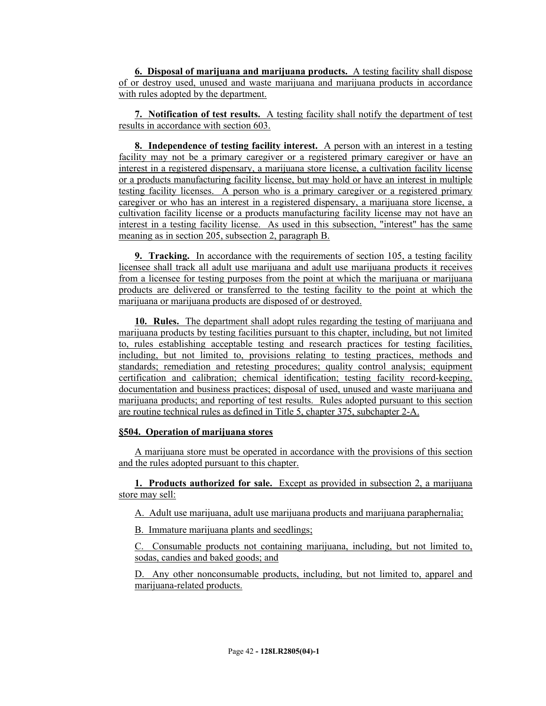**6. Disposal of marijuana and marijuana products.** A testing facility shall dispose of or destroy used, unused and waste marijuana and marijuana products in accordance with rules adopted by the department.

**7. Notification of test results.** A testing facility shall notify the department of test results in accordance with section 603.

**8. Independence of testing facility interest.** A person with an interest in a testing facility may not be a primary caregiver or a registered primary caregiver or have an interest in a registered dispensary, a marijuana store license, a cultivation facility license or a products manufacturing facility license, but may hold or have an interest in multiple testing facility licenses. A person who is a primary caregiver or a registered primary caregiver or who has an interest in a registered dispensary, a marijuana store license, a cultivation facility license or a products manufacturing facility license may not have an interest in a testing facility license. As used in this subsection, "interest" has the same meaning as in section 205, subsection 2, paragraph B.

**9. Tracking.** In accordance with the requirements of section 105, a testing facility licensee shall track all adult use marijuana and adult use marijuana products it receives from a licensee for testing purposes from the point at which the marijuana or marijuana products are delivered or transferred to the testing facility to the point at which the marijuana or marijuana products are disposed of or destroyed.

**10. Rules.** The department shall adopt rules regarding the testing of marijuana and marijuana products by testing facilities pursuant to this chapter, including, but not limited to, rules establishing acceptable testing and research practices for testing facilities, including, but not limited to, provisions relating to testing practices, methods and standards; remediation and retesting procedures; quality control analysis; equipment certification and calibration; chemical identification; testing facility record-keeping, documentation and business practices; disposal of used, unused and waste marijuana and marijuana products; and reporting of test results. Rules adopted pursuant to this section are routine technical rules as defined in Title 5, chapter 375, subchapter 2-A.

## **§504. Operation of marijuana stores**

A marijuana store must be operated in accordance with the provisions of this section and the rules adopted pursuant to this chapter.

**1. Products authorized for sale.** Except as provided in subsection 2, a marijuana store may sell:

A. Adult use marijuana, adult use marijuana products and marijuana paraphernalia;

B. Immature marijuana plants and seedlings;

C. Consumable products not containing marijuana, including, but not limited to, sodas, candies and baked goods; and

D. Any other nonconsumable products, including, but not limited to, apparel and marijuana-related products.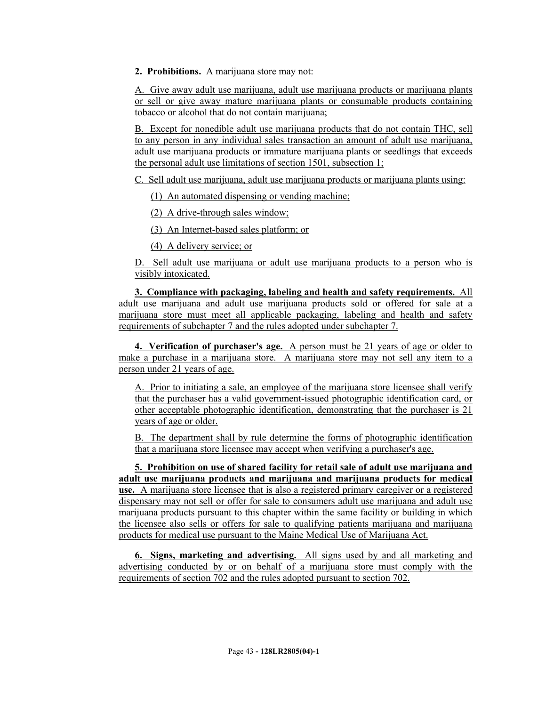**2. Prohibitions.** A marijuana store may not:

A. Give away adult use marijuana, adult use marijuana products or marijuana plants or sell or give away mature marijuana plants or consumable products containing tobacco or alcohol that do not contain marijuana;

B. Except for nonedible adult use marijuana products that do not contain THC, sell to any person in any individual sales transaction an amount of adult use marijuana, adult use marijuana products or immature marijuana plants or seedlings that exceeds the personal adult use limitations of section 1501, subsection 1;

C. Sell adult use marijuana, adult use marijuana products or marijuana plants using:

(1) An automated dispensing or vending machine;

(2) A drive-through sales window;

(3) An Internet-based sales platform; or

(4) A delivery service; or

D. Sell adult use marijuana or adult use marijuana products to a person who is visibly intoxicated.

**3. Compliance with packaging, labeling and health and safety requirements.** All adult use marijuana and adult use marijuana products sold or offered for sale at a marijuana store must meet all applicable packaging, labeling and health and safety requirements of subchapter 7 and the rules adopted under subchapter 7.

**4. Verification of purchaser's age.** A person must be 21 years of age or older to make a purchase in a marijuana store. A marijuana store may not sell any item to a person under 21 years of age.

A. Prior to initiating a sale, an employee of the marijuana store licensee shall verify that the purchaser has a valid government-issued photographic identification card, or other acceptable photographic identification, demonstrating that the purchaser is 21 years of age or older.

B. The department shall by rule determine the forms of photographic identification that a marijuana store licensee may accept when verifying a purchaser's age.

**5. Prohibition on use of shared facility for retail sale of adult use marijuana and adult use marijuana products and marijuana and marijuana products for medical use.** A marijuana store licensee that is also a registered primary caregiver or a registered dispensary may not sell or offer for sale to consumers adult use marijuana and adult use marijuana products pursuant to this chapter within the same facility or building in which the licensee also sells or offers for sale to qualifying patients marijuana and marijuana products for medical use pursuant to the Maine Medical Use of Marijuana Act.

**6. Signs, marketing and advertising.** All signs used by and all marketing and advertising conducted by or on behalf of a marijuana store must comply with the requirements of section 702 and the rules adopted pursuant to section 702.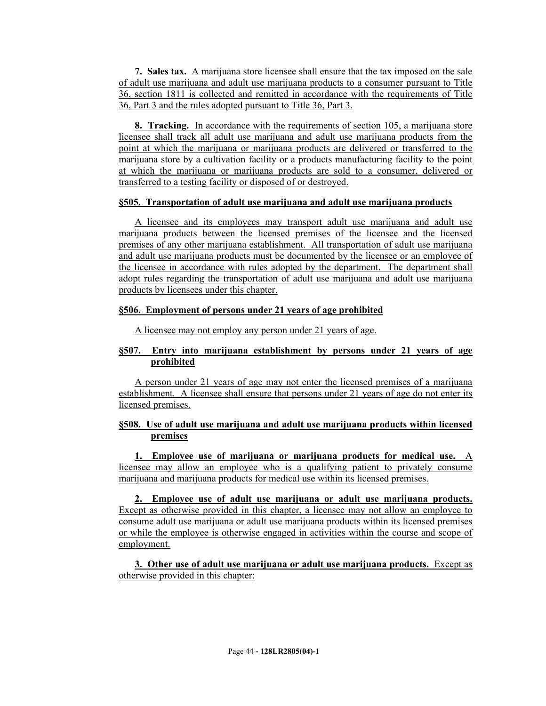**7. Sales tax.** A marijuana store licensee shall ensure that the tax imposed on the sale of adult use marijuana and adult use marijuana products to a consumer pursuant to Title 36, section 1811 is collected and remitted in accordance with the requirements of Title 36, Part 3 and the rules adopted pursuant to Title 36, Part 3.

**8. Tracking.** In accordance with the requirements of section 105, a marijuana store licensee shall track all adult use marijuana and adult use marijuana products from the point at which the marijuana or marijuana products are delivered or transferred to the marijuana store by a cultivation facility or a products manufacturing facility to the point at which the marijuana or marijuana products are sold to a consumer, delivered or transferred to a testing facility or disposed of or destroyed.

## **§505. Transportation of adult use marijuana and adult use marijuana products**

A licensee and its employees may transport adult use marijuana and adult use marijuana products between the licensed premises of the licensee and the licensed premises of any other marijuana establishment. All transportation of adult use marijuana and adult use marijuana products must be documented by the licensee or an employee of the licensee in accordance with rules adopted by the department. The department shall adopt rules regarding the transportation of adult use marijuana and adult use marijuana products by licensees under this chapter.

# **§506. Employment of persons under 21 years of age prohibited**

A licensee may not employ any person under 21 years of age.

# **§507. Entry into marijuana establishment by persons under 21 years of age prohibited**

A person under 21 years of age may not enter the licensed premises of a marijuana establishment. A licensee shall ensure that persons under 21 years of age do not enter its licensed premises.

# **§508. Use of adult use marijuana and adult use marijuana products within licensed premises**

**1. Employee use of marijuana or marijuana products for medical use.** A licensee may allow an employee who is a qualifying patient to privately consume marijuana and marijuana products for medical use within its licensed premises.

**2. Employee use of adult use marijuana or adult use marijuana products.** Except as otherwise provided in this chapter, a licensee may not allow an employee to consume adult use marijuana or adult use marijuana products within its licensed premises or while the employee is otherwise engaged in activities within the course and scope of employment.

**3. Other use of adult use marijuana or adult use marijuana products.** Except as otherwise provided in this chapter: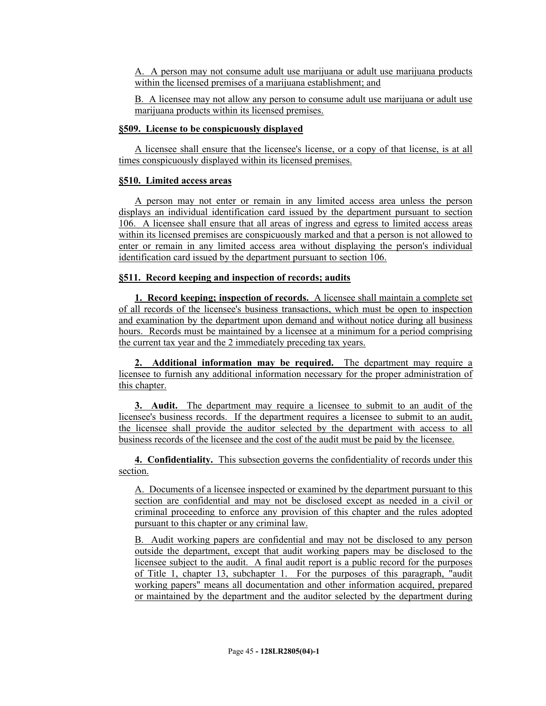A. A person may not consume adult use marijuana or adult use marijuana products within the licensed premises of a marijuana establishment; and

B. A licensee may not allow any person to consume adult use marijuana or adult use marijuana products within its licensed premises.

#### **§509. License to be conspicuously displayed**

A licensee shall ensure that the licensee's license, or a copy of that license, is at all times conspicuously displayed within its licensed premises.

### **§510. Limited access areas**

A person may not enter or remain in any limited access area unless the person displays an individual identification card issued by the department pursuant to section 106. A licensee shall ensure that all areas of ingress and egress to limited access areas within its licensed premises are conspicuously marked and that a person is not allowed to enter or remain in any limited access area without displaying the person's individual identification card issued by the department pursuant to section 106.

## **§511. Record keeping and inspection of records; audits**

**1. Record keeping; inspection of records.** A licensee shall maintain a complete set of all records of the licensee's business transactions, which must be open to inspection and examination by the department upon demand and without notice during all business hours. Records must be maintained by a licensee at a minimum for a period comprising the current tax year and the 2 immediately preceding tax years.

**2. Additional information may be required.** The department may require a licensee to furnish any additional information necessary for the proper administration of this chapter.

**3. Audit.** The department may require a licensee to submit to an audit of the licensee's business records. If the department requires a licensee to submit to an audit, the licensee shall provide the auditor selected by the department with access to all business records of the licensee and the cost of the audit must be paid by the licensee.

**4. Confidentiality.** This subsection governs the confidentiality of records under this section.

A. Documents of a licensee inspected or examined by the department pursuant to this section are confidential and may not be disclosed except as needed in a civil or criminal proceeding to enforce any provision of this chapter and the rules adopted pursuant to this chapter or any criminal law.

B. Audit working papers are confidential and may not be disclosed to any person outside the department, except that audit working papers may be disclosed to the licensee subject to the audit. A final audit report is a public record for the purposes of Title 1, chapter 13, subchapter 1. For the purposes of this paragraph, "audit working papers" means all documentation and other information acquired, prepared or maintained by the department and the auditor selected by the department during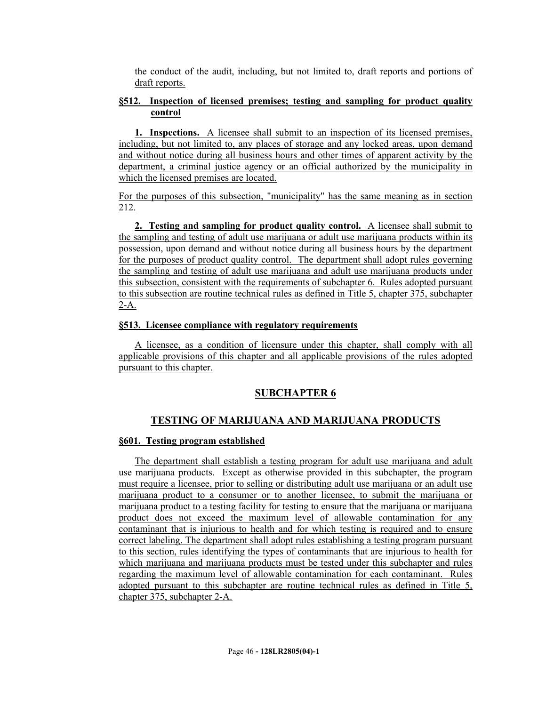the conduct of the audit, including, but not limited to, draft reports and portions of draft reports.

## **§512. Inspection of licensed premises; testing and sampling for product quality control**

**1. Inspections.** A licensee shall submit to an inspection of its licensed premises, including, but not limited to, any places of storage and any locked areas, upon demand and without notice during all business hours and other times of apparent activity by the department, a criminal justice agency or an official authorized by the municipality in which the licensed premises are located.

For the purposes of this subsection, "municipality" has the same meaning as in section 212.

**2. Testing and sampling for product quality control.** A licensee shall submit to the sampling and testing of adult use marijuana or adult use marijuana products within its possession, upon demand and without notice during all business hours by the department for the purposes of product quality control. The department shall adopt rules governing the sampling and testing of adult use marijuana and adult use marijuana products under this subsection, consistent with the requirements of subchapter 6. Rules adopted pursuant to this subsection are routine technical rules as defined in Title 5, chapter 375, subchapter 2-A.

#### **§513. Licensee compliance with regulatory requirements**

A licensee, as a condition of licensure under this chapter, shall comply with all applicable provisions of this chapter and all applicable provisions of the rules adopted pursuant to this chapter.

# **SUBCHAPTER 6**

# **TESTING OF MARIJUANA AND MARIJUANA PRODUCTS**

## **§601. Testing program established**

The department shall establish a testing program for adult use marijuana and adult use marijuana products. Except as otherwise provided in this subchapter, the program must require a licensee, prior to selling or distributing adult use marijuana or an adult use marijuana product to a consumer or to another licensee, to submit the marijuana or marijuana product to a testing facility for testing to ensure that the marijuana or marijuana product does not exceed the maximum level of allowable contamination for any contaminant that is injurious to health and for which testing is required and to ensure correct labeling. The department shall adopt rules establishing a testing program pursuant to this section, rules identifying the types of contaminants that are injurious to health for which marijuana and marijuana products must be tested under this subchapter and rules regarding the maximum level of allowable contamination for each contaminant. Rules adopted pursuant to this subchapter are routine technical rules as defined in Title 5, chapter 375, subchapter 2-A.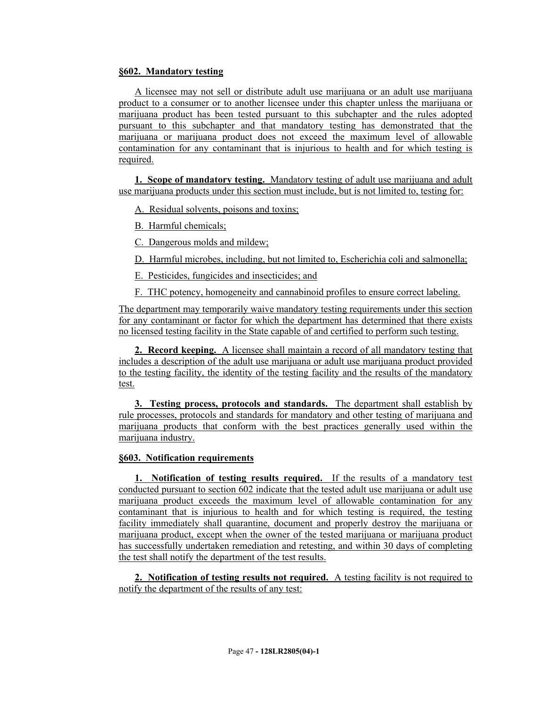## **§602. Mandatory testing**

A licensee may not sell or distribute adult use marijuana or an adult use marijuana product to a consumer or to another licensee under this chapter unless the marijuana or marijuana product has been tested pursuant to this subchapter and the rules adopted pursuant to this subchapter and that mandatory testing has demonstrated that the marijuana or marijuana product does not exceed the maximum level of allowable contamination for any contaminant that is injurious to health and for which testing is required.

**1. Scope of mandatory testing.** Mandatory testing of adult use marijuana and adult use marijuana products under this section must include, but is not limited to, testing for:

A. Residual solvents, poisons and toxins;

B. Harmful chemicals;

C. Dangerous molds and mildew;

D. Harmful microbes, including, but not limited to, Escherichia coli and salmonella;

E. Pesticides, fungicides and insecticides; and

F. THC potency, homogeneity and cannabinoid profiles to ensure correct labeling.

The department may temporarily waive mandatory testing requirements under this section for any contaminant or factor for which the department has determined that there exists no licensed testing facility in the State capable of and certified to perform such testing.

**2. Record keeping.** A licensee shall maintain a record of all mandatory testing that includes a description of the adult use marijuana or adult use marijuana product provided to the testing facility, the identity of the testing facility and the results of the mandatory test.

**3. Testing process, protocols and standards.** The department shall establish by rule processes, protocols and standards for mandatory and other testing of marijuana and marijuana products that conform with the best practices generally used within the marijuana industry.

## **§603. Notification requirements**

**1. Notification of testing results required.** If the results of a mandatory test conducted pursuant to section 602 indicate that the tested adult use marijuana or adult use marijuana product exceeds the maximum level of allowable contamination for any contaminant that is injurious to health and for which testing is required, the testing facility immediately shall quarantine, document and properly destroy the marijuana or marijuana product, except when the owner of the tested marijuana or marijuana product has successfully undertaken remediation and retesting, and within 30 days of completing the test shall notify the department of the test results.

**2. Notification of testing results not required.** A testing facility is not required to notify the department of the results of any test: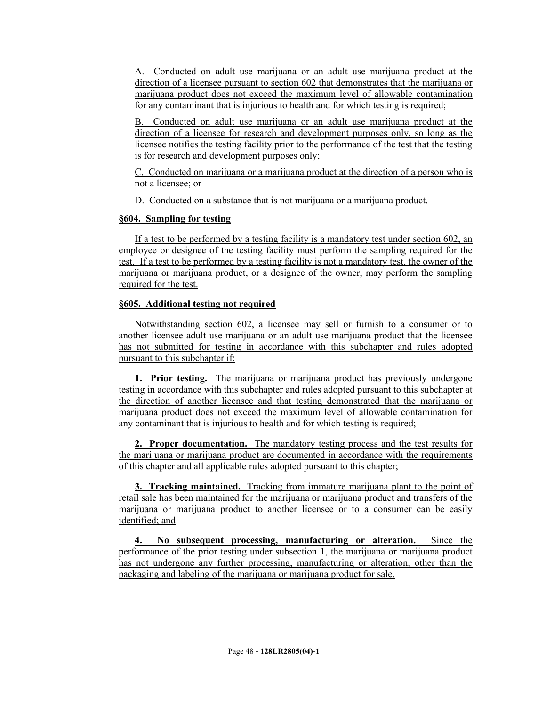A. Conducted on adult use marijuana or an adult use marijuana product at the direction of a licensee pursuant to section 602 that demonstrates that the marijuana or marijuana product does not exceed the maximum level of allowable contamination for any contaminant that is injurious to health and for which testing is required;

B. Conducted on adult use marijuana or an adult use marijuana product at the direction of a licensee for research and development purposes only, so long as the licensee notifies the testing facility prior to the performance of the test that the testing is for research and development purposes only;

C. Conducted on marijuana or a marijuana product at the direction of a person who is not a licensee; or

D. Conducted on a substance that is not marijuana or a marijuana product.

# **§604. Sampling for testing**

If a test to be performed by a testing facility is a mandatory test under section 602, an employee or designee of the testing facility must perform the sampling required for the test. If a test to be performed by a testing facility is not a mandatory test, the owner of the marijuana or marijuana product, or a designee of the owner, may perform the sampling required for the test.

# **§605. Additional testing not required**

Notwithstanding section 602, a licensee may sell or furnish to a consumer or to another licensee adult use marijuana or an adult use marijuana product that the licensee has not submitted for testing in accordance with this subchapter and rules adopted pursuant to this subchapter if:

**1. Prior testing.** The marijuana or marijuana product has previously undergone testing in accordance with this subchapter and rules adopted pursuant to this subchapter at the direction of another licensee and that testing demonstrated that the marijuana or marijuana product does not exceed the maximum level of allowable contamination for any contaminant that is injurious to health and for which testing is required;

**2. Proper documentation.** The mandatory testing process and the test results for the marijuana or marijuana product are documented in accordance with the requirements of this chapter and all applicable rules adopted pursuant to this chapter;

**3. Tracking maintained.** Tracking from immature marijuana plant to the point of retail sale has been maintained for the marijuana or marijuana product and transfers of the marijuana or marijuana product to another licensee or to a consumer can be easily identified; and

**4. No subsequent processing, manufacturing or alteration.** Since the performance of the prior testing under subsection 1, the marijuana or marijuana product has not undergone any further processing, manufacturing or alteration, other than the packaging and labeling of the marijuana or marijuana product for sale.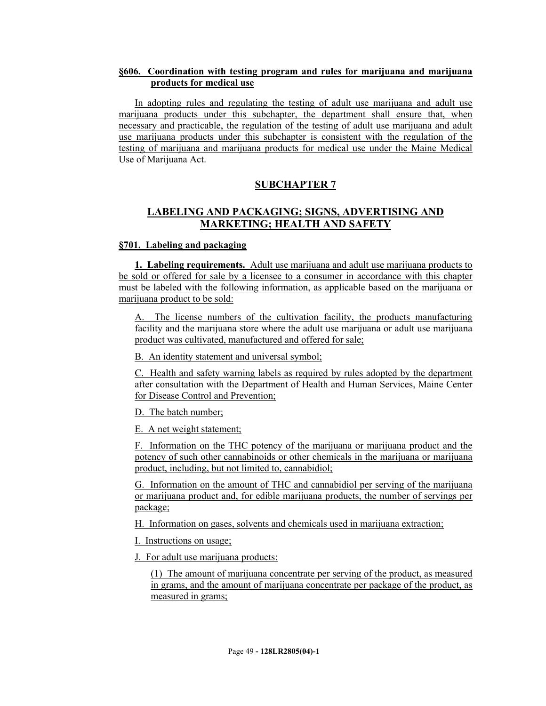## **§606. Coordination with testing program and rules for marijuana and marijuana products for medical use**

In adopting rules and regulating the testing of adult use marijuana and adult use marijuana products under this subchapter, the department shall ensure that, when necessary and practicable, the regulation of the testing of adult use marijuana and adult use marijuana products under this subchapter is consistent with the regulation of the testing of marijuana and marijuana products for medical use under the Maine Medical Use of Marijuana Act.

# **SUBCHAPTER 7**

# **LABELING AND PACKAGING; SIGNS, ADVERTISING AND MARKETING; HEALTH AND SAFETY**

#### **§701. Labeling and packaging**

**1. Labeling requirements.** Adult use marijuana and adult use marijuana products to be sold or offered for sale by a licensee to a consumer in accordance with this chapter must be labeled with the following information, as applicable based on the marijuana or marijuana product to be sold:

The license numbers of the cultivation facility, the products manufacturing facility and the marijuana store where the adult use marijuana or adult use marijuana product was cultivated, manufactured and offered for sale;

B. An identity statement and universal symbol;

C. Health and safety warning labels as required by rules adopted by the department after consultation with the Department of Health and Human Services, Maine Center for Disease Control and Prevention;

D. The batch number;

E. A net weight statement;

F. Information on the THC potency of the marijuana or marijuana product and the potency of such other cannabinoids or other chemicals in the marijuana or marijuana product, including, but not limited to, cannabidiol;

G. Information on the amount of THC and cannabidiol per serving of the marijuana or marijuana product and, for edible marijuana products, the number of servings per package;

H. Information on gases, solvents and chemicals used in marijuana extraction;

I. Instructions on usage;

J. For adult use marijuana products:

(1) The amount of marijuana concentrate per serving of the product, as measured in grams, and the amount of marijuana concentrate per package of the product, as measured in grams;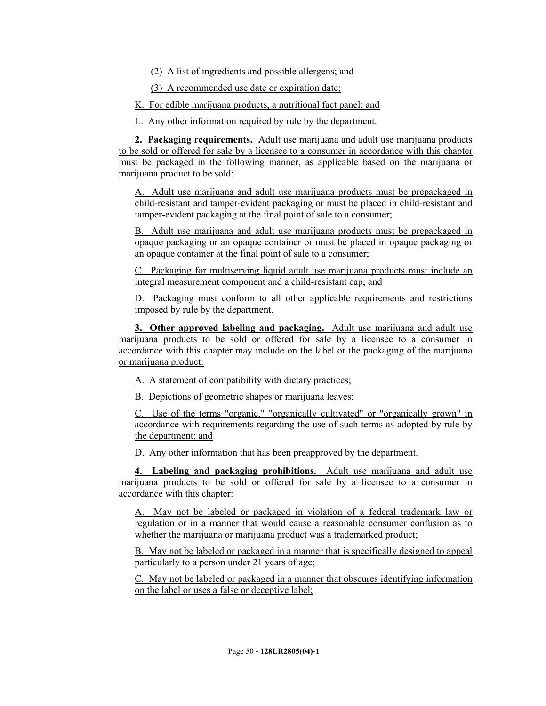(2) A list of ingredients and possible allergens; and

(3) A recommended use date or expiration date;

K. For edible marijuana products, a nutritional fact panel; and

L. Any other information required by rule by the department.

**2. Packaging requirements.** Adult use marijuana and adult use marijuana products to be sold or offered for sale by a licensee to a consumer in accordance with this chapter must be packaged in the following manner, as applicable based on the marijuana or marijuana product to be sold:

A. Adult use marijuana and adult use marijuana products must be prepackaged in child-resistant and tamper-evident packaging or must be placed in child-resistant and tamper-evident packaging at the final point of sale to a consumer;

B. Adult use marijuana and adult use marijuana products must be prepackaged in opaque packaging or an opaque container or must be placed in opaque packaging or an opaque container at the final point of sale to a consumer;

C. Packaging for multiserving liquid adult use marijuana products must include an integral measurement component and a child-resistant cap; and

D. Packaging must conform to all other applicable requirements and restrictions imposed by rule by the department.

**3. Other approved labeling and packaging.** Adult use marijuana and adult use marijuana products to be sold or offered for sale by a licensee to a consumer in accordance with this chapter may include on the label or the packaging of the marijuana or marijuana product:

A. A statement of compatibility with dietary practices;

B. Depictions of geometric shapes or marijuana leaves;

C. Use of the terms "organic," "organically cultivated" or "organically grown" in accordance with requirements regarding the use of such terms as adopted by rule by the department; and

D. Any other information that has been preapproved by the department.

**4. Labeling and packaging prohibitions.** Adult use marijuana and adult use marijuana products to be sold or offered for sale by a licensee to a consumer in accordance with this chapter:

A. May not be labeled or packaged in violation of a federal trademark law or regulation or in a manner that would cause a reasonable consumer confusion as to whether the marijuana or marijuana product was a trademarked product;

B. May not be labeled or packaged in a manner that is specifically designed to appeal particularly to a person under 21 years of age;

C. May not be labeled or packaged in a manner that obscures identifying information on the label or uses a false or deceptive label;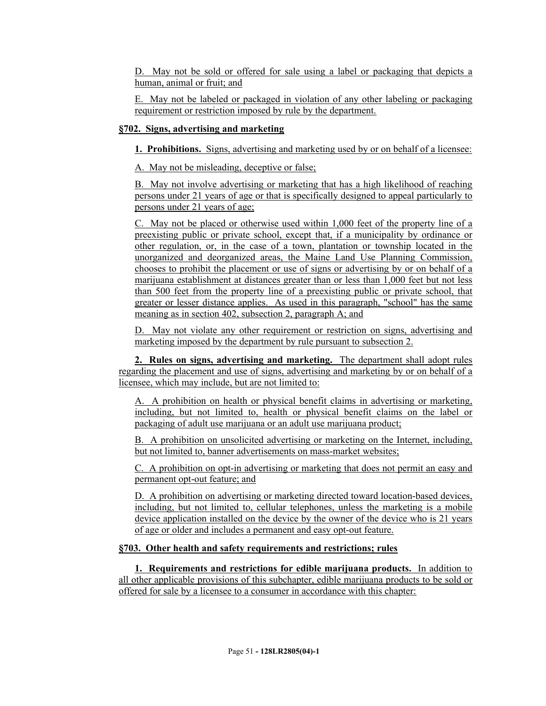D. May not be sold or offered for sale using a label or packaging that depicts a human, animal or fruit; and

E. May not be labeled or packaged in violation of any other labeling or packaging requirement or restriction imposed by rule by the department.

## **§702. Signs, advertising and marketing**

**1. Prohibitions.** Signs, advertising and marketing used by or on behalf of a licensee:

A. May not be misleading, deceptive or false;

B. May not involve advertising or marketing that has a high likelihood of reaching persons under 21 years of age or that is specifically designed to appeal particularly to persons under 21 years of age;

C. May not be placed or otherwise used within 1,000 feet of the property line of a preexisting public or private school, except that, if a municipality by ordinance or other regulation, or, in the case of a town, plantation or township located in the unorganized and deorganized areas, the Maine Land Use Planning Commission, chooses to prohibit the placement or use of signs or advertising by or on behalf of a marijuana establishment at distances greater than or less than 1,000 feet but not less than 500 feet from the property line of a preexisting public or private school, that greater or lesser distance applies. As used in this paragraph, "school" has the same meaning as in section 402, subsection 2, paragraph A; and

D. May not violate any other requirement or restriction on signs, advertising and marketing imposed by the department by rule pursuant to subsection 2.

**2. Rules on signs, advertising and marketing.** The department shall adopt rules regarding the placement and use of signs, advertising and marketing by or on behalf of a licensee, which may include, but are not limited to:

A. A prohibition on health or physical benefit claims in advertising or marketing, including, but not limited to, health or physical benefit claims on the label or packaging of adult use marijuana or an adult use marijuana product;

B. A prohibition on unsolicited advertising or marketing on the Internet, including, but not limited to, banner advertisements on mass-market websites;

C. A prohibition on opt-in advertising or marketing that does not permit an easy and permanent opt-out feature; and

D. A prohibition on advertising or marketing directed toward location-based devices, including, but not limited to, cellular telephones, unless the marketing is a mobile device application installed on the device by the owner of the device who is 21 years of age or older and includes a permanent and easy opt-out feature.

## **§703. Other health and safety requirements and restrictions; rules**

**1. Requirements and restrictions for edible marijuana products.** In addition to all other applicable provisions of this subchapter, edible marijuana products to be sold or offered for sale by a licensee to a consumer in accordance with this chapter: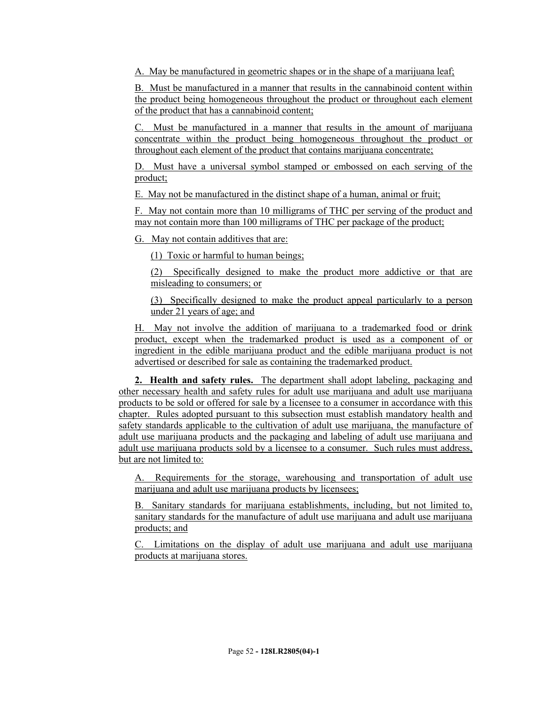A. May be manufactured in geometric shapes or in the shape of a marijuana leaf;

B. Must be manufactured in a manner that results in the cannabinoid content within the product being homogeneous throughout the product or throughout each element of the product that has a cannabinoid content;

C. Must be manufactured in a manner that results in the amount of marijuana concentrate within the product being homogeneous throughout the product or throughout each element of the product that contains marijuana concentrate;

D. Must have a universal symbol stamped or embossed on each serving of the product;

E. May not be manufactured in the distinct shape of a human, animal or fruit;

F. May not contain more than 10 milligrams of THC per serving of the product and may not contain more than 100 milligrams of THC per package of the product;

G. May not contain additives that are:

(1) Toxic or harmful to human beings;

(2) Specifically designed to make the product more addictive or that are misleading to consumers; or

(3) Specifically designed to make the product appeal particularly to a person under 21 years of age; and

H. May not involve the addition of marijuana to a trademarked food or drink product, except when the trademarked product is used as a component of or ingredient in the edible marijuana product and the edible marijuana product is not advertised or described for sale as containing the trademarked product.

**2. Health and safety rules.** The department shall adopt labeling, packaging and other necessary health and safety rules for adult use marijuana and adult use marijuana products to be sold or offered for sale by a licensee to a consumer in accordance with this chapter. Rules adopted pursuant to this subsection must establish mandatory health and safety standards applicable to the cultivation of adult use marijuana, the manufacture of adult use marijuana products and the packaging and labeling of adult use marijuana and adult use marijuana products sold by a licensee to a consumer. Such rules must address, but are not limited to:

A. Requirements for the storage, warehousing and transportation of adult use marijuana and adult use marijuana products by licensees;

B. Sanitary standards for marijuana establishments, including, but not limited to, sanitary standards for the manufacture of adult use marijuana and adult use marijuana products; and

C. Limitations on the display of adult use marijuana and adult use marijuana products at marijuana stores.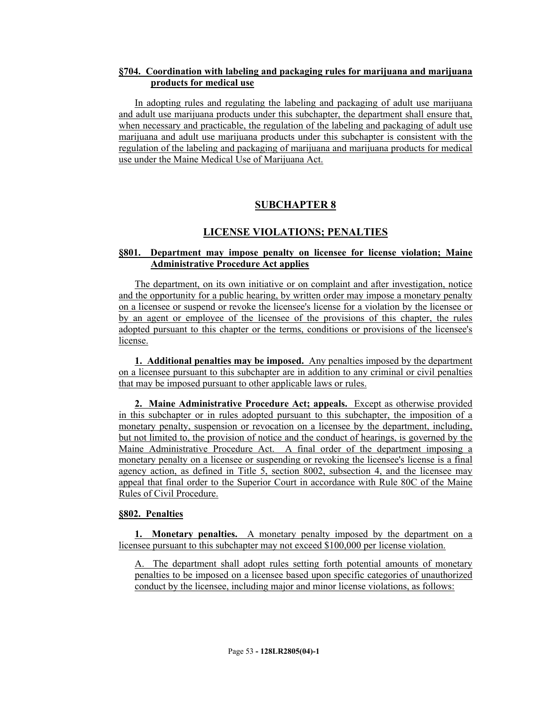## **§704. Coordination with labeling and packaging rules for marijuana and marijuana products for medical use**

In adopting rules and regulating the labeling and packaging of adult use marijuana and adult use marijuana products under this subchapter, the department shall ensure that, when necessary and practicable, the regulation of the labeling and packaging of adult use marijuana and adult use marijuana products under this subchapter is consistent with the regulation of the labeling and packaging of marijuana and marijuana products for medical use under the Maine Medical Use of Marijuana Act.

# **SUBCHAPTER 8**

## **LICENSE VIOLATIONS; PENALTIES**

## **§801. Department may impose penalty on licensee for license violation; Maine Administrative Procedure Act applies**

The department, on its own initiative or on complaint and after investigation, notice and the opportunity for a public hearing, by written order may impose a monetary penalty on a licensee or suspend or revoke the licensee's license for a violation by the licensee or by an agent or employee of the licensee of the provisions of this chapter, the rules adopted pursuant to this chapter or the terms, conditions or provisions of the licensee's license.

**1. Additional penalties may be imposed.** Any penalties imposed by the department on a licensee pursuant to this subchapter are in addition to any criminal or civil penalties that may be imposed pursuant to other applicable laws or rules.

**2. Maine Administrative Procedure Act; appeals.** Except as otherwise provided in this subchapter or in rules adopted pursuant to this subchapter, the imposition of a monetary penalty, suspension or revocation on a licensee by the department, including, but not limited to, the provision of notice and the conduct of hearings, is governed by the Maine Administrative Procedure Act. A final order of the department imposing a monetary penalty on a licensee or suspending or revoking the licensee's license is a final agency action, as defined in Title 5, section 8002, subsection 4, and the licensee may appeal that final order to the Superior Court in accordance with Rule 80C of the Maine Rules of Civil Procedure.

## **§802. Penalties**

**1. Monetary penalties.** A monetary penalty imposed by the department on a licensee pursuant to this subchapter may not exceed \$100,000 per license violation.

A. The department shall adopt rules setting forth potential amounts of monetary penalties to be imposed on a licensee based upon specific categories of unauthorized conduct by the licensee, including major and minor license violations, as follows: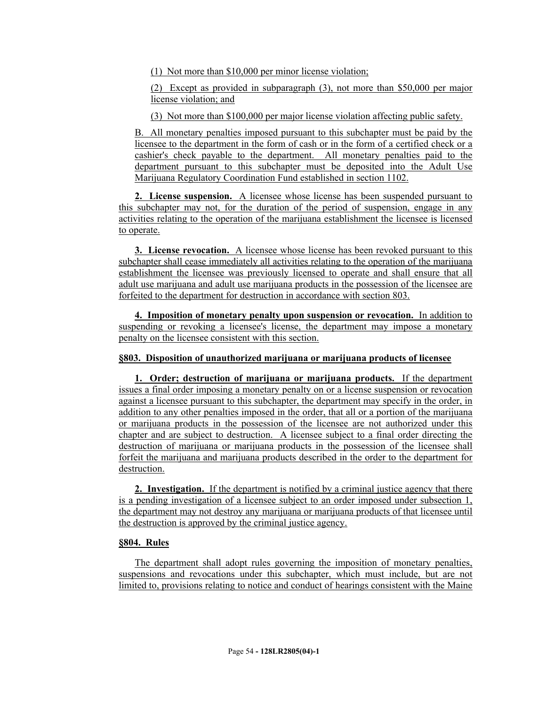(1) Not more than \$10,000 per minor license violation;

(2) Except as provided in subparagraph (3), not more than \$50,000 per major license violation; and

(3) Not more than \$100,000 per major license violation affecting public safety.

B. All monetary penalties imposed pursuant to this subchapter must be paid by the licensee to the department in the form of cash or in the form of a certified check or a cashier's check payable to the department. All monetary penalties paid to the department pursuant to this subchapter must be deposited into the Adult Use Marijuana Regulatory Coordination Fund established in section 1102.

**2. License suspension.** A licensee whose license has been suspended pursuant to this subchapter may not, for the duration of the period of suspension, engage in any activities relating to the operation of the marijuana establishment the licensee is licensed to operate.

**3. License revocation.** A licensee whose license has been revoked pursuant to this subchapter shall cease immediately all activities relating to the operation of the marijuana establishment the licensee was previously licensed to operate and shall ensure that all adult use marijuana and adult use marijuana products in the possession of the licensee are forfeited to the department for destruction in accordance with section 803.

**4. Imposition of monetary penalty upon suspension or revocation.** In addition to suspending or revoking a licensee's license, the department may impose a monetary penalty on the licensee consistent with this section.

# **§803. Disposition of unauthorized marijuana or marijuana products of licensee**

**1. Order; destruction of marijuana or marijuana products.** If the department issues a final order imposing a monetary penalty on or a license suspension or revocation against a licensee pursuant to this subchapter, the department may specify in the order, in addition to any other penalties imposed in the order, that all or a portion of the marijuana or marijuana products in the possession of the licensee are not authorized under this chapter and are subject to destruction. A licensee subject to a final order directing the destruction of marijuana or marijuana products in the possession of the licensee shall forfeit the marijuana and marijuana products described in the order to the department for destruction.

**2. Investigation.** If the department is notified by a criminal justice agency that there is a pending investigation of a licensee subject to an order imposed under subsection 1, the department may not destroy any marijuana or marijuana products of that licensee until the destruction is approved by the criminal justice agency.

## **§804. Rules**

The department shall adopt rules governing the imposition of monetary penalties, suspensions and revocations under this subchapter, which must include, but are not limited to, provisions relating to notice and conduct of hearings consistent with the Maine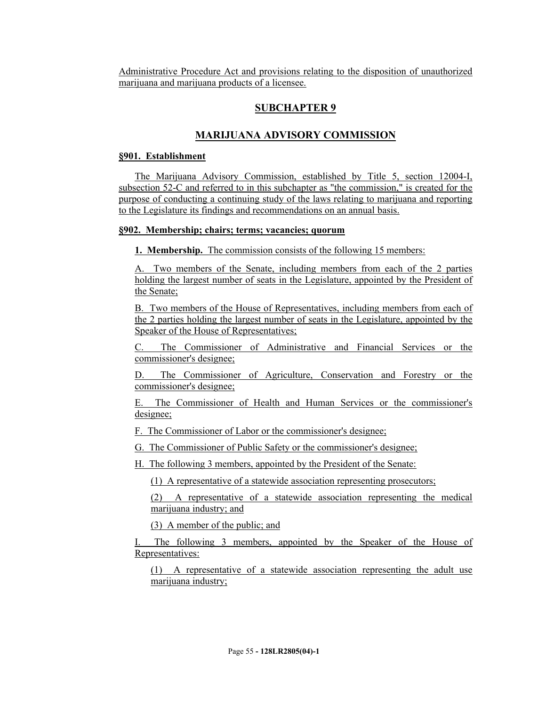Administrative Procedure Act and provisions relating to the disposition of unauthorized marijuana and marijuana products of a licensee.

## **SUBCHAPTER 9**

## **MARIJUANA ADVISORY COMMISSION**

#### **§901. Establishment**

The Marijuana Advisory Commission, established by Title 5, section 12004-I, subsection 52-C and referred to in this subchapter as "the commission," is created for the purpose of conducting a continuing study of the laws relating to marijuana and reporting to the Legislature its findings and recommendations on an annual basis.

### **§902. Membership; chairs; terms; vacancies; quorum**

**1. Membership.** The commission consists of the following 15 members:

A. Two members of the Senate, including members from each of the 2 parties holding the largest number of seats in the Legislature, appointed by the President of the Senate;

B. Two members of the House of Representatives, including members from each of the 2 parties holding the largest number of seats in the Legislature, appointed by the Speaker of the House of Representatives;

C. The Commissioner of Administrative and Financial Services or the commissioner's designee;

D. The Commissioner of Agriculture, Conservation and Forestry or the commissioner's designee;

E. The Commissioner of Health and Human Services or the commissioner's designee;

F. The Commissioner of Labor or the commissioner's designee;

G. The Commissioner of Public Safety or the commissioner's designee;

H. The following 3 members, appointed by the President of the Senate:

(1) A representative of a statewide association representing prosecutors;

(2) A representative of a statewide association representing the medical marijuana industry; and

(3) A member of the public; and

The following 3 members, appointed by the Speaker of the House of Representatives:

(1) A representative of a statewide association representing the adult use marijuana industry;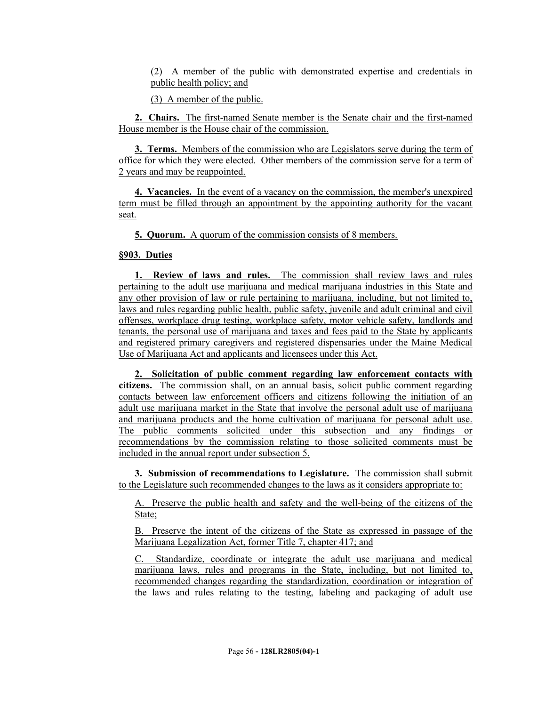(2) A member of the public with demonstrated expertise and credentials in public health policy; and

(3) A member of the public.

**2. Chairs.** The first-named Senate member is the Senate chair and the first-named House member is the House chair of the commission.

**3. Terms.** Members of the commission who are Legislators serve during the term of office for which they were elected. Other members of the commission serve for a term of 2 years and may be reappointed.

**4. Vacancies.** In the event of a vacancy on the commission, the member's unexpired term must be filled through an appointment by the appointing authority for the vacant seat.

**5. Quorum.** A quorum of the commission consists of 8 members.

#### **§903. Duties**

**1. Review of laws and rules.** The commission shall review laws and rules pertaining to the adult use marijuana and medical marijuana industries in this State and any other provision of law or rule pertaining to marijuana, including, but not limited to, laws and rules regarding public health, public safety, juvenile and adult criminal and civil offenses, workplace drug testing, workplace safety, motor vehicle safety, landlords and tenants, the personal use of marijuana and taxes and fees paid to the State by applicants and registered primary caregivers and registered dispensaries under the Maine Medical Use of Marijuana Act and applicants and licensees under this Act.

**2. Solicitation of public comment regarding law enforcement contacts with citizens.** The commission shall, on an annual basis, solicit public comment regarding contacts between law enforcement officers and citizens following the initiation of an adult use marijuana market in the State that involve the personal adult use of marijuana and marijuana products and the home cultivation of marijuana for personal adult use. The public comments solicited under this subsection and any findings or recommendations by the commission relating to those solicited comments must be included in the annual report under subsection 5.

**3. Submission of recommendations to Legislature.** The commission shall submit to the Legislature such recommended changes to the laws as it considers appropriate to:

A. Preserve the public health and safety and the well-being of the citizens of the State;

B. Preserve the intent of the citizens of the State as expressed in passage of the Marijuana Legalization Act, former Title 7, chapter 417; and

C. Standardize, coordinate or integrate the adult use marijuana and medical marijuana laws, rules and programs in the State, including, but not limited to, recommended changes regarding the standardization, coordination or integration of the laws and rules relating to the testing, labeling and packaging of adult use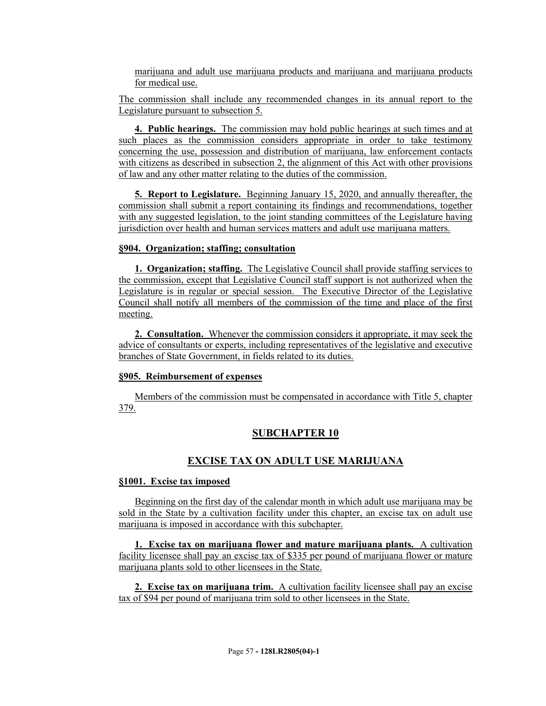marijuana and adult use marijuana products and marijuana and marijuana products for medical use.

The commission shall include any recommended changes in its annual report to the Legislature pursuant to subsection 5.

**4. Public hearings.** The commission may hold public hearings at such times and at such places as the commission considers appropriate in order to take testimony concerning the use, possession and distribution of marijuana, law enforcement contacts with citizens as described in subsection 2, the alignment of this Act with other provisions of law and any other matter relating to the duties of the commission.

**5. Report to Legislature.** Beginning January 15, 2020, and annually thereafter, the commission shall submit a report containing its findings and recommendations, together with any suggested legislation, to the joint standing committees of the Legislature having jurisdiction over health and human services matters and adult use marijuana matters.

#### **§904. Organization; staffing; consultation**

**1. Organization; staffing.** The Legislative Council shall provide staffing services to the commission, except that Legislative Council staff support is not authorized when the Legislature is in regular or special session. The Executive Director of the Legislative Council shall notify all members of the commission of the time and place of the first meeting.

**2. Consultation.** Whenever the commission considers it appropriate, it may seek the advice of consultants or experts, including representatives of the legislative and executive branches of State Government, in fields related to its duties.

#### **§905. Reimbursement of expenses**

Members of the commission must be compensated in accordance with Title 5, chapter 379.

# **SUBCHAPTER 10**

# **EXCISE TAX ON ADULT USE MARIJUANA**

## **§1001. Excise tax imposed**

Beginning on the first day of the calendar month in which adult use marijuana may be sold in the State by a cultivation facility under this chapter, an excise tax on adult use marijuana is imposed in accordance with this subchapter.

**1. Excise tax on marijuana flower and mature marijuana plants.** A cultivation facility licensee shall pay an excise tax of \$335 per pound of marijuana flower or mature marijuana plants sold to other licensees in the State.

**2. Excise tax on marijuana trim.** A cultivation facility licensee shall pay an excise tax of \$94 per pound of marijuana trim sold to other licensees in the State.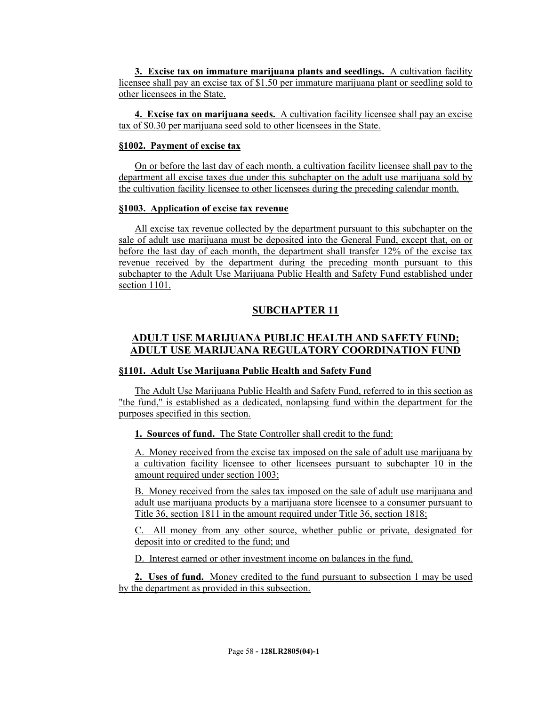**3. Excise tax on immature marijuana plants and seedlings.** A cultivation facility licensee shall pay an excise tax of \$1.50 per immature marijuana plant or seedling sold to other licensees in the State.

**4. Excise tax on marijuana seeds.** A cultivation facility licensee shall pay an excise tax of \$0.30 per marijuana seed sold to other licensees in the State.

## **§1002. Payment of excise tax**

On or before the last day of each month, a cultivation facility licensee shall pay to the department all excise taxes due under this subchapter on the adult use marijuana sold by the cultivation facility licensee to other licensees during the preceding calendar month.

## **§1003. Application of excise tax revenue**

All excise tax revenue collected by the department pursuant to this subchapter on the sale of adult use marijuana must be deposited into the General Fund, except that, on or before the last day of each month, the department shall transfer 12% of the excise tax revenue received by the department during the preceding month pursuant to this subchapter to the Adult Use Marijuana Public Health and Safety Fund established under section 1101.

# **SUBCHAPTER 11**

# **ADULT USE MARIJUANA PUBLIC HEALTH AND SAFETY FUND; ADULT USE MARIJUANA REGULATORY COORDINATION FUND**

## **§1101. Adult Use Marijuana Public Health and Safety Fund**

The Adult Use Marijuana Public Health and Safety Fund, referred to in this section as "the fund," is established as a dedicated, nonlapsing fund within the department for the purposes specified in this section.

## **1. Sources of fund.** The State Controller shall credit to the fund:

A. Money received from the excise tax imposed on the sale of adult use marijuana by a cultivation facility licensee to other licensees pursuant to subchapter 10 in the amount required under section 1003;

B. Money received from the sales tax imposed on the sale of adult use marijuana and adult use marijuana products by a marijuana store licensee to a consumer pursuant to Title 36, section 1811 in the amount required under Title 36, section 1818;

C. All money from any other source, whether public or private, designated for deposit into or credited to the fund; and

D. Interest earned or other investment income on balances in the fund.

**2. Uses of fund.** Money credited to the fund pursuant to subsection 1 may be used by the department as provided in this subsection.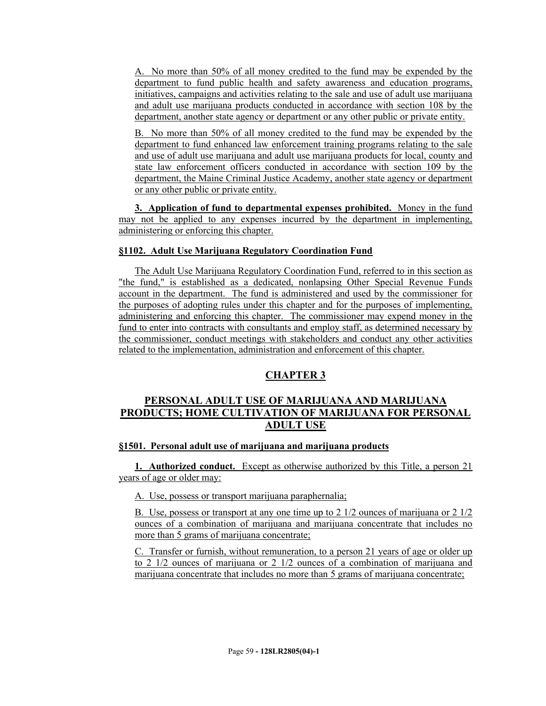A. No more than 50% of all money credited to the fund may be expended by the department to fund public health and safety awareness and education programs, initiatives, campaigns and activities relating to the sale and use of adult use marijuana and adult use marijuana products conducted in accordance with section 108 by the department, another state agency or department or any other public or private entity.

B. No more than 50% of all money credited to the fund may be expended by the department to fund enhanced law enforcement training programs relating to the sale and use of adult use marijuana and adult use marijuana products for local, county and state law enforcement officers conducted in accordance with section 109 by the department, the Maine Criminal Justice Academy, another state agency or department or any other public or private entity.

**3. Application of fund to departmental expenses prohibited.** Money in the fund may not be applied to any expenses incurred by the department in implementing, administering or enforcing this chapter.

## **§1102. Adult Use Marijuana Regulatory Coordination Fund**

The Adult Use Marijuana Regulatory Coordination Fund, referred to in this section as "the fund," is established as a dedicated, nonlapsing Other Special Revenue Funds account in the department. The fund is administered and used by the commissioner for the purposes of adopting rules under this chapter and for the purposes of implementing, administering and enforcing this chapter. The commissioner may expend money in the fund to enter into contracts with consultants and employ staff, as determined necessary by the commissioner, conduct meetings with stakeholders and conduct any other activities related to the implementation, administration and enforcement of this chapter.

# **CHAPTER 3**

# **PERSONAL ADULT USE OF MARIJUANA AND MARIJUANA PRODUCTS; HOME CULTIVATION OF MARIJUANA FOR PERSONAL ADULT USE**

## **§1501. Personal adult use of marijuana and marijuana products**

**1. Authorized conduct.** Except as otherwise authorized by this Title, a person 21 years of age or older may:

A. Use, possess or transport marijuana paraphernalia;

B. Use, possess or transport at any one time up to 2 1/2 ounces of marijuana or 2 1/2 ounces of a combination of marijuana and marijuana concentrate that includes no more than 5 grams of marijuana concentrate;

C. Transfer or furnish, without remuneration, to a person 21 years of age or older up to 2 1/2 ounces of marijuana or 2 1/2 ounces of a combination of marijuana and marijuana concentrate that includes no more than 5 grams of marijuana concentrate;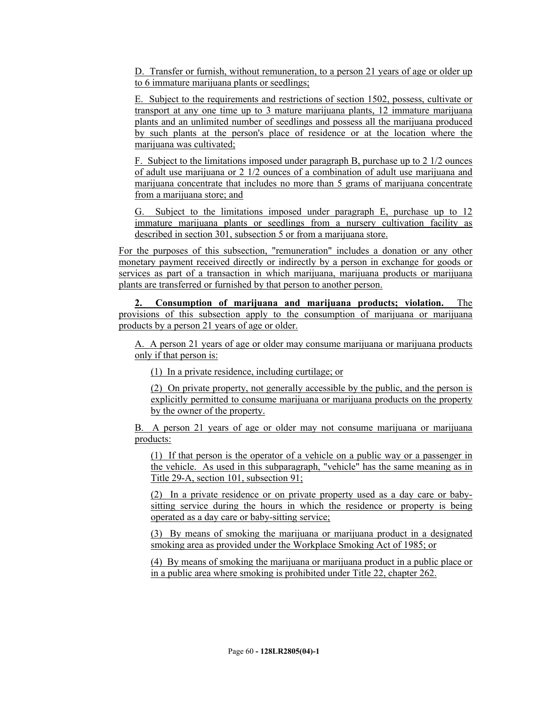D. Transfer or furnish, without remuneration, to a person 21 years of age or older up to 6 immature marijuana plants or seedlings;

E. Subject to the requirements and restrictions of section 1502, possess, cultivate or transport at any one time up to 3 mature marijuana plants, 12 immature marijuana plants and an unlimited number of seedlings and possess all the marijuana produced by such plants at the person's place of residence or at the location where the marijuana was cultivated;

F. Subject to the limitations imposed under paragraph B, purchase up to 2 1/2 ounces of adult use marijuana or 2 1/2 ounces of a combination of adult use marijuana and marijuana concentrate that includes no more than 5 grams of marijuana concentrate from a marijuana store; and

G. Subject to the limitations imposed under paragraph E, purchase up to 12 immature marijuana plants or seedlings from a nursery cultivation facility as described in section 301, subsection 5 or from a marijuana store.

For the purposes of this subsection, "remuneration" includes a donation or any other monetary payment received directly or indirectly by a person in exchange for goods or services as part of a transaction in which marijuana, marijuana products or marijuana plants are transferred or furnished by that person to another person.

**2. Consumption of marijuana and marijuana products; violation.** The provisions of this subsection apply to the consumption of marijuana or marijuana products by a person 21 years of age or older.

A. A person 21 years of age or older may consume marijuana or marijuana products only if that person is:

(1) In a private residence, including curtilage; or

(2) On private property, not generally accessible by the public, and the person is explicitly permitted to consume marijuana or marijuana products on the property by the owner of the property.

B. A person 21 years of age or older may not consume marijuana or marijuana products:

(1) If that person is the operator of a vehicle on a public way or a passenger in the vehicle. As used in this subparagraph, "vehicle" has the same meaning as in Title 29-A, section 101, subsection 91;

(2) In a private residence or on private property used as a day care or babysitting service during the hours in which the residence or property is being operated as a day care or baby-sitting service;

(3) By means of smoking the marijuana or marijuana product in a designated smoking area as provided under the Workplace Smoking Act of 1985; or

(4) By means of smoking the marijuana or marijuana product in a public place or in a public area where smoking is prohibited under Title 22, chapter 262.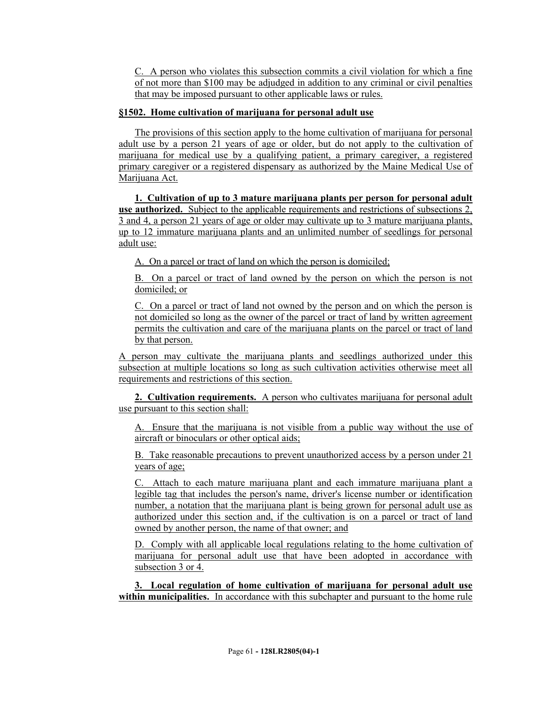C. A person who violates this subsection commits a civil violation for which a fine of not more than \$100 may be adjudged in addition to any criminal or civil penalties that may be imposed pursuant to other applicable laws or rules.

# **§1502. Home cultivation of marijuana for personal adult use**

The provisions of this section apply to the home cultivation of marijuana for personal adult use by a person 21 years of age or older, but do not apply to the cultivation of marijuana for medical use by a qualifying patient, a primary caregiver, a registered primary caregiver or a registered dispensary as authorized by the Maine Medical Use of Marijuana Act.

**1. Cultivation of up to 3 mature marijuana plants per person for personal adult use authorized.** Subject to the applicable requirements and restrictions of subsections 2, 3 and 4, a person 21 years of age or older may cultivate up to 3 mature marijuana plants, up to 12 immature marijuana plants and an unlimited number of seedlings for personal adult use:

A. On a parcel or tract of land on which the person is domiciled;

B. On a parcel or tract of land owned by the person on which the person is not domiciled; or

C. On a parcel or tract of land not owned by the person and on which the person is not domiciled so long as the owner of the parcel or tract of land by written agreement permits the cultivation and care of the marijuana plants on the parcel or tract of land by that person.

A person may cultivate the marijuana plants and seedlings authorized under this subsection at multiple locations so long as such cultivation activities otherwise meet all requirements and restrictions of this section.

**2. Cultivation requirements.** A person who cultivates marijuana for personal adult use pursuant to this section shall:

A. Ensure that the marijuana is not visible from a public way without the use of aircraft or binoculars or other optical aids;

B. Take reasonable precautions to prevent unauthorized access by a person under 21 years of age;

C. Attach to each mature marijuana plant and each immature marijuana plant a legible tag that includes the person's name, driver's license number or identification number, a notation that the marijuana plant is being grown for personal adult use as authorized under this section and, if the cultivation is on a parcel or tract of land owned by another person, the name of that owner; and

D. Comply with all applicable local regulations relating to the home cultivation of marijuana for personal adult use that have been adopted in accordance with subsection 3 or 4.

**3. Local regulation of home cultivation of marijuana for personal adult use within municipalities.** In accordance with this subchapter and pursuant to the home rule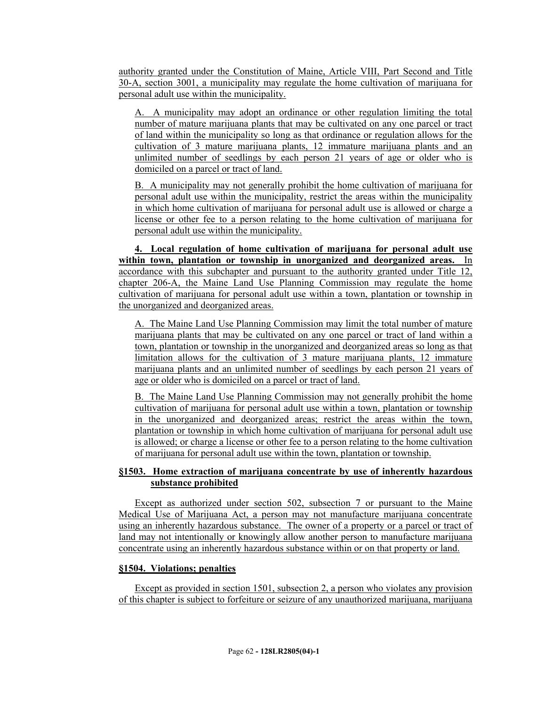authority granted under the Constitution of Maine, Article VIII, Part Second and Title 30-A, section 3001, a municipality may regulate the home cultivation of marijuana for personal adult use within the municipality.

A. A municipality may adopt an ordinance or other regulation limiting the total number of mature marijuana plants that may be cultivated on any one parcel or tract of land within the municipality so long as that ordinance or regulation allows for the cultivation of 3 mature marijuana plants, 12 immature marijuana plants and an unlimited number of seedlings by each person 21 years of age or older who is domiciled on a parcel or tract of land.

B. A municipality may not generally prohibit the home cultivation of marijuana for personal adult use within the municipality, restrict the areas within the municipality in which home cultivation of marijuana for personal adult use is allowed or charge a license or other fee to a person relating to the home cultivation of marijuana for personal adult use within the municipality.

**4. Local regulation of home cultivation of marijuana for personal adult use within town, plantation or township in unorganized and deorganized areas.** In accordance with this subchapter and pursuant to the authority granted under Title 12, chapter 206-A, the Maine Land Use Planning Commission may regulate the home cultivation of marijuana for personal adult use within a town, plantation or township in the unorganized and deorganized areas.

A. The Maine Land Use Planning Commission may limit the total number of mature marijuana plants that may be cultivated on any one parcel or tract of land within a town, plantation or township in the unorganized and deorganized areas so long as that limitation allows for the cultivation of 3 mature marijuana plants, 12 immature marijuana plants and an unlimited number of seedlings by each person 21 years of age or older who is domiciled on a parcel or tract of land.

B. The Maine Land Use Planning Commission may not generally prohibit the home cultivation of marijuana for personal adult use within a town, plantation or township in the unorganized and deorganized areas; restrict the areas within the town, plantation or township in which home cultivation of marijuana for personal adult use is allowed; or charge a license or other fee to a person relating to the home cultivation of marijuana for personal adult use within the town, plantation or township.

# **§1503. Home extraction of marijuana concentrate by use of inherently hazardous substance prohibited**

Except as authorized under section 502, subsection 7 or pursuant to the Maine Medical Use of Marijuana Act, a person may not manufacture marijuana concentrate using an inherently hazardous substance. The owner of a property or a parcel or tract of land may not intentionally or knowingly allow another person to manufacture marijuana concentrate using an inherently hazardous substance within or on that property or land.

# **§1504. Violations; penalties**

Except as provided in section 1501, subsection 2, a person who violates any provision of this chapter is subject to forfeiture or seizure of any unauthorized marijuana, marijuana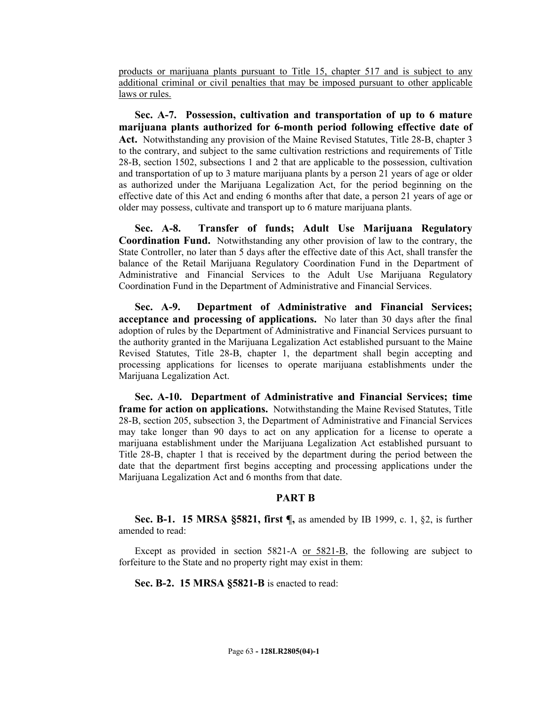products or marijuana plants pursuant to Title 15, chapter 517 and is subject to any additional criminal or civil penalties that may be imposed pursuant to other applicable laws or rules.

**Sec. A-7. Possession, cultivation and transportation of up to 6 mature marijuana plants authorized for 6-month period following effective date of Act.** Notwithstanding any provision of the Maine Revised Statutes, Title 28-B, chapter 3 to the contrary, and subject to the same cultivation restrictions and requirements of Title 28-B, section 1502, subsections 1 and 2 that are applicable to the possession, cultivation and transportation of up to 3 mature marijuana plants by a person 21 years of age or older as authorized under the Marijuana Legalization Act, for the period beginning on the effective date of this Act and ending 6 months after that date, a person 21 years of age or older may possess, cultivate and transport up to 6 mature marijuana plants.

**Sec. A-8. Transfer of funds; Adult Use Marijuana Regulatory Coordination Fund.** Notwithstanding any other provision of law to the contrary, the State Controller, no later than 5 days after the effective date of this Act, shall transfer the balance of the Retail Marijuana Regulatory Coordination Fund in the Department of Administrative and Financial Services to the Adult Use Marijuana Regulatory Coordination Fund in the Department of Administrative and Financial Services.

**Sec. A-9. Department of Administrative and Financial Services; acceptance and processing of applications.** No later than 30 days after the final adoption of rules by the Department of Administrative and Financial Services pursuant to the authority granted in the Marijuana Legalization Act established pursuant to the Maine Revised Statutes, Title 28-B, chapter 1, the department shall begin accepting and processing applications for licenses to operate marijuana establishments under the Marijuana Legalization Act.

**Sec. A-10. Department of Administrative and Financial Services; time frame for action on applications.** Notwithstanding the Maine Revised Statutes, Title 28-B, section 205, subsection 3, the Department of Administrative and Financial Services may take longer than 90 days to act on any application for a license to operate a marijuana establishment under the Marijuana Legalization Act established pursuant to Title 28-B, chapter 1 that is received by the department during the period between the date that the department first begins accepting and processing applications under the Marijuana Legalization Act and 6 months from that date.

#### **PART B**

**Sec. B-1. 15 MRSA §5821, first ¶,** as amended by IB 1999, c. 1, §2, is further amended to read:

Except as provided in section 5821-A or 5821-B, the following are subject to forfeiture to the State and no property right may exist in them:

**Sec. B-2. 15 MRSA §5821-B** is enacted to read: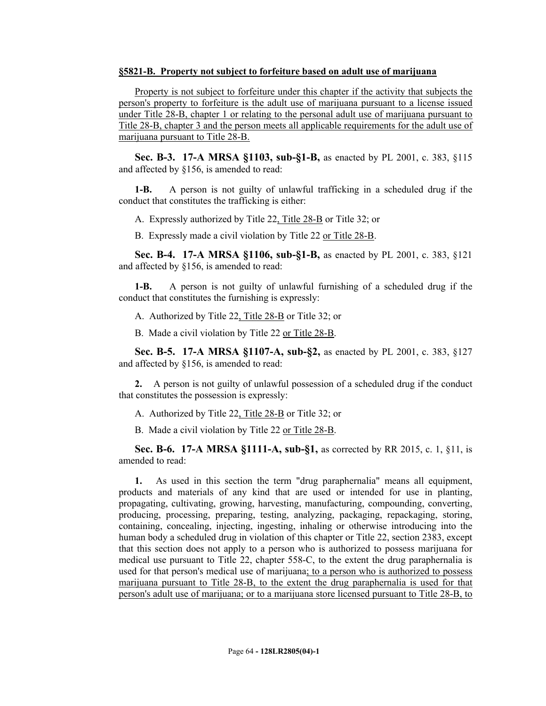#### **§5821-B. Property not subject to forfeiture based on adult use of marijuana**

Property is not subject to forfeiture under this chapter if the activity that subjects the person's property to forfeiture is the adult use of marijuana pursuant to a license issued under Title 28-B, chapter 1 or relating to the personal adult use of marijuana pursuant to Title 28-B, chapter 3 and the person meets all applicable requirements for the adult use of marijuana pursuant to Title 28-B.

**Sec. B-3. 17-A MRSA §1103, sub-§1-B,** as enacted by PL 2001, c. 383, §115 and affected by §156, is amended to read:

**1-B.** A person is not guilty of unlawful trafficking in a scheduled drug if the conduct that constitutes the trafficking is either:

A. Expressly authorized by Title 22, Title 28-B or Title 32; or

B. Expressly made a civil violation by Title 22 or Title 28-B.

**Sec. B-4. 17-A MRSA §1106, sub-§1-B,** as enacted by PL 2001, c. 383, §121 and affected by §156, is amended to read:

**1-B.** A person is not guilty of unlawful furnishing of a scheduled drug if the conduct that constitutes the furnishing is expressly:

A. Authorized by Title 22, Title 28-B or Title 32; or

B. Made a civil violation by Title 22 or Title 28-B.

**Sec. B-5. 17-A MRSA §1107-A, sub-§2,** as enacted by PL 2001, c. 383, §127 and affected by §156, is amended to read:

**2.** A person is not guilty of unlawful possession of a scheduled drug if the conduct that constitutes the possession is expressly:

A. Authorized by Title 22, Title 28-B or Title 32; or

B. Made a civil violation by Title 22 or Title 28-B.

**Sec. B-6. 17-A MRSA §1111-A, sub-§1,** as corrected by RR 2015, c. 1, §11, is amended to read:

**1.** As used in this section the term "drug paraphernalia" means all equipment, products and materials of any kind that are used or intended for use in planting, propagating, cultivating, growing, harvesting, manufacturing, compounding, converting, producing, processing, preparing, testing, analyzing, packaging, repackaging, storing, containing, concealing, injecting, ingesting, inhaling or otherwise introducing into the human body a scheduled drug in violation of this chapter or Title 22, section 2383, except that this section does not apply to a person who is authorized to possess marijuana for medical use pursuant to Title 22, chapter 558-C, to the extent the drug paraphernalia is used for that person's medical use of marijuana; to a person who is authorized to possess marijuana pursuant to Title 28-B, to the extent the drug paraphernalia is used for that person's adult use of marijuana; or to a marijuana store licensed pursuant to Title 28-B, to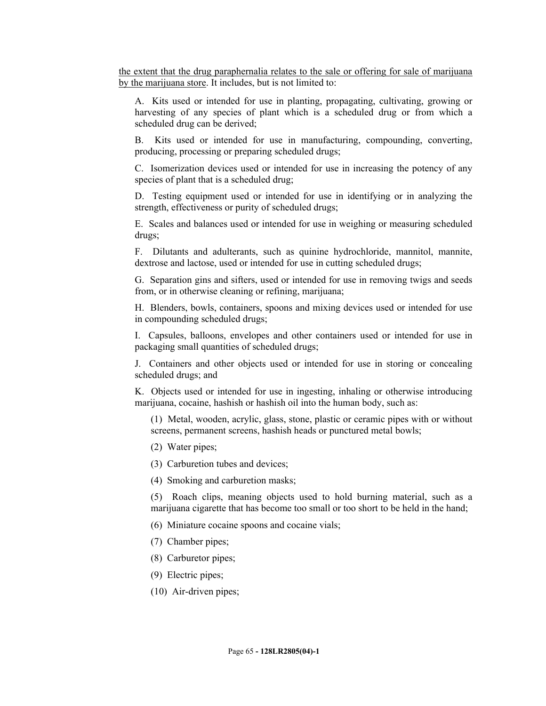the extent that the drug paraphernalia relates to the sale or offering for sale of marijuana by the marijuana store. It includes, but is not limited to:

A. Kits used or intended for use in planting, propagating, cultivating, growing or harvesting of any species of plant which is a scheduled drug or from which a scheduled drug can be derived;

B. Kits used or intended for use in manufacturing, compounding, converting, producing, processing or preparing scheduled drugs;

C. Isomerization devices used or intended for use in increasing the potency of any species of plant that is a scheduled drug;

D. Testing equipment used or intended for use in identifying or in analyzing the strength, effectiveness or purity of scheduled drugs;

E. Scales and balances used or intended for use in weighing or measuring scheduled drugs;

F. Dilutants and adulterants, such as quinine hydrochloride, mannitol, mannite, dextrose and lactose, used or intended for use in cutting scheduled drugs;

G. Separation gins and sifters, used or intended for use in removing twigs and seeds from, or in otherwise cleaning or refining, marijuana;

H. Blenders, bowls, containers, spoons and mixing devices used or intended for use in compounding scheduled drugs;

I. Capsules, balloons, envelopes and other containers used or intended for use in packaging small quantities of scheduled drugs;

J. Containers and other objects used or intended for use in storing or concealing scheduled drugs; and

K. Objects used or intended for use in ingesting, inhaling or otherwise introducing marijuana, cocaine, hashish or hashish oil into the human body, such as:

(1) Metal, wooden, acrylic, glass, stone, plastic or ceramic pipes with or without screens, permanent screens, hashish heads or punctured metal bowls;

- (2) Water pipes;
- (3) Carburetion tubes and devices;
- (4) Smoking and carburetion masks;

(5) Roach clips, meaning objects used to hold burning material, such as a marijuana cigarette that has become too small or too short to be held in the hand;

- (6) Miniature cocaine spoons and cocaine vials;
- (7) Chamber pipes;
- (8) Carburetor pipes;
- (9) Electric pipes;
- (10) Air-driven pipes;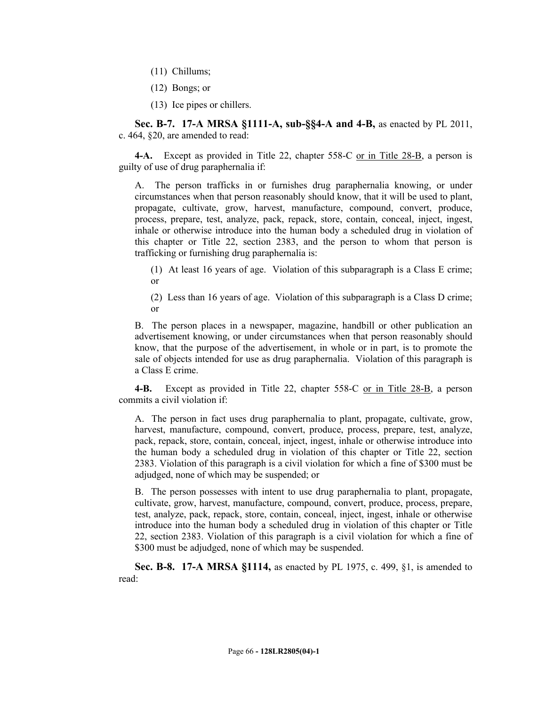- (11) Chillums;
- (12) Bongs; or
- (13) Ice pipes or chillers.

**Sec. B-7. 17-A MRSA §1111-A, sub-§§4-A and 4-B,** as enacted by PL 2011, c. 464, §20, are amended to read:

**4-A.** Except as provided in Title 22, chapter 558-C or in Title 28-B, a person is guilty of use of drug paraphernalia if:

A. The person trafficks in or furnishes drug paraphernalia knowing, or under circumstances when that person reasonably should know, that it will be used to plant, propagate, cultivate, grow, harvest, manufacture, compound, convert, produce, process, prepare, test, analyze, pack, repack, store, contain, conceal, inject, ingest, inhale or otherwise introduce into the human body a scheduled drug in violation of this chapter or Title 22, section 2383, and the person to whom that person is trafficking or furnishing drug paraphernalia is:

- (1) At least 16 years of age. Violation of this subparagraph is a Class E crime; or
- (2) Less than 16 years of age. Violation of this subparagraph is a Class D crime; or

B. The person places in a newspaper, magazine, handbill or other publication an advertisement knowing, or under circumstances when that person reasonably should know, that the purpose of the advertisement, in whole or in part, is to promote the sale of objects intended for use as drug paraphernalia. Violation of this paragraph is a Class E crime.

**4-B.** Except as provided in Title 22, chapter 558-C or in Title 28-B, a person commits a civil violation if:

A. The person in fact uses drug paraphernalia to plant, propagate, cultivate, grow, harvest, manufacture, compound, convert, produce, process, prepare, test, analyze, pack, repack, store, contain, conceal, inject, ingest, inhale or otherwise introduce into the human body a scheduled drug in violation of this chapter or Title 22, section 2383. Violation of this paragraph is a civil violation for which a fine of \$300 must be adjudged, none of which may be suspended; or

B. The person possesses with intent to use drug paraphernalia to plant, propagate, cultivate, grow, harvest, manufacture, compound, convert, produce, process, prepare, test, analyze, pack, repack, store, contain, conceal, inject, ingest, inhale or otherwise introduce into the human body a scheduled drug in violation of this chapter or Title 22, section 2383. Violation of this paragraph is a civil violation for which a fine of \$300 must be adjudged, none of which may be suspended.

**Sec. B-8. 17-A MRSA §1114,** as enacted by PL 1975, c. 499, §1, is amended to read: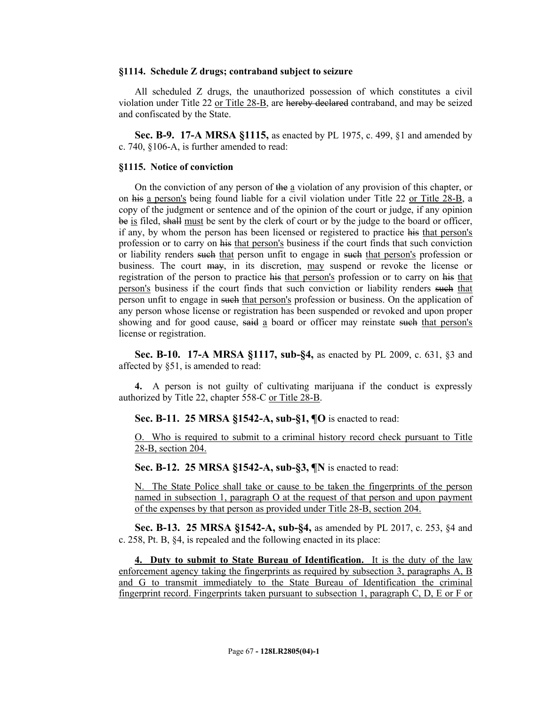#### **§1114. Schedule Z drugs; contraband subject to seizure**

All scheduled Z drugs, the unauthorized possession of which constitutes a civil violation under Title 22 or Title 28-B, are hereby declared contraband, and may be seized and confiscated by the State.

**Sec. B-9. 17-A MRSA §1115,** as enacted by PL 1975, c. 499, §1 and amended by c. 740, §106-A, is further amended to read:

#### **§1115. Notice of conviction**

On the conviction of any person of the a violation of any provision of this chapter, or on his a person's being found liable for a civil violation under Title 22 or Title 28-B, a copy of the judgment or sentence and of the opinion of the court or judge, if any opinion be is filed, shall must be sent by the clerk of court or by the judge to the board or officer, if any, by whom the person has been licensed or registered to practice his that person's profession or to carry on his that person's business if the court finds that such conviction or liability renders such that person unfit to engage in such that person's profession or business. The court may, in its discretion, may suspend or revoke the license or registration of the person to practice his that person's profession or to carry on his that person's business if the court finds that such conviction or liability renders such that person unfit to engage in such that person's profession or business. On the application of any person whose license or registration has been suspended or revoked and upon proper showing and for good cause, said a board or officer may reinstate such that person's license or registration.

**Sec. B-10. 17-A MRSA §1117, sub-§4,** as enacted by PL 2009, c. 631, §3 and affected by §51, is amended to read:

**4.** A person is not guilty of cultivating marijuana if the conduct is expressly authorized by Title 22, chapter 558-C or Title 28-B.

**Sec. B-11. 25 MRSA §1542-A, sub-§1, ¶O** is enacted to read:

O. Who is required to submit to a criminal history record check pursuant to Title 28-B, section 204.

**Sec. B-12. 25 MRSA §1542-A, sub-§3, ¶N** is enacted to read:

N. The State Police shall take or cause to be taken the fingerprints of the person named in subsection 1, paragraph O at the request of that person and upon payment of the expenses by that person as provided under Title 28-B, section 204.

**Sec. B-13. 25 MRSA §1542-A, sub-§4,** as amended by PL 2017, c. 253, §4 and c. 258, Pt. B, §4, is repealed and the following enacted in its place:

**4. Duty to submit to State Bureau of Identification.** It is the duty of the law enforcement agency taking the fingerprints as required by subsection 3, paragraphs A, B and G to transmit immediately to the State Bureau of Identification the criminal fingerprint record. Fingerprints taken pursuant to subsection 1, paragraph C, D, E or F or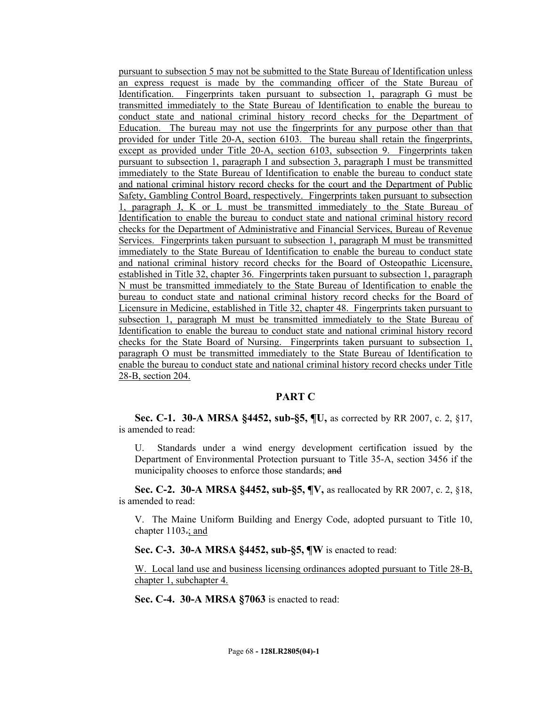pursuant to subsection 5 may not be submitted to the State Bureau of Identification unless an express request is made by the commanding officer of the State Bureau of Identification. Fingerprints taken pursuant to subsection 1, paragraph G must be transmitted immediately to the State Bureau of Identification to enable the bureau to conduct state and national criminal history record checks for the Department of Education. The bureau may not use the fingerprints for any purpose other than that provided for under Title 20-A, section 6103. The bureau shall retain the fingerprints, except as provided under Title 20-A, section 6103, subsection 9. Fingerprints taken pursuant to subsection 1, paragraph I and subsection 3, paragraph I must be transmitted immediately to the State Bureau of Identification to enable the bureau to conduct state and national criminal history record checks for the court and the Department of Public Safety, Gambling Control Board, respectively. Fingerprints taken pursuant to subsection 1, paragraph J, K or L must be transmitted immediately to the State Bureau of Identification to enable the bureau to conduct state and national criminal history record checks for the Department of Administrative and Financial Services, Bureau of Revenue Services. Fingerprints taken pursuant to subsection 1, paragraph M must be transmitted immediately to the State Bureau of Identification to enable the bureau to conduct state and national criminal history record checks for the Board of Osteopathic Licensure, established in Title 32, chapter 36. Fingerprints taken pursuant to subsection 1, paragraph N must be transmitted immediately to the State Bureau of Identification to enable the bureau to conduct state and national criminal history record checks for the Board of Licensure in Medicine, established in Title 32, chapter 48. Fingerprints taken pursuant to subsection 1, paragraph M must be transmitted immediately to the State Bureau of Identification to enable the bureau to conduct state and national criminal history record checks for the State Board of Nursing. Fingerprints taken pursuant to subsection 1, paragraph O must be transmitted immediately to the State Bureau of Identification to enable the bureau to conduct state and national criminal history record checks under Title 28-B, section 204.

## **PART C**

**Sec. C-1. 30-A MRSA §4452, sub-§5, ¶U,** as corrected by RR 2007, c. 2, §17, is amended to read:

U. Standards under a wind energy development certification issued by the Department of Environmental Protection pursuant to Title 35-A, section 3456 if the municipality chooses to enforce those standards; and

**Sec. C-2. 30-A MRSA §4452, sub-§5, ¶V,** as reallocated by RR 2007, c. 2, §18, is amended to read:

V. The Maine Uniform Building and Energy Code, adopted pursuant to Title 10, chapter 1103-; and

**Sec. C-3. 30-A MRSA §4452, sub-§5, ¶W** is enacted to read:

W. Local land use and business licensing ordinances adopted pursuant to Title 28-B, chapter 1, subchapter 4.

**Sec. C-4. 30-A MRSA §7063** is enacted to read: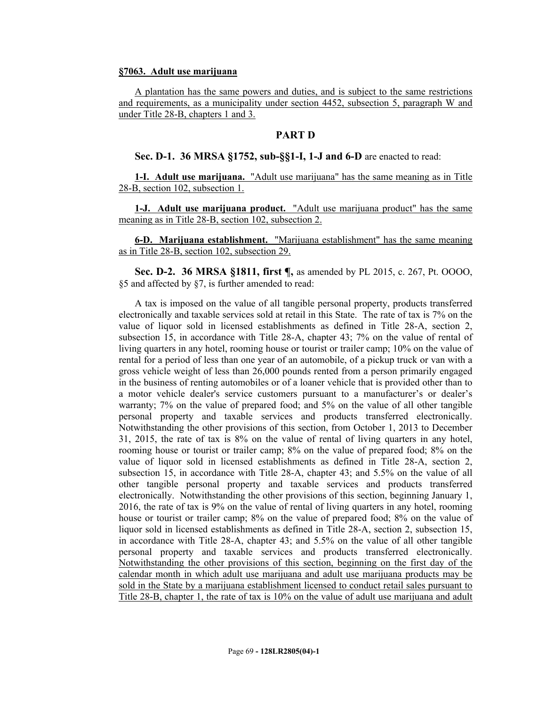#### **§7063. Adult use marijuana**

A plantation has the same powers and duties, and is subject to the same restrictions and requirements, as a municipality under section 4452, subsection 5, paragraph W and under Title 28-B, chapters 1 and 3.

## **PART D**

#### **Sec. D-1. 36 MRSA §1752, sub-§§1-I, 1-J and 6-D** are enacted to read:

**1-I. Adult use marijuana.** "Adult use marijuana" has the same meaning as in Title 28-B, section 102, subsection 1.

**1-J. Adult use marijuana product.** "Adult use marijuana product" has the same meaning as in Title 28-B, section 102, subsection 2.

**6-D. Marijuana establishment.** "Marijuana establishment" has the same meaning as in Title 28-B, section 102, subsection 29.

**Sec. D-2. 36 MRSA §1811, first ¶,** as amended by PL 2015, c. 267, Pt. OOOO, §5 and affected by §7, is further amended to read:

A tax is imposed on the value of all tangible personal property, products transferred electronically and taxable services sold at retail in this State. The rate of tax is 7% on the value of liquor sold in licensed establishments as defined in Title 28-A, section 2, subsection 15, in accordance with Title 28-A, chapter 43; 7% on the value of rental of living quarters in any hotel, rooming house or tourist or trailer camp; 10% on the value of rental for a period of less than one year of an automobile, of a pickup truck or van with a gross vehicle weight of less than 26,000 pounds rented from a person primarily engaged in the business of renting automobiles or of a loaner vehicle that is provided other than to a motor vehicle dealer's service customers pursuant to a manufacturer's or dealer's warranty; 7% on the value of prepared food; and 5% on the value of all other tangible personal property and taxable services and products transferred electronically. Notwithstanding the other provisions of this section, from October 1, 2013 to December 31, 2015, the rate of tax is 8% on the value of rental of living quarters in any hotel, rooming house or tourist or trailer camp; 8% on the value of prepared food; 8% on the value of liquor sold in licensed establishments as defined in Title 28-A, section 2, subsection 15, in accordance with Title 28-A, chapter 43; and 5.5% on the value of all other tangible personal property and taxable services and products transferred electronically. Notwithstanding the other provisions of this section, beginning January 1, 2016, the rate of tax is 9% on the value of rental of living quarters in any hotel, rooming house or tourist or trailer camp; 8% on the value of prepared food; 8% on the value of liquor sold in licensed establishments as defined in Title 28-A, section 2, subsection 15, in accordance with Title 28-A, chapter 43; and 5.5% on the value of all other tangible personal property and taxable services and products transferred electronically. Notwithstanding the other provisions of this section, beginning on the first day of the calendar month in which adult use marijuana and adult use marijuana products may be sold in the State by a marijuana establishment licensed to conduct retail sales pursuant to Title 28-B, chapter 1, the rate of tax is 10% on the value of adult use marijuana and adult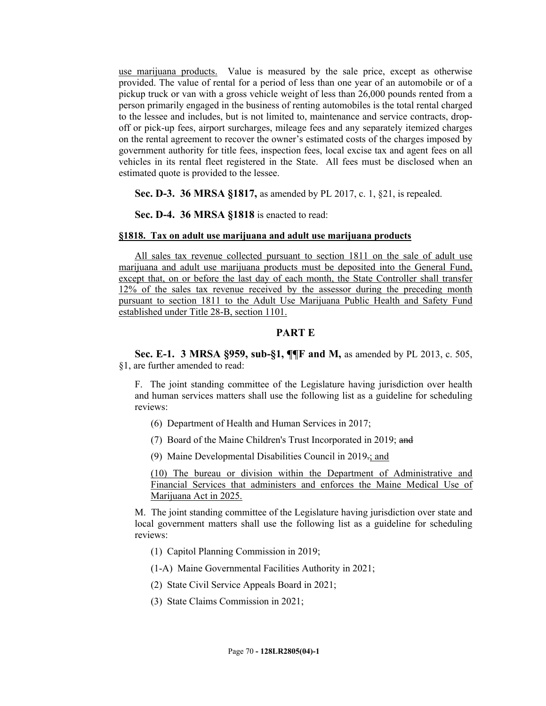use marijuana products. Value is measured by the sale price, except as otherwise provided. The value of rental for a period of less than one year of an automobile or of a pickup truck or van with a gross vehicle weight of less than 26,000 pounds rented from a person primarily engaged in the business of renting automobiles is the total rental charged to the lessee and includes, but is not limited to, maintenance and service contracts, dropoff or pick-up fees, airport surcharges, mileage fees and any separately itemized charges on the rental agreement to recover the owner's estimated costs of the charges imposed by government authority for title fees, inspection fees, local excise tax and agent fees on all vehicles in its rental fleet registered in the State. All fees must be disclosed when an estimated quote is provided to the lessee.

**Sec. D-3. 36 MRSA §1817,** as amended by PL 2017, c. 1, §21, is repealed.

**Sec. D-4. 36 MRSA §1818** is enacted to read:

#### **§1818. Tax on adult use marijuana and adult use marijuana products**

All sales tax revenue collected pursuant to section 1811 on the sale of adult use marijuana and adult use marijuana products must be deposited into the General Fund, except that, on or before the last day of each month, the State Controller shall transfer 12% of the sales tax revenue received by the assessor during the preceding month pursuant to section 1811 to the Adult Use Marijuana Public Health and Safety Fund established under Title 28-B, section 1101.

## **PART E**

**Sec. E-1. 3 MRSA §959, sub-§1, ¶¶F and M,** as amended by PL 2013, c. 505, §1, are further amended to read:

F. The joint standing committee of the Legislature having jurisdiction over health and human services matters shall use the following list as a guideline for scheduling reviews:

- (6) Department of Health and Human Services in 2017;
- (7) Board of the Maine Children's Trust Incorporated in 2019; and
- (9) Maine Developmental Disabilities Council in 2019.; and

(10) The bureau or division within the Department of Administrative and Financial Services that administers and enforces the Maine Medical Use of Marijuana Act in 2025.

M. The joint standing committee of the Legislature having jurisdiction over state and local government matters shall use the following list as a guideline for scheduling reviews:

(1) Capitol Planning Commission in 2019;

(1-A) Maine Governmental Facilities Authority in 2021;

- (2) State Civil Service Appeals Board in 2021;
- (3) State Claims Commission in 2021;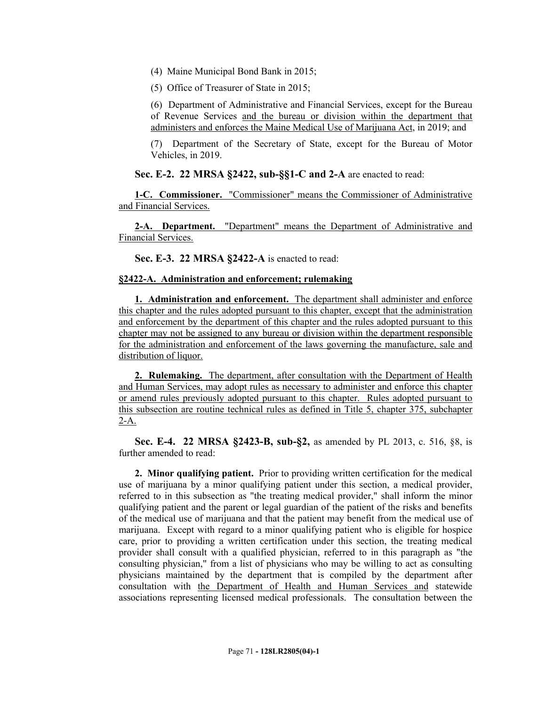(4) Maine Municipal Bond Bank in 2015;

(5) Office of Treasurer of State in 2015;

(6) Department of Administrative and Financial Services, except for the Bureau of Revenue Services and the bureau or division within the department that administers and enforces the Maine Medical Use of Marijuana Act, in 2019; and

(7) Department of the Secretary of State, except for the Bureau of Motor Vehicles, in 2019.

**Sec. E-2. 22 MRSA §2422, sub-§§1-C and 2-A** are enacted to read:

**1-C. Commissioner.** "Commissioner" means the Commissioner of Administrative and Financial Services.

**2-A. Department.** "Department" means the Department of Administrative and Financial Services.

**Sec. E-3. 22 MRSA §2422-A** is enacted to read:

## **§2422-A. Administration and enforcement; rulemaking**

**1. Administration and enforcement.** The department shall administer and enforce this chapter and the rules adopted pursuant to this chapter, except that the administration and enforcement by the department of this chapter and the rules adopted pursuant to this chapter may not be assigned to any bureau or division within the department responsible for the administration and enforcement of the laws governing the manufacture, sale and distribution of liquor.

**2. Rulemaking.** The department, after consultation with the Department of Health and Human Services, may adopt rules as necessary to administer and enforce this chapter or amend rules previously adopted pursuant to this chapter. Rules adopted pursuant to this subsection are routine technical rules as defined in Title 5, chapter 375, subchapter  $2-A$ .

**Sec. E-4. 22 MRSA §2423-B, sub-§2,** as amended by PL 2013, c. 516, §8, is further amended to read:

**2. Minor qualifying patient.** Prior to providing written certification for the medical use of marijuana by a minor qualifying patient under this section, a medical provider, referred to in this subsection as "the treating medical provider," shall inform the minor qualifying patient and the parent or legal guardian of the patient of the risks and benefits of the medical use of marijuana and that the patient may benefit from the medical use of marijuana. Except with regard to a minor qualifying patient who is eligible for hospice care, prior to providing a written certification under this section, the treating medical provider shall consult with a qualified physician, referred to in this paragraph as "the consulting physician," from a list of physicians who may be willing to act as consulting physicians maintained by the department that is compiled by the department after consultation with the Department of Health and Human Services and statewide associations representing licensed medical professionals. The consultation between the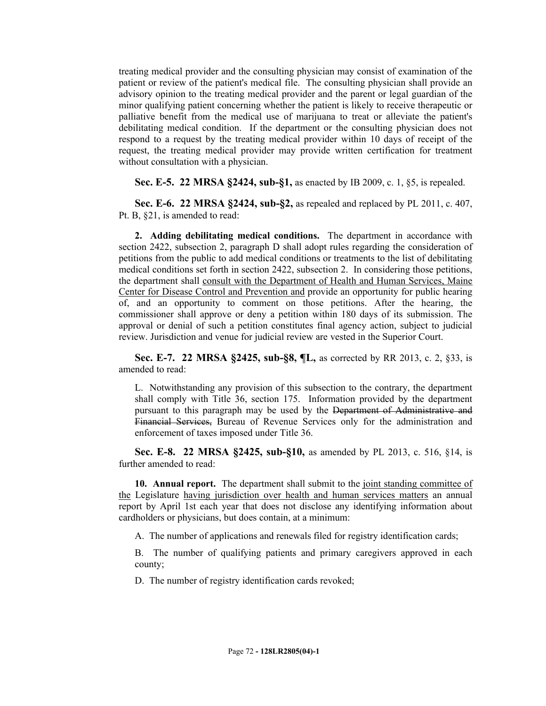treating medical provider and the consulting physician may consist of examination of the patient or review of the patient's medical file. The consulting physician shall provide an advisory opinion to the treating medical provider and the parent or legal guardian of the minor qualifying patient concerning whether the patient is likely to receive therapeutic or palliative benefit from the medical use of marijuana to treat or alleviate the patient's debilitating medical condition. If the department or the consulting physician does not respond to a request by the treating medical provider within 10 days of receipt of the request, the treating medical provider may provide written certification for treatment without consultation with a physician.

**Sec. E-5. 22 MRSA §2424, sub-§1,** as enacted by IB 2009, c. 1, §5, is repealed.

**Sec. E-6. 22 MRSA §2424, sub-§2,** as repealed and replaced by PL 2011, c. 407, Pt. B, §21, is amended to read:

**2. Adding debilitating medical conditions.** The department in accordance with section 2422, subsection 2, paragraph D shall adopt rules regarding the consideration of petitions from the public to add medical conditions or treatments to the list of debilitating medical conditions set forth in section 2422, subsection 2. In considering those petitions, the department shall consult with the Department of Health and Human Services, Maine Center for Disease Control and Prevention and provide an opportunity for public hearing of, and an opportunity to comment on those petitions. After the hearing, the commissioner shall approve or deny a petition within 180 days of its submission. The approval or denial of such a petition constitutes final agency action, subject to judicial review. Jurisdiction and venue for judicial review are vested in the Superior Court.

**Sec. E-7. 22 MRSA §2425, sub-§8, ¶L,** as corrected by RR 2013, c. 2, §33, is amended to read:

L. Notwithstanding any provision of this subsection to the contrary, the department shall comply with Title 36, section 175. Information provided by the department pursuant to this paragraph may be used by the Department of Administrative and Financial Services, Bureau of Revenue Services only for the administration and enforcement of taxes imposed under Title 36.

**Sec. E-8. 22 MRSA §2425, sub-§10,** as amended by PL 2013, c. 516, §14, is further amended to read:

**10. Annual report.** The department shall submit to the joint standing committee of the Legislature having jurisdiction over health and human services matters an annual report by April 1st each year that does not disclose any identifying information about cardholders or physicians, but does contain, at a minimum:

A. The number of applications and renewals filed for registry identification cards;

B. The number of qualifying patients and primary caregivers approved in each county;

D. The number of registry identification cards revoked;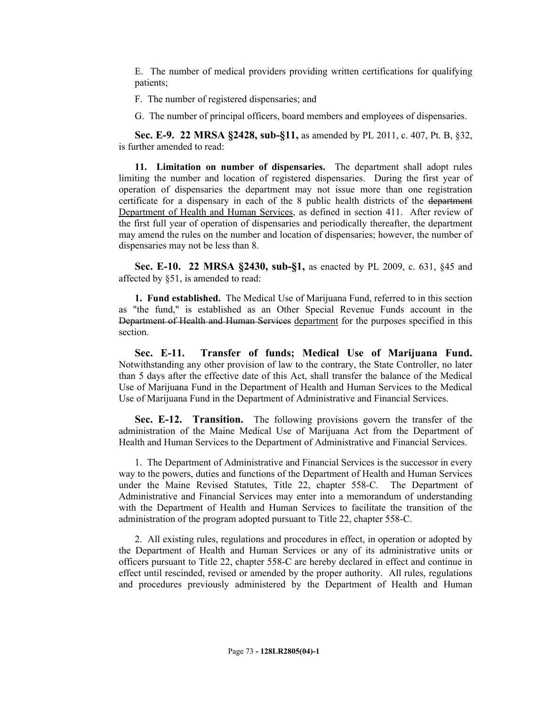E. The number of medical providers providing written certifications for qualifying patients;

- F. The number of registered dispensaries; and
- G. The number of principal officers, board members and employees of dispensaries.

**Sec. E-9. 22 MRSA §2428, sub-§11,** as amended by PL 2011, c. 407, Pt. B, §32, is further amended to read:

**11. Limitation on number of dispensaries.** The department shall adopt rules limiting the number and location of registered dispensaries. During the first year of operation of dispensaries the department may not issue more than one registration certificate for a dispensary in each of the 8 public health districts of the department Department of Health and Human Services, as defined in section 411. After review of the first full year of operation of dispensaries and periodically thereafter, the department may amend the rules on the number and location of dispensaries; however, the number of dispensaries may not be less than 8.

**Sec. E-10. 22 MRSA §2430, sub-§1,** as enacted by PL 2009, c. 631, §45 and affected by §51, is amended to read:

**1. Fund established.** The Medical Use of Marijuana Fund, referred to in this section as "the fund," is established as an Other Special Revenue Funds account in the Department of Health and Human Services department for the purposes specified in this section.

**Sec. E-11. Transfer of funds; Medical Use of Marijuana Fund.**  Notwithstanding any other provision of law to the contrary, the State Controller, no later than 5 days after the effective date of this Act, shall transfer the balance of the Medical Use of Marijuana Fund in the Department of Health and Human Services to the Medical Use of Marijuana Fund in the Department of Administrative and Financial Services.

**Sec. E-12. Transition.** The following provisions govern the transfer of the administration of the Maine Medical Use of Marijuana Act from the Department of Health and Human Services to the Department of Administrative and Financial Services.

1. The Department of Administrative and Financial Services is the successor in every way to the powers, duties and functions of the Department of Health and Human Services under the Maine Revised Statutes, Title 22, chapter 558-C. The Department of Administrative and Financial Services may enter into a memorandum of understanding with the Department of Health and Human Services to facilitate the transition of the administration of the program adopted pursuant to Title 22, chapter 558-C.

2. All existing rules, regulations and procedures in effect, in operation or adopted by the Department of Health and Human Services or any of its administrative units or officers pursuant to Title 22, chapter 558-C are hereby declared in effect and continue in effect until rescinded, revised or amended by the proper authority. All rules, regulations and procedures previously administered by the Department of Health and Human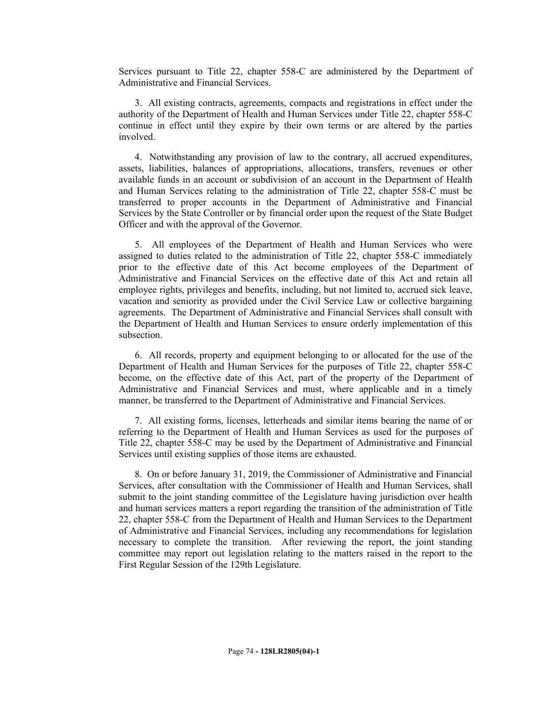Services pursuant to Title 22, chapter 558-C are administered by the Department of Administrative and Financial Services.

3. All existing contracts, agreements, compacts and registrations in effect under the authority of the Department of Health and Human Services under Title 22, chapter 558-C continue in effect until they expire by their own terms or are altered by the parties involved.

4. Notwithstanding any provision of law to the contrary, all accrued expenditures, assets, liabilities, balances of appropriations, allocations, transfers, revenues or other available funds in an account or subdivision of an account in the Department of Health and Human Services relating to the administration of Title 22, chapter 558-C must be transferred to proper accounts in the Department of Administrative and Financial Services by the State Controller or by financial order upon the request of the State Budget Officer and with the approval of the Governor.

5. All employees of the Department of Health and Human Services who were assigned to duties related to the administration of Title 22, chapter 558-C immediately prior to the effective date of this Act become employees of the Department of Administrative and Financial Services on the effective date of this Act and retain all employee rights, privileges and benefits, including, but not limited to, accrued sick leave, vacation and seniority as provided under the Civil Service Law or collective bargaining agreements. The Department of Administrative and Financial Services shall consult with the Department of Health and Human Services to ensure orderly implementation of this subsection.

6. All records, property and equipment belonging to or allocated for the use of the Department of Health and Human Services for the purposes of Title 22, chapter 558-C become, on the effective date of this Act, part of the property of the Department of Administrative and Financial Services and must, where applicable and in a timely manner, be transferred to the Department of Administrative and Financial Services.

7. All existing forms, licenses, letterheads and similar items bearing the name of or referring to the Department of Health and Human Services as used for the purposes of Title 22, chapter 558-C may be used by the Department of Administrative and Financial Services until existing supplies of those items are exhausted.

8. On or before January 31, 2019, the Commissioner of Administrative and Financial Services, after consultation with the Commissioner of Health and Human Services, shall submit to the joint standing committee of the Legislature having jurisdiction over health and human services matters a report regarding the transition of the administration of Title 22, chapter 558-C from the Department of Health and Human Services to the Department of Administrative and Financial Services, including any recommendations for legislation necessary to complete the transition. After reviewing the report, the joint standing committee may report out legislation relating to the matters raised in the report to the First Regular Session of the 129th Legislature.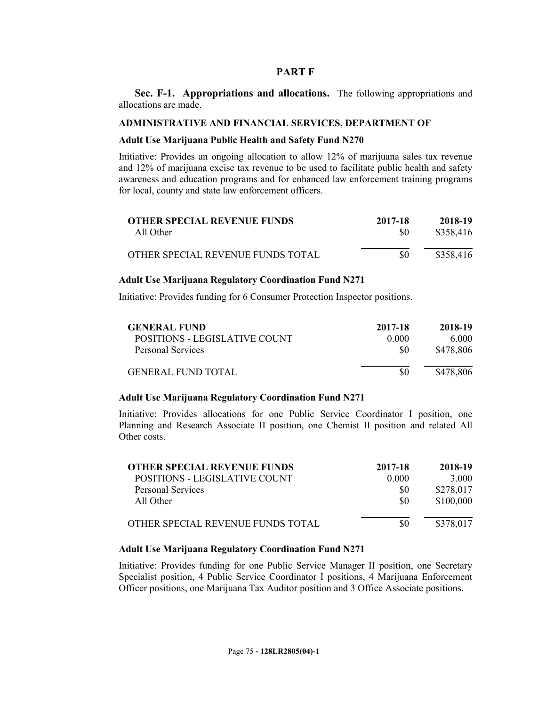#### **PART F**

**Sec. F-1. Appropriations and allocations.** The following appropriations and allocations are made.

#### **ADMINISTRATIVE AND FINANCIAL SERVICES, DEPARTMENT OF**

#### **Adult Use Marijuana Public Health and Safety Fund N270**

Initiative: Provides an ongoing allocation to allow 12% of marijuana sales tax revenue and 12% of marijuana excise tax revenue to be used to facilitate public health and safety awareness and education programs and for enhanced law enforcement training programs for local, county and state law enforcement officers.

| <b>OTHER SPECIAL REVENUE FUNDS</b> | 2017-18 | 2018-19   |
|------------------------------------|---------|-----------|
| All Other                          |         | \$358,416 |
| OTHER SPECIAL REVENUE FUNDS TOTAL  | \$0     | \$358,416 |

#### **Adult Use Marijuana Regulatory Coordination Fund N271**

Initiative: Provides funding for 6 Consumer Protection Inspector positions.

| <b>GENERAL FUND</b>           | 2017-18 | 2018-19   |
|-------------------------------|---------|-----------|
| POSITIONS - LEGISLATIVE COUNT | 0.000   | 6.000     |
| Personal Services             | \$0     | \$478,806 |
| <b>GENERAL FUND TOTAL</b>     | \$0     | \$478,806 |

## **Adult Use Marijuana Regulatory Coordination Fund N271**

Initiative: Provides allocations for one Public Service Coordinator I position, one Planning and Research Associate II position, one Chemist II position and related All Other costs.

| <b>OTHER SPECIAL REVENUE FUNDS</b> | 2017-18 | 2018-19   |
|------------------------------------|---------|-----------|
| POSITIONS - LEGISLATIVE COUNT      | 0.000   | 3.000     |
| <b>Personal Services</b>           | S0      | \$278,017 |
| All Other                          | \$0     | \$100,000 |
| OTHER SPECIAL REVENUE FUNDS TOTAL  | \$0     | \$378,017 |

# **Adult Use Marijuana Regulatory Coordination Fund N271**

Initiative: Provides funding for one Public Service Manager II position, one Secretary Specialist position, 4 Public Service Coordinator I positions, 4 Marijuana Enforcement Officer positions, one Marijuana Tax Auditor position and 3 Office Associate positions.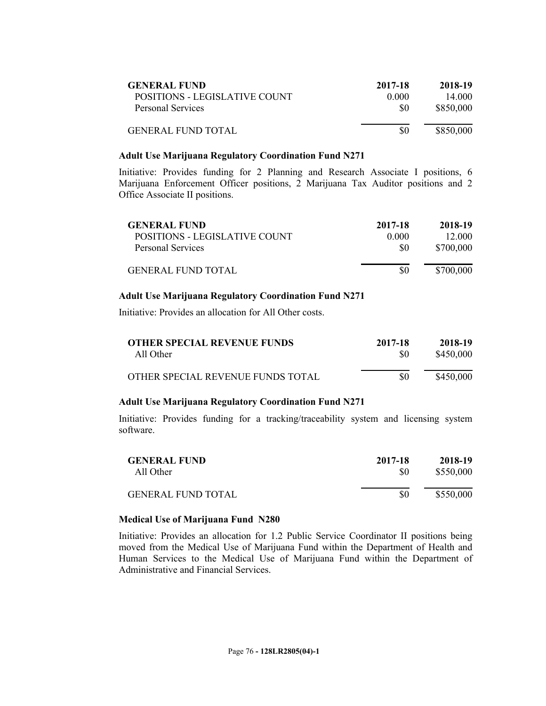| <b>GENERAL FUND</b>           | 2017-18 | 2018-19   |
|-------------------------------|---------|-----------|
| POSITIONS - LEGISLATIVE COUNT | 0.000   | 14 000    |
| Personal Services             | 80      | \$850,000 |
| <b>GENERAL FUND TOTAL</b>     | 80      | \$850,000 |

#### **Adult Use Marijuana Regulatory Coordination Fund N271**

Initiative: Provides funding for 2 Planning and Research Associate I positions, 6 Marijuana Enforcement Officer positions, 2 Marijuana Tax Auditor positions and 2 Office Associate II positions.

| <b>GENERAL FUND</b>           | 2017-18 | 2018-19   |
|-------------------------------|---------|-----------|
| POSITIONS - LEGISLATIVE COUNT | 0.000   | 12 000    |
| Personal Services             | \$0     | \$700,000 |
| <b>GENERAL FUND TOTAL</b>     |         | \$700,000 |

## **Adult Use Marijuana Regulatory Coordination Fund N271**

Initiative: Provides an allocation for All Other costs.

| <b>OTHER SPECIAL REVENUE FUNDS</b> | 2017-18 | 2018-19   |
|------------------------------------|---------|-----------|
| All Other                          | \$0     | \$450,000 |
| OTHER SPECIAL REVENUE FUNDS TOTAL  | \$0     | \$450,000 |

## **Adult Use Marijuana Regulatory Coordination Fund N271**

Initiative: Provides funding for a tracking/traceability system and licensing system software.

| <b>GENERAL FUND</b>       | 2017-18 | 2018-19   |
|---------------------------|---------|-----------|
| All Other                 | \$0     | \$550,000 |
| <b>GENERAL FUND TOTAL</b> | \$0     | \$550,000 |

## **Medical Use of Marijuana Fund N280**

Initiative: Provides an allocation for 1.2 Public Service Coordinator II positions being moved from the Medical Use of Marijuana Fund within the Department of Health and Human Services to the Medical Use of Marijuana Fund within the Department of Administrative and Financial Services.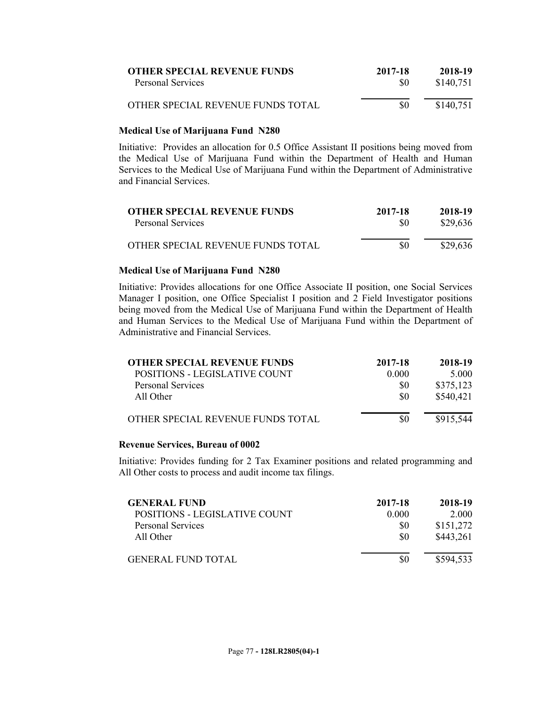| <b>OTHER SPECIAL REVENUE FUNDS</b> | 2017-18 | 2018-19   |
|------------------------------------|---------|-----------|
| Personal Services                  | -80     | \$140.751 |
| OTHER SPECIAL REVENUE FUNDS TOTAL  | \$0     | \$140,751 |

## **Medical Use of Marijuana Fund N280**

Initiative: Provides an allocation for 0.5 Office Assistant II positions being moved from the Medical Use of Marijuana Fund within the Department of Health and Human Services to the Medical Use of Marijuana Fund within the Department of Administrative and Financial Services.

| <b>OTHER SPECIAL REVENUE FUNDS</b> | 2017-18 | 2018-19  |
|------------------------------------|---------|----------|
| Personal Services                  | 80      | \$29,636 |
| OTHER SPECIAL REVENUE FUNDS TOTAL  | \$0     | \$29,636 |

## **Medical Use of Marijuana Fund N280**

Initiative: Provides allocations for one Office Associate II position, one Social Services Manager I position, one Office Specialist I position and 2 Field Investigator positions being moved from the Medical Use of Marijuana Fund within the Department of Health and Human Services to the Medical Use of Marijuana Fund within the Department of Administrative and Financial Services.

| <b>OTHER SPECIAL REVENUE FUNDS</b> | 2017-18 | 2018-19   |
|------------------------------------|---------|-----------|
| POSITIONS - LEGISLATIVE COUNT      | 0.000   | 5.000     |
| Personal Services                  | \$0     | \$375,123 |
| All Other                          | \$0     | \$540,421 |
| OTHER SPECIAL REVENUE FUNDS TOTAL  | \$0     | \$915,544 |

## **Revenue Services, Bureau of 0002**

Initiative: Provides funding for 2 Tax Examiner positions and related programming and All Other costs to process and audit income tax filings.

| <b>GENERAL FUND</b>           | 2017-18 | 2018-19   |
|-------------------------------|---------|-----------|
| POSITIONS - LEGISLATIVE COUNT | 0.000   | 2.000     |
| <b>Personal Services</b>      | \$0     | \$151,272 |
| All Other                     | \$0     | \$443,261 |
| <b>GENERAL FUND TOTAL</b>     | 80      | \$594.533 |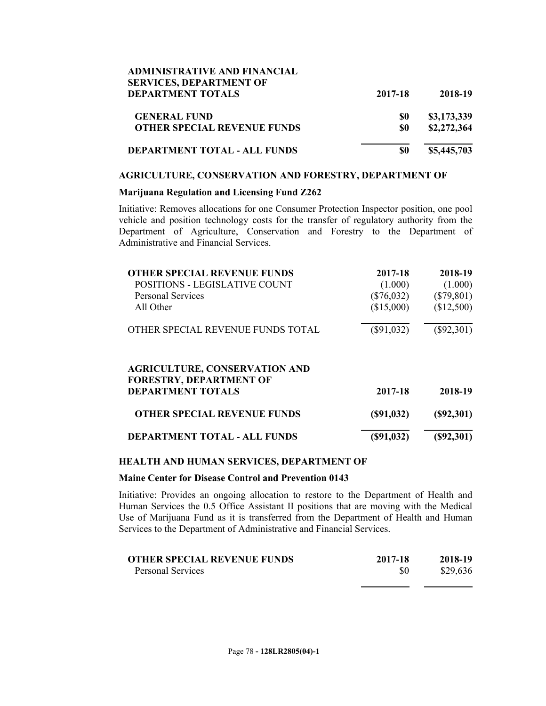| <b>ADMINISTRATIVE AND FINANCIAL</b> |         |             |
|-------------------------------------|---------|-------------|
| <b>SERVICES, DEPARTMENT OF</b>      |         |             |
| <b>DEPARTMENT TOTALS</b>            | 2017-18 | 2018-19     |
| <b>GENERAL FUND</b>                 | \$0     | \$3,173,339 |
| <b>OTHER SPECIAL REVENUE FUNDS</b>  | \$0     | \$2,272,364 |
| DEPARTMENT TOTAL - ALL FUNDS        | \$0     | \$5,445,703 |

#### **AGRICULTURE, CONSERVATION AND FORESTRY, DEPARTMENT OF**

## **Marijuana Regulation and Licensing Fund Z262**

Initiative: Removes allocations for one Consumer Protection Inspector position, one pool vehicle and position technology costs for the transfer of regulatory authority from the Department of Agriculture, Conservation and Forestry to the Department of Administrative and Financial Services.

| <b>OTHER SPECIAL REVENUE FUNDS</b><br><b>POSITIONS - LEGISLATIVE COUNT</b><br><b>Personal Services</b> | 2017-18<br>(1.000)<br>$(\$76,032)$ | 2018-19<br>(1.000)<br>$(\$79,801)$ |
|--------------------------------------------------------------------------------------------------------|------------------------------------|------------------------------------|
| All Other                                                                                              | (\$15,000)                         | (\$12,500)                         |
| OTHER SPECIAL REVENUE FUNDS TOTAL                                                                      | $(\$91,032)$                       | $(\$92,301)$                       |
| <b>AGRICULTURE, CONSERVATION AND</b><br><b>FORESTRY, DEPARTMENT OF</b>                                 |                                    |                                    |
| <b>DEPARTMENT TOTALS</b>                                                                               | 2017-18                            | 2018-19                            |
| <b>OTHER SPECIAL REVENUE FUNDS</b>                                                                     | (S91, 032)                         | (S92, 301)                         |
| <b>DEPARTMENT TOTAL - ALL FUNDS</b>                                                                    | (S91, 032)                         | (S92, 301)                         |

## **HEALTH AND HUMAN SERVICES, DEPARTMENT OF**

#### **Maine Center for Disease Control and Prevention 0143**

Initiative: Provides an ongoing allocation to restore to the Department of Health and Human Services the 0.5 Office Assistant II positions that are moving with the Medical Use of Marijuana Fund as it is transferred from the Department of Health and Human Services to the Department of Administrative and Financial Services.

| <b>OTHER SPECIAL REVENUE FUNDS</b> | 2017-18 | 2018-19  |
|------------------------------------|---------|----------|
| Personal Services                  | \$0     | \$29,636 |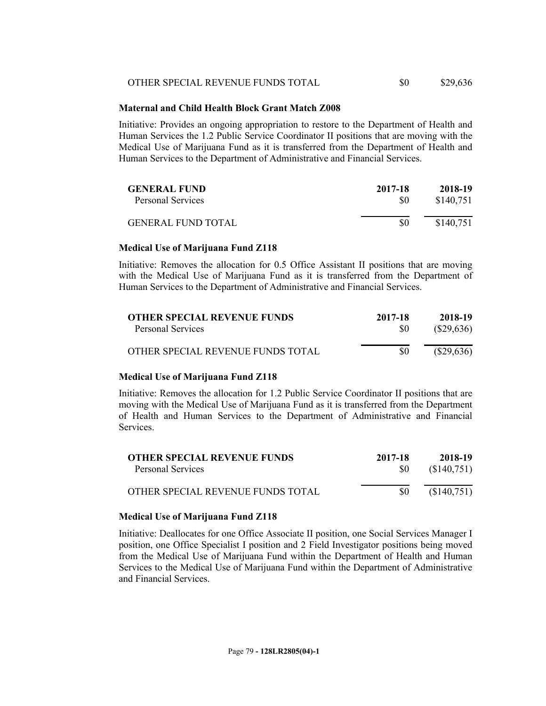| OTHER SPECIAL REVENUE FUNDS TOTAL | \$0 | \$29,636 |
|-----------------------------------|-----|----------|
|-----------------------------------|-----|----------|

## **Maternal and Child Health Block Grant Match Z008**

Initiative: Provides an ongoing appropriation to restore to the Department of Health and Human Services the 1.2 Public Service Coordinator II positions that are moving with the Medical Use of Marijuana Fund as it is transferred from the Department of Health and Human Services to the Department of Administrative and Financial Services.

| <b>GENERAL FUND</b>       | 2017-18 | 2018-19   |
|---------------------------|---------|-----------|
| Personal Services         | \$0     | \$140,751 |
| <b>GENERAL FUND TOTAL</b> | \$0     | \$140,751 |

#### **Medical Use of Marijuana Fund Z118**

Initiative: Removes the allocation for 0.5 Office Assistant II positions that are moving with the Medical Use of Marijuana Fund as it is transferred from the Department of Human Services to the Department of Administrative and Financial Services.

| <b>OTHER SPECIAL REVENUE FUNDS</b> | 2017-18 | 2018-19      |
|------------------------------------|---------|--------------|
| Personal Services                  | -80     | $(\$29,636)$ |
| OTHER SPECIAL REVENUE FUNDS TOTAL  | \$0     | $(\$29,636)$ |

## **Medical Use of Marijuana Fund Z118**

Initiative: Removes the allocation for 1.2 Public Service Coordinator II positions that are moving with the Medical Use of Marijuana Fund as it is transferred from the Department of Health and Human Services to the Department of Administrative and Financial Services.

| <b>OTHER SPECIAL REVENUE FUNDS</b> | 2017-18 | 2018-19     |
|------------------------------------|---------|-------------|
| Personal Services                  | -SO     | (\$140,751) |
| OTHER SPECIAL REVENUE FUNDS TOTAL  | \$0     | (\$140,751) |

## **Medical Use of Marijuana Fund Z118**

Initiative: Deallocates for one Office Associate II position, one Social Services Manager I position, one Office Specialist I position and 2 Field Investigator positions being moved from the Medical Use of Marijuana Fund within the Department of Health and Human Services to the Medical Use of Marijuana Fund within the Department of Administrative and Financial Services.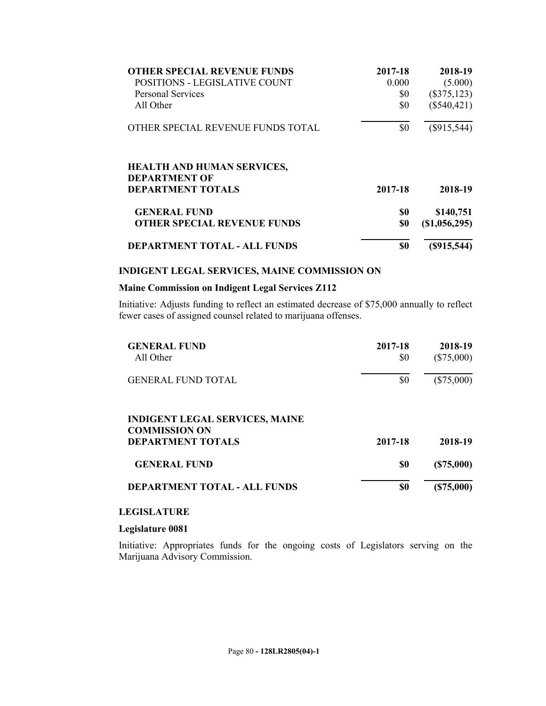| <b>OTHER SPECIAL REVENUE FUNDS</b>                        | 2017-18 | 2018-19         |
|-----------------------------------------------------------|---------|-----------------|
| <b>POSITIONS - LEGISLATIVE COUNT</b>                      | 0.000   | (5.000)         |
| <b>Personal Services</b>                                  | \$0     | $(\$375,123)$   |
| All Other                                                 | \$0     | $(\$540,421)$   |
| OTHER SPECIAL REVENUE FUNDS TOTAL                         | \$0     | $(\$915,544)$   |
| <b>HEALTH AND HUMAN SERVICES,</b><br><b>DEPARTMENT OF</b> |         |                 |
| <b>DEPARTMENT TOTALS</b>                                  | 2017-18 | 2018-19         |
| <b>GENERAL FUND</b>                                       | \$0     | \$140,751       |
| <b>OTHER SPECIAL REVENUE FUNDS</b>                        | \$0     | $(\$1,056,295)$ |
| <b>DEPARTMENT TOTAL - ALL FUNDS</b>                       | \$0     | (S915, 544)     |

## **INDIGENT LEGAL SERVICES, MAINE COMMISSION ON**

#### **Maine Commission on Indigent Legal Services Z112**

Initiative: Adjusts funding to reflect an estimated decrease of \$75,000 annually to reflect fewer cases of assigned counsel related to marijuana offenses.

| <b>GENERAL FUND</b><br>All Other<br><b>GENERAL FUND TOTAL</b> | 2017-18<br>\$0 | 2018-19<br>$(\$75,000)$<br>$(\$75,000)$ |
|---------------------------------------------------------------|----------------|-----------------------------------------|
|                                                               | \$0            |                                         |
| <b>INDIGENT LEGAL SERVICES, MAINE</b><br><b>COMMISSION ON</b> |                |                                         |
| <b>DEPARTMENT TOTALS</b>                                      | 2017-18        | 2018-19                                 |
| <b>GENERAL FUND</b>                                           | \$0            | (S75,000)                               |
| <b>DEPARTMENT TOTAL - ALL FUNDS</b>                           | \$0            | (S75,000)                               |

# **LEGISLATURE**

## **Legislature 0081**

Initiative: Appropriates funds for the ongoing costs of Legislators serving on the Marijuana Advisory Commission.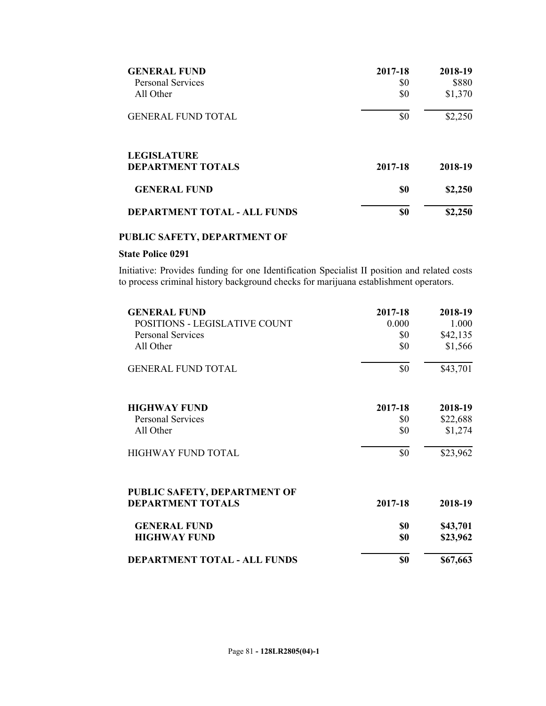| <b>GENERAL FUND</b>                            | 2017-18 | 2018-19 |
|------------------------------------------------|---------|---------|
| <b>Personal Services</b>                       | \$0     | \$880   |
| All Other                                      | \$0     | \$1,370 |
| <b>GENERAL FUND TOTAL</b>                      | \$0     | \$2,250 |
| <b>LEGISLATURE</b><br><b>DEPARTMENT TOTALS</b> | 2017-18 | 2018-19 |
| <b>GENERAL FUND</b>                            | \$0     | \$2,250 |
| <b>DEPARTMENT TOTAL - ALL FUNDS</b>            | \$0     | \$2,250 |

# **PUBLIC SAFETY, DEPARTMENT OF**

# **State Police 0291**

Initiative: Provides funding for one Identification Specialist II position and related costs to process criminal history background checks for marijuana establishment operators.

| <b>GENERAL FUND</b>                 | 2017-18 | 2018-19  |
|-------------------------------------|---------|----------|
| POSITIONS - LEGISLATIVE COUNT       | 0.000   | 1.000    |
| <b>Personal Services</b>            | \$0     | \$42,135 |
| All Other                           | \$0     | \$1,566  |
| <b>GENERAL FUND TOTAL</b>           | \$0     | \$43,701 |
| <b>HIGHWAY FUND</b>                 | 2017-18 | 2018-19  |
| <b>Personal Services</b>            | \$0     | \$22,688 |
| All Other                           | \$0     | \$1,274  |
| <b>HIGHWAY FUND TOTAL</b>           | \$0     | \$23,962 |
| PUBLIC SAFETY, DEPARTMENT OF        |         |          |
| <b>DEPARTMENT TOTALS</b>            | 2017-18 | 2018-19  |
| <b>GENERAL FUND</b>                 | \$0     | \$43,701 |
| <b>HIGHWAY FUND</b>                 | \$0     | \$23,962 |
| <b>DEPARTMENT TOTAL - ALL FUNDS</b> | \$0     | \$67,663 |